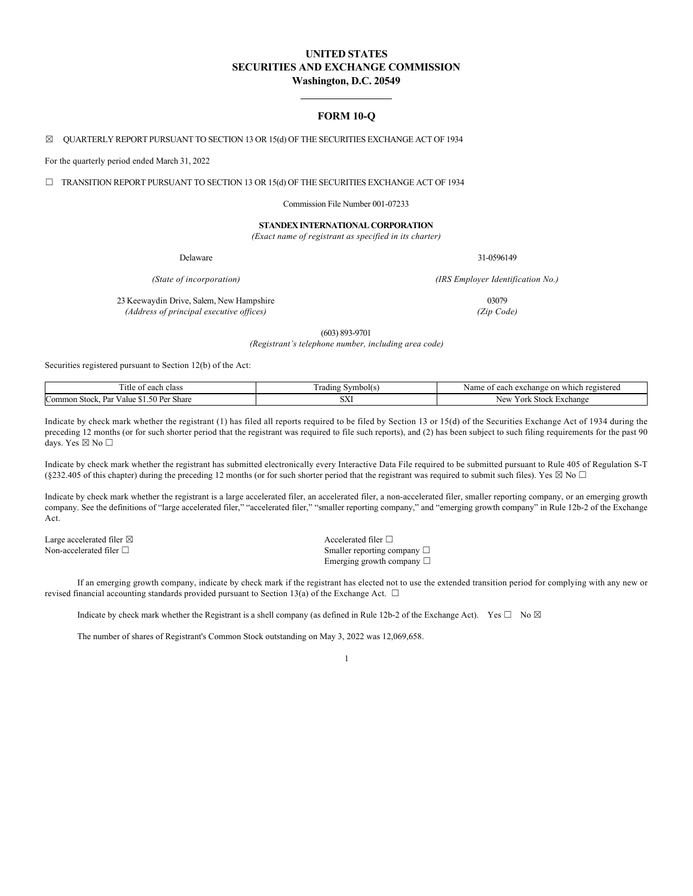## **UNITED STATES SECURITIES AND EXCHANGE COMMISSION Washington, D.C. 20549**

## **FORM 10-Q**

☒ QUARTERLY REPORT PURSUANT TO SECTION 13 OR 15(d) OF THE SECURITIES EXCHANGE ACT OF 1934

For the quarterly period ended March 31, 2022

☐ TRANSITION REPORT PURSUANT TO SECTION 13 OR 15(d) OF THE SECURITIES EXCHANGE ACT OF 1934

Commission File Number 001-07233

#### **STANDEX INTERNATIONAL CORPORATION**

*(Exact name of registrant as specified in its charter)*

*(State of incorporation) (IRS Employer Identification No.)*

Delaware 31-0596149

23 Keewaydin Drive, Salem, New Hampshire 03079 *(Address of principal executive offices) (Zip Code)*

(603) 893-9701

*(Registrant's telephone number, including area code)*

Securities registered pursuant to Section 12(b) of the Act:

| itle<br>class<br><b>CACIL</b>                                                    | radıng,<br>: Symbol(s | which registered<br>each<br><b>Name</b><br><sub>on</sub><br>exchange<br>$\cdots$ |
|----------------------------------------------------------------------------------|-----------------------|----------------------------------------------------------------------------------|
| $\sim$<br>$\sim$<br>50 Per<br>Common Stock.<br>Value<br>Par<br>rer Share<br>1.71 | $\sim$<br>لدد         | New<br>. Stock Exchange<br>′ ork                                                 |

Indicate by check mark whether the registrant (1) has filed all reports required to be filed by Section 13 or 15(d) of the Securities Exchange Act of 1934 during the preceding 12 months (or for such shorter period that the registrant was required to file such reports), and (2) has been subject to such filing requirements for the past 90 days. Yes  $\boxtimes$  No  $\square$ 

Indicate by check mark whether the registrant has submitted electronically every Interactive Data File required to be submitted pursuant to Rule 405 of Regulation S-T (§232.405 of this chapter) during the preceding 12 months (or for such shorter period that the registrant was required to submit such files). Yes  $\boxtimes$  No  $\Box$ 

Indicate by check mark whether the registrant is a large accelerated filer, an accelerated filer, a non-accelerated filer, smaller reporting company, or an emerging growth company. See the definitions of "large accelerated filer," "accelerated filer," "smaller reporting company," and "emerging growth company" in Rule 12b-2 of the Exchange Act.

Large accelerated filer  $\boxtimes$ <br>
Non-accelerated filer  $\Box$ <br>
Non-accelerated filer  $\Box$ 

Smaller reporting company  $\Box$ Emerging growth company ☐

If an emerging growth company, indicate by check mark if the registrant has elected not to use the extended transition period for complying with any new or revised financial accounting standards provided pursuant to Section 13(a) of the Exchange Act.  $\Box$ 

Indicate by check mark whether the Registrant is a shell company (as defined in Rule 12b-2 of the Exchange Act). Yes  $\Box$  No  $\boxtimes$ 

The number of shares of Registrant's Common Stock outstanding on May 3, 2022 was 12,069,658.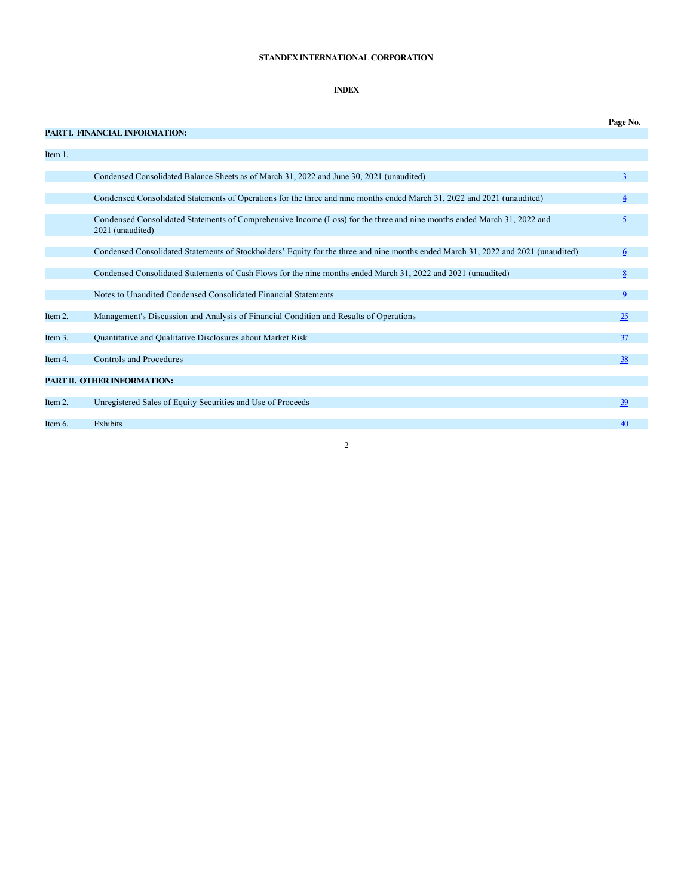## **STANDEX INTERNATIONAL CORPORATION**

## **INDEX**

|         |                                                                                                                                             | Page No.       |
|---------|---------------------------------------------------------------------------------------------------------------------------------------------|----------------|
|         | <b>PART I. FINANCIAL INFORMATION:</b>                                                                                                       |                |
|         |                                                                                                                                             |                |
| Item 1. |                                                                                                                                             |                |
|         | Condensed Consolidated Balance Sheets as of March 31, 2022 and June 30, 2021 (unaudited)                                                    | $\overline{3}$ |
|         | Condensed Consolidated Statements of Operations for the three and nine months ended March 31, 2022 and 2021 (unaudited)                     | $\overline{4}$ |
|         | Condensed Consolidated Statements of Comprehensive Income (Loss) for the three and nine months ended March 31, 2022 and<br>2021 (unaudited) | $\overline{2}$ |
|         |                                                                                                                                             |                |
|         | Condensed Consolidated Statements of Stockholders' Equity for the three and nine months ended March 31, 2022 and 2021 (unaudited)           | 6              |
|         | Condensed Consolidated Statements of Cash Flows for the nine months ended March 31, 2022 and 2021 (unaudited)                               | 8              |
|         | Notes to Unaudited Condensed Consolidated Financial Statements                                                                              | $\overline{9}$ |
| Item 2. | Management's Discussion and Analysis of Financial Condition and Results of Operations                                                       | 25             |
| Item 3. | Quantitative and Qualitative Disclosures about Market Risk                                                                                  | 37             |
| Item 4. | Controls and Procedures                                                                                                                     | <u>38</u>      |
|         | <b>PART II. OTHER INFORMATION:</b>                                                                                                          |                |
| Item 2. | Unregistered Sales of Equity Securities and Use of Proceeds                                                                                 | 39             |
| Item 6. | <b>Exhibits</b>                                                                                                                             | 40             |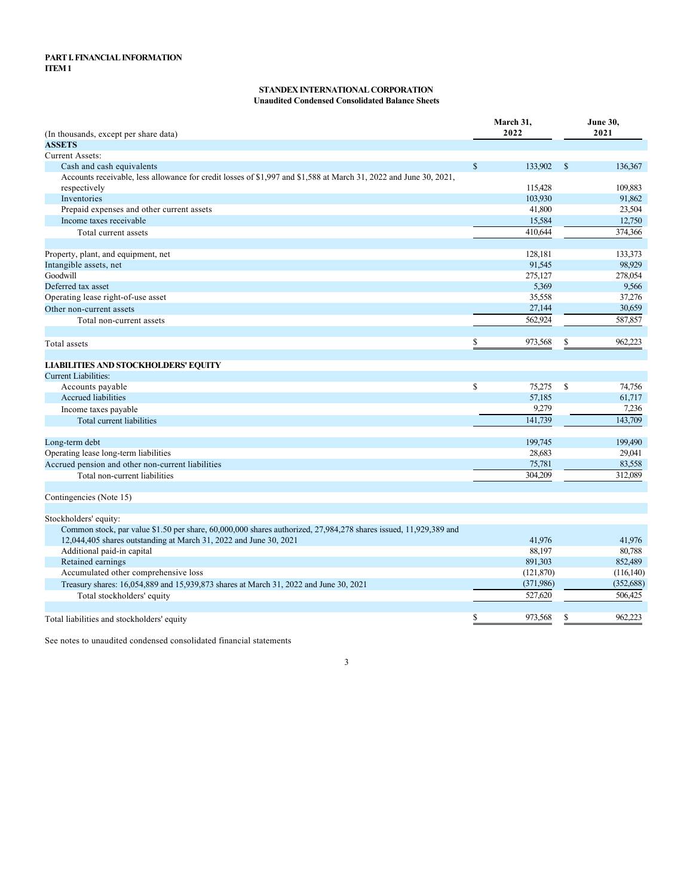#### <span id="page-2-0"></span>**STANDEX INTERNATIONAL CORPORATION Unaudited Condensed Consolidated Balance Sheets**

|                                                                                                                   |              | March 31, |               | <b>June 30,</b> |
|-------------------------------------------------------------------------------------------------------------------|--------------|-----------|---------------|-----------------|
| (In thousands, except per share data)                                                                             |              | 2022      |               | 2021            |
| <b>ASSETS</b>                                                                                                     |              |           |               |                 |
| Current Assets:                                                                                                   |              |           |               |                 |
| Cash and cash equivalents                                                                                         | $\mathbb{S}$ | 133,902   | $\mathcal{S}$ | 136,367         |
| Accounts receivable, less allowance for credit losses of \$1,997 and \$1,588 at March 31, 2022 and June 30, 2021, |              |           |               |                 |
| respectively                                                                                                      |              | 115,428   |               | 109,883         |
| Inventories                                                                                                       |              | 103,930   |               | 91,862          |
| Prepaid expenses and other current assets                                                                         |              | 41,800    |               | 23,504          |
| Income taxes receivable                                                                                           |              | 15,584    |               | 12,750          |
| Total current assets                                                                                              |              | 410,644   |               | 374,366         |
| Property, plant, and equipment, net                                                                               |              | 128,181   |               | 133,373         |
| Intangible assets, net                                                                                            |              | 91,545    |               | 98,929          |
| Goodwill                                                                                                          |              | 275,127   |               | 278,054         |
| Deferred tax asset                                                                                                |              | 5,369     |               | 9,566           |
| Operating lease right-of-use asset                                                                                |              | 35,558    |               | 37,276          |
| Other non-current assets                                                                                          |              | 27,144    |               | 30,659          |
| Total non-current assets                                                                                          |              | 562,924   |               | 587,857         |
|                                                                                                                   |              |           |               |                 |
| Total assets                                                                                                      | \$           | 973,568   |               | 962,223         |
| <b>LIABILITIES AND STOCKHOLDERS' EQUITY</b>                                                                       |              |           |               |                 |
| <b>Current Liabilities:</b>                                                                                       |              |           |               |                 |
| Accounts payable                                                                                                  | \$           | 75,275    | \$            | 74,756          |
| Accrued liabilities                                                                                               |              | 57,185    |               | 61,717          |
| Income taxes payable                                                                                              |              | 9,279     |               | 7,236           |
| Total current liabilities                                                                                         |              | 141,739   |               | 143,709         |
|                                                                                                                   |              |           |               |                 |
| Long-term debt                                                                                                    |              | 199,745   |               | 199,490         |
| Operating lease long-term liabilities                                                                             |              | 28,683    |               | 29,041          |
| Accrued pension and other non-current liabilities                                                                 |              | 75,781    |               | 83,558          |
| Total non-current liabilities                                                                                     |              | 304,209   |               | 312,089         |
|                                                                                                                   |              |           |               |                 |
| Contingencies (Note 15)                                                                                           |              |           |               |                 |
| Stockholders' equity:                                                                                             |              |           |               |                 |
| Common stock, par value \$1.50 per share, 60,000,000 shares authorized, 27,984,278 shares issued, 11,929,389 and  |              |           |               |                 |
| 12,044,405 shares outstanding at March 31, 2022 and June 30, 2021                                                 |              | 41,976    |               | 41,976          |
| Additional paid-in capital                                                                                        |              | 88,197    |               | 80,788          |
| Retained earnings                                                                                                 |              | 891,303   |               | 852,489         |
| Accumulated other comprehensive loss                                                                              |              | (121,870) |               | (116, 140)      |
| Treasury shares: 16,054,889 and 15,939,873 shares at March 31, 2022 and June 30, 2021                             |              | (371,986) |               | (352, 688)      |
| Total stockholders' equity                                                                                        |              | 527,620   |               | 506,425         |
|                                                                                                                   |              |           |               |                 |
| Total liabilities and stockholders' equity                                                                        | \$           | 973,568   | S             | 962,223         |

See notes to unaudited condensed consolidated financial statements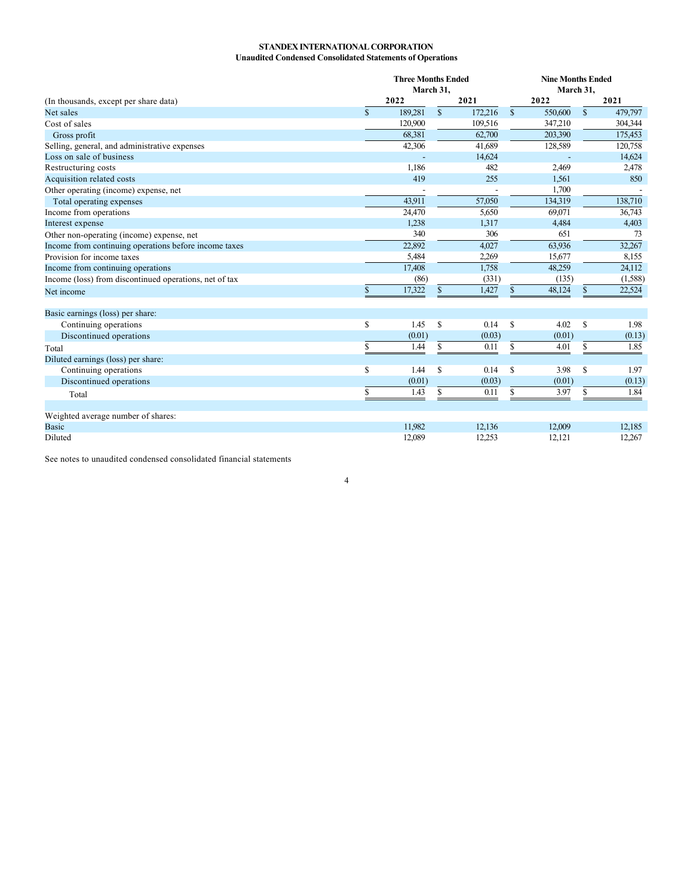## <span id="page-3-0"></span>**STANDEX INTERNATIONAL CORPORATION Unaudited Condensed Consolidated Statements of Operations**

|                                                        | <b>Three Months Ended</b><br>March 31. | <b>Nine Months Ended</b><br>March 31, |         |              |         |               |         |  |
|--------------------------------------------------------|----------------------------------------|---------------------------------------|---------|--------------|---------|---------------|---------|--|
| (In thousands, except per share data)                  | 2022                                   |                                       | 2021    |              | 2022    |               | 2021    |  |
| Net sales                                              | \$<br>189,281                          | $\mathbb{S}$                          | 172,216 | $\mathbb{S}$ | 550,600 | $\mathsf{\$}$ | 479,797 |  |
| Cost of sales                                          | 120,900                                |                                       | 109,516 |              | 347,210 |               | 304,344 |  |
| Gross profit                                           | 68,381                                 |                                       | 62,700  |              | 203,390 |               | 175,453 |  |
| Selling, general, and administrative expenses          | 42,306                                 |                                       | 41,689  |              | 128,589 |               | 120,758 |  |
| Loss on sale of business                               |                                        |                                       | 14,624  |              |         |               | 14,624  |  |
| Restructuring costs                                    | 1,186                                  |                                       | 482     |              | 2,469   |               | 2,478   |  |
| Acquisition related costs                              | 419                                    |                                       | 255     |              | 1,561   |               | 850     |  |
| Other operating (income) expense, net                  |                                        |                                       |         |              | 1,700   |               |         |  |
| Total operating expenses                               | 43,911                                 |                                       | 57,050  |              | 134,319 |               | 138,710 |  |
| Income from operations                                 | 24,470                                 |                                       | 5,650   |              | 69,071  |               | 36,743  |  |
| Interest expense                                       | 1,238                                  |                                       | 1,317   |              | 4,484   |               | 4,403   |  |
| Other non-operating (income) expense, net              | 340                                    |                                       | 306     |              | 651     |               | 73      |  |
| Income from continuing operations before income taxes  | 22,892                                 |                                       | 4,027   |              | 63,936  |               | 32,267  |  |
| Provision for income taxes                             | 5,484                                  |                                       | 2,269   |              | 15,677  |               | 8,155   |  |
| Income from continuing operations                      | 17,408                                 |                                       | 1,758   |              | 48,259  |               | 24,112  |  |
| Income (loss) from discontinued operations, net of tax | (86)                                   |                                       | (331)   |              | (135)   |               | (1,588) |  |
| Net income                                             | \$<br>17,322                           | \$                                    | 1,427   | \$           | 48,124  | \$            | 22,524  |  |
| Basic earnings (loss) per share:                       |                                        |                                       |         |              |         |               |         |  |
| Continuing operations                                  | \$<br>1.45                             | S                                     | 0.14    | \$           | 4.02    | \$            | 1.98    |  |
| Discontinued operations                                | (0.01)                                 |                                       | (0.03)  |              | (0.01)  |               | (0.13)  |  |
| Total                                                  | \$<br>1.44                             | \$                                    | 0.11    | \$           | 4.01    | \$            | 1.85    |  |
| Diluted earnings (loss) per share:                     |                                        |                                       |         |              |         |               |         |  |
| Continuing operations                                  | \$<br>1.44                             | \$                                    | 0.14    | \$           | 3.98    | \$            | 1.97    |  |
| Discontinued operations                                | (0.01)                                 |                                       | (0.03)  |              | (0.01)  |               | (0.13)  |  |
| Total                                                  | \$<br>1.43                             | \$                                    | 0.11    | \$           | 3.97    | \$            | 1.84    |  |
| Weighted average number of shares:                     |                                        |                                       |         |              |         |               |         |  |
| <b>Basic</b>                                           | 11,982                                 |                                       | 12,136  |              | 12,009  |               | 12,185  |  |
| Diluted                                                | 12,089                                 |                                       | 12,253  |              | 12,121  |               | 12,267  |  |

See notes to unaudited condensed consolidated financial statements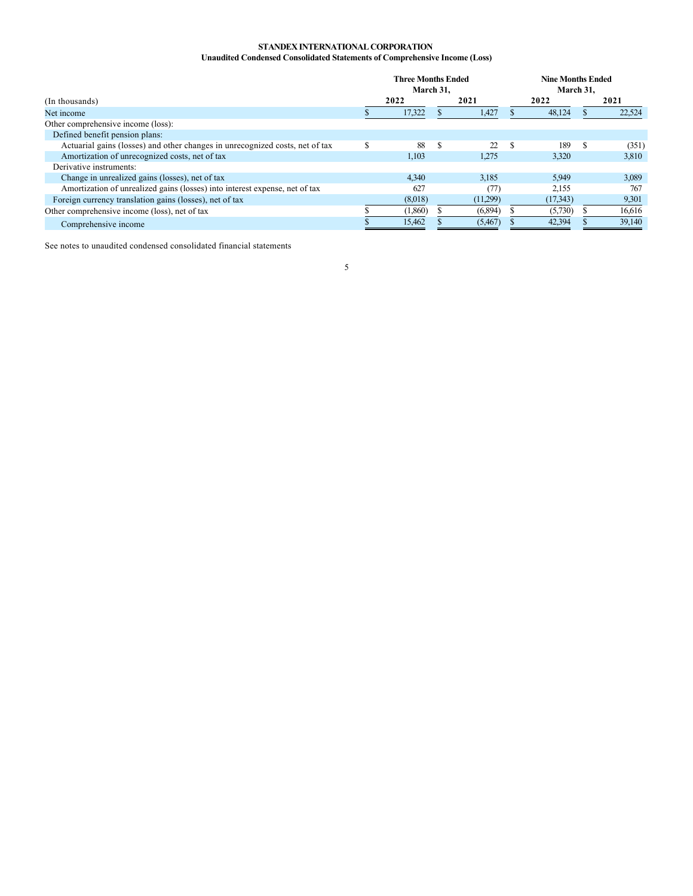## <span id="page-4-0"></span>**STANDEX INTERNATIONAL CORPORATION**

## **Unaudited Condensed Consolidated Statements of Comprehensive Income (Loss)**

|                                                                              |      | <b>Three Months Ended</b><br>March 31, |   |          | <b>Nine Months Ended</b><br>March 31, |          |   |        |  |
|------------------------------------------------------------------------------|------|----------------------------------------|---|----------|---------------------------------------|----------|---|--------|--|
| (In thousands)                                                               | 2022 |                                        |   | 2021     |                                       | 2022     |   | 2021   |  |
| Net income                                                                   |      | 17,322                                 |   | 1,427    |                                       | 48,124   |   | 22,524 |  |
| Other comprehensive income (loss):                                           |      |                                        |   |          |                                       |          |   |        |  |
| Defined benefit pension plans:                                               |      |                                        |   |          |                                       |          |   |        |  |
| Actuarial gains (losses) and other changes in unrecognized costs, net of tax |      | 88                                     | S | 22       | S                                     | 189      | S | (351)  |  |
| Amortization of unrecognized costs, net of tax                               |      | 1,103                                  |   | 1,275    |                                       | 3,320    |   | 3,810  |  |
| Derivative instruments:                                                      |      |                                        |   |          |                                       |          |   |        |  |
| Change in unrealized gains (losses), net of tax                              |      | 4.340                                  |   | 3.185    |                                       | 5.949    |   | 3,089  |  |
| Amortization of unrealized gains (losses) into interest expense, net of tax  |      | 627                                    |   | (77      |                                       | 2,155    |   | 767    |  |
| Foreign currency translation gains (losses), net of tax                      |      | (8,018)                                |   | (11,299) |                                       | (17,343) |   | 9,301  |  |
| Other comprehensive income (loss), net of tax                                |      | (1,860)                                |   | (6,894)  |                                       | (5,730)  |   | 16,616 |  |
| Comprehensive income                                                         |      | 15,462                                 |   | (5,467)  |                                       | 42,394   |   | 39,140 |  |

See notes to unaudited condensed consolidated financial statements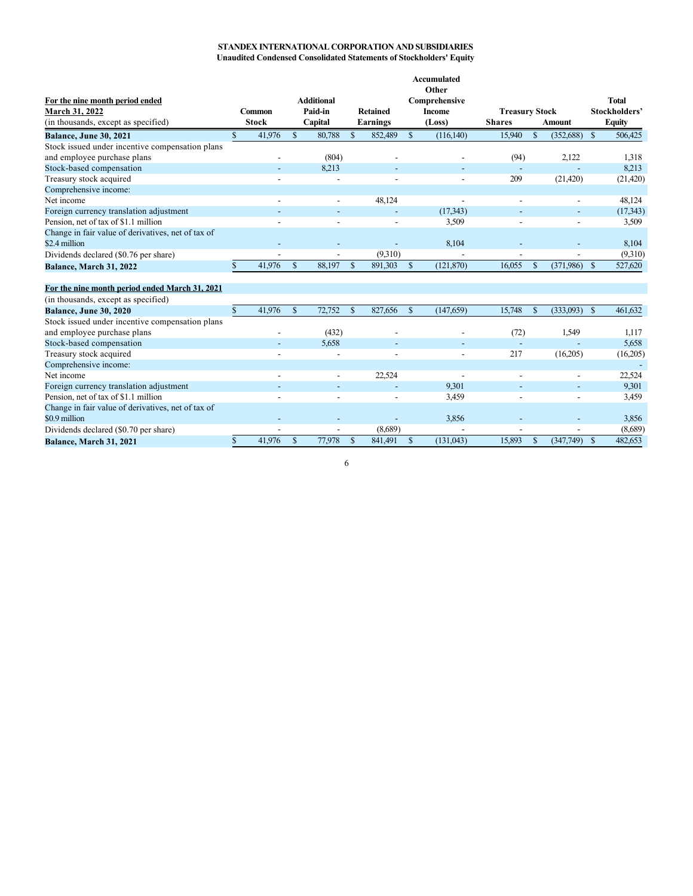## <span id="page-5-0"></span>**STANDEX INTERNATIONAL CORPORATION AND SUBSIDIARIES Unaudited Condensed Consolidated Statements of Stockholders' Equity**

|                                                          |        |     |                              |              |                 | Accumulated                      |                       |          |                          |    |                        |
|----------------------------------------------------------|--------|-----|------------------------------|--------------|-----------------|----------------------------------|-----------------------|----------|--------------------------|----|------------------------|
| For the nine month period ended<br><b>March 31, 2022</b> | Common |     | <b>Additional</b><br>Paid-in |              | <b>Retained</b> | Other<br>Comprehensive<br>Income | <b>Treasury Stock</b> |          |                          |    | Total<br>Stockholders' |
| (in thousands, except as specified)                      | Stock  |     | Capital                      |              | <b>Earnings</b> | (Loss)                           | <b>Shares</b>         | Amount   |                          |    | <b>Equity</b>          |
| <b>Balance, June 30, 2021</b>                            | 41,976 |     | 80,788                       |              | 852,489         | (116, 140)                       | 15,940                |          | (352,688)                |    | 506,425                |
| Stock issued under incentive compensation plans          |        |     |                              |              |                 |                                  |                       |          |                          |    |                        |
| and employee purchase plans                              |        |     | (804)                        |              |                 |                                  | (94)                  |          | 2,122                    |    | 1,318                  |
| Stock-based compensation                                 |        |     | 8.213                        |              |                 | ۰                                |                       |          |                          |    | 8,213                  |
| Treasury stock acquired                                  |        |     | ۰                            |              |                 |                                  | 209                   |          | (21, 420)                |    | (21, 420)              |
| Comprehensive income:                                    |        |     |                              |              |                 |                                  |                       |          |                          |    |                        |
| Net income                                               |        |     |                              |              | 48,124          |                                  |                       |          | $\overline{\phantom{a}}$ |    | 48,124                 |
| Foreign currency translation adjustment                  |        |     |                              |              |                 | (17, 343)                        |                       |          | $\overline{\phantom{a}}$ |    | (17, 343)              |
| Pension, net of tax of \$1.1 million                     |        |     |                              |              |                 | 3,509                            |                       |          | $\overline{\phantom{a}}$ |    | 3,509                  |
| Change in fair value of derivatives, net of tax of       |        |     |                              |              |                 |                                  |                       |          |                          |    |                        |
| \$2.4 million                                            |        |     | ٠                            |              |                 | 8,104                            |                       |          | $\sim$                   |    | 8,104                  |
| Dividends declared (\$0.76 per share)                    |        |     | ٠                            |              | (9,310)         | $\overline{\phantom{a}}$         |                       |          | $\overline{\phantom{a}}$ |    | (9,310)                |
| Balance, March 31, 2022                                  | 41,976 | \$. | 88,197                       | <sup>S</sup> | 891,303         | \$<br>(121, 870)                 | 16,055                | <b>S</b> | (371.986)                | -S | 527,620                |

# **For the nine month period ended March 31, 2021**

| (in thousands, except as specified)                |                          |                          |                          |                          |        |                          |          |
|----------------------------------------------------|--------------------------|--------------------------|--------------------------|--------------------------|--------|--------------------------|----------|
| <b>Balance, June 30, 2020</b>                      | 41,976                   | 72,752                   | 827,656                  | (147, 659)               | 15,748 | (333,093)                | 461,632  |
| Stock issued under incentive compensation plans    |                          |                          |                          |                          |        |                          |          |
| and employee purchase plans                        |                          | (432)                    |                          |                          | (72)   | 1,549                    | 1,117    |
| Stock-based compensation                           | $\overline{\phantom{a}}$ | 5,658                    |                          |                          |        | $\overline{\phantom{a}}$ | 5,658    |
| Treasury stock acquired                            | $\overline{\phantom{a}}$ | $\overline{\phantom{a}}$ | $\overline{\phantom{0}}$ | -                        | 217    | (16,205)                 | (16,205) |
| Comprehensive income:                              |                          |                          |                          |                          |        |                          |          |
| Net income                                         |                          | $\overline{\phantom{a}}$ | 22,524                   |                          |        | $\overline{\phantom{a}}$ | 22,524   |
| Foreign currency translation adjustment            |                          | -                        |                          | 9,301                    |        | $\overline{\phantom{a}}$ | 9,301    |
| Pension, net of tax of \$1.1 million               |                          | $\overline{\phantom{a}}$ |                          | 3,459                    |        | $\overline{\phantom{0}}$ | 3,459    |
| Change in fair value of derivatives, net of tax of |                          |                          |                          |                          |        |                          |          |
| \$0.9 million                                      |                          | $\overline{\phantom{0}}$ |                          | 3,856                    |        |                          | 3,856    |
| Dividends declared (\$0.70 per share)              |                          | $\overline{\phantom{a}}$ | (8,689)                  | $\overline{\phantom{a}}$ |        | $\overline{\phantom{0}}$ | (8,689)  |
| Balance, March 31, 2021                            | 41.976                   | 77,978                   | 841,491                  | (131.043)                | 15,893 | (347,749)                | 482,653  |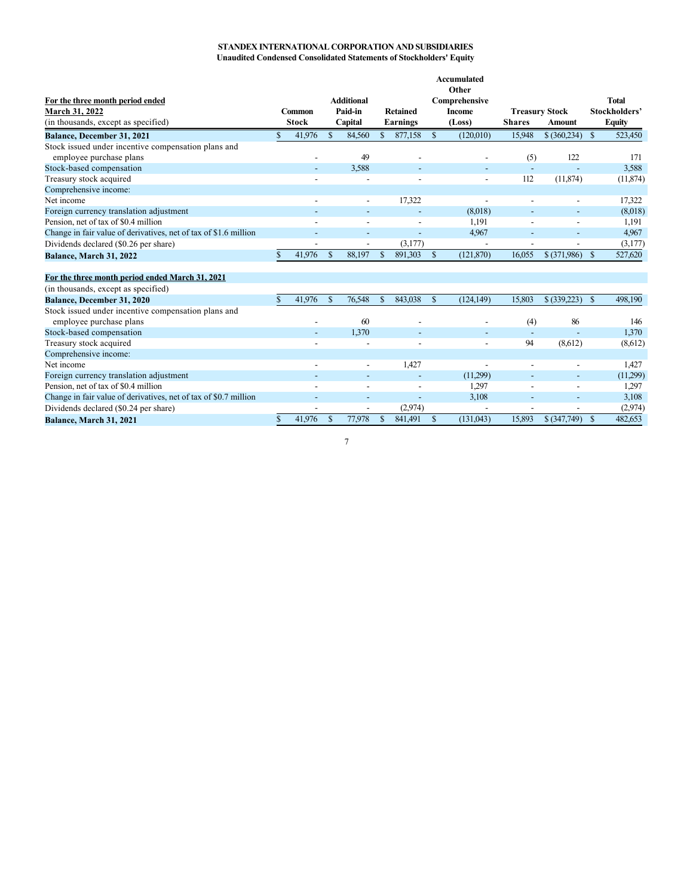## **STANDEX INTERNATIONAL CORPORATION AND SUBSIDIARIES Unaudited Condensed Consolidated Statements of Stockholders' Equity**

|                                                                  |              |               |                   |               |                          |               | Accumulated<br>Other |                          |                          |              |               |
|------------------------------------------------------------------|--------------|---------------|-------------------|---------------|--------------------------|---------------|----------------------|--------------------------|--------------------------|--------------|---------------|
| For the three month period ended                                 |              |               | <b>Additional</b> |               |                          |               | Comprehensive        |                          |                          |              | <b>Total</b>  |
| March 31, 2022                                                   | Common       |               | Paid-in           |               | <b>Retained</b>          |               | <b>Income</b>        |                          | <b>Treasury Stock</b>    |              | Stockholders' |
| (in thousands, except as specified)                              | <b>Stock</b> |               | Capital           |               | <b>Earnings</b>          |               | (Loss)               | <b>Shares</b>            | <b>Amount</b>            |              | <b>Equity</b> |
| Balance, December 31, 2021                                       | 41,976       | $\mathbb{S}$  | 84,560            | \$.           | 877,158                  | S             | (120,010)            | 15,948                   | \$ (360,234)             | $\mathbb{S}$ | 523,450       |
| Stock issued under incentive compensation plans and              |              |               |                   |               |                          |               |                      |                          |                          |              |               |
| employee purchase plans                                          |              |               | 49                |               |                          |               |                      | (5)                      | 122                      |              | 171           |
| Stock-based compensation                                         |              |               | 3,588             |               |                          |               |                      | $\sim$                   |                          |              | 3,588         |
| Treasury stock acquired                                          |              |               |                   |               |                          |               |                      | 112                      | (11,874)                 |              | (11,874)      |
| Comprehensive income:                                            |              |               |                   |               |                          |               |                      |                          |                          |              |               |
| Net income                                                       |              |               |                   |               | 17,322                   |               |                      |                          |                          |              | 17,322        |
| Foreign currency translation adjustment                          |              |               |                   |               |                          |               | (8.018)              |                          |                          |              | (8,018)       |
| Pension, net of tax of \$0.4 million                             |              |               |                   |               |                          |               | 1,191                |                          |                          |              | 1,191         |
| Change in fair value of derivatives, net of tax of \$1.6 million |              |               |                   |               | $\overline{\phantom{a}}$ |               | 4,967                |                          |                          |              | 4,967         |
| Dividends declared (\$0.26 per share)                            |              |               |                   |               | (3,177)                  |               |                      |                          |                          |              | (3,177)       |
| Balance, March 31, 2022                                          | \$<br>41,976 | $\mathbb{S}$  | 88,197            | <sup>\$</sup> | 891,303                  | <sup>\$</sup> | (121, 870)           | 16,055                   | $$ (371,986)$ \ \$       |              | 527,620       |
| For the three month period ended March 31, 2021                  |              |               |                   |               |                          |               |                      |                          |                          |              |               |
| (in thousands, except as specified)                              |              |               |                   |               |                          |               |                      |                          |                          |              |               |
| Balance, December 31, 2020                                       | 41,976       | $\mathbf S$   | 76,548            | $\mathbf{s}$  | 843,038                  | $\mathbb{S}$  | (124, 149)           | 15,803                   | \$ (339,223)             | $\mathbf{s}$ | 498,190       |
| Stock issued under incentive compensation plans and              |              |               |                   |               |                          |               |                      |                          |                          |              |               |
| employee purchase plans                                          |              |               | 60                |               | $\overline{a}$           |               |                      | (4)                      | 86                       |              | 146           |
| Stock-based compensation                                         |              |               | 1,370             |               |                          |               |                      |                          |                          |              | 1,370         |
| Treasury stock acquired                                          |              |               |                   |               |                          |               |                      | 94                       | (8,612)                  |              | (8,612)       |
| Comprehensive income:                                            |              |               |                   |               |                          |               |                      |                          |                          |              |               |
| Net income                                                       |              |               |                   |               | 1,427                    |               |                      |                          |                          |              | 1,427         |
| Foreign currency translation adjustment                          |              |               |                   |               | $\overline{\phantom{a}}$ |               | (11,299)             |                          | $\overline{\phantom{a}}$ |              | (11,299)      |
| Pension, net of tax of \$0.4 million                             |              |               |                   |               | $\overline{\phantom{a}}$ |               | 1,297                | $\overline{\phantom{a}}$ |                          |              | 1,297         |
| Change in fair value of derivatives, net of tax of \$0.7 million |              |               |                   |               | $\blacksquare$           |               | 3,108                | $\overline{\phantom{a}}$ | $\overline{\phantom{a}}$ |              | 3,108         |
| Dividends declared (\$0.24 per share)                            |              |               |                   |               | (2,974)                  |               |                      |                          |                          |              | (2,974)       |
| Balance, March 31, 2021                                          | \$<br>41.976 | <sup>\$</sup> | 77,978            | S             | 841,491                  | \$            | (131, 043)           | 15,893                   | \$ (347,749)             | -S           | 482,653       |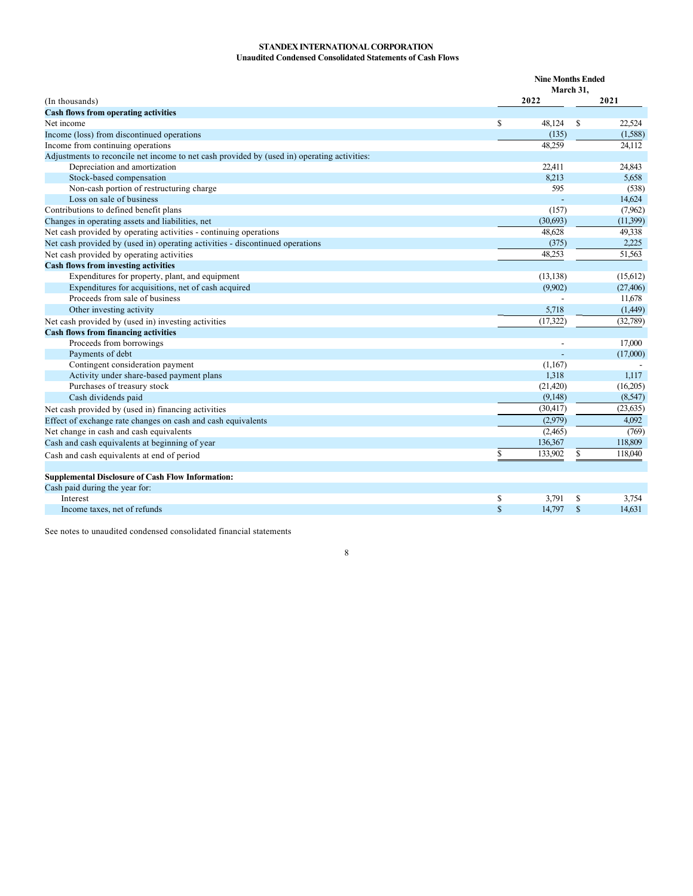## <span id="page-7-0"></span>**STANDEX INTERNATIONAL CORPORATION Unaudited Condensed Consolidated Statements of Cash Flows**

|                                                                                             | <b>Nine Months Ended</b> |                   |               |           |  |  |  |
|---------------------------------------------------------------------------------------------|--------------------------|-------------------|---------------|-----------|--|--|--|
|                                                                                             |                          | March 31.<br>2022 |               |           |  |  |  |
| (In thousands)                                                                              |                          |                   |               | 2021      |  |  |  |
| <b>Cash flows from operating activities</b>                                                 |                          |                   |               |           |  |  |  |
| Net income                                                                                  | \$                       | 48,124            | \$            | 22,524    |  |  |  |
| Income (loss) from discontinued operations                                                  |                          | (135)             |               | (1,588)   |  |  |  |
| Income from continuing operations                                                           |                          | 48,259            |               | 24,112    |  |  |  |
| Adjustments to reconcile net income to net cash provided by (used in) operating activities: |                          |                   |               |           |  |  |  |
| Depreciation and amortization                                                               |                          | 22,411            |               | 24,843    |  |  |  |
| Stock-based compensation                                                                    |                          | 8,213             |               | 5,658     |  |  |  |
| Non-cash portion of restructuring charge<br>Loss on sale of business                        |                          | 595               |               | (538)     |  |  |  |
|                                                                                             |                          |                   |               | 14,624    |  |  |  |
| Contributions to defined benefit plans                                                      |                          | (157)             |               | (7,962)   |  |  |  |
| Changes in operating assets and liabilities, net                                            |                          | (30,693)          |               | (11, 399) |  |  |  |
| Net cash provided by operating activities - continuing operations                           |                          | 48,628            |               | 49,338    |  |  |  |
| Net cash provided by (used in) operating activities - discontinued operations               |                          | (375)             |               | 2,225     |  |  |  |
| Net cash provided by operating activities                                                   |                          | 48,253            |               | 51,563    |  |  |  |
| <b>Cash flows from investing activities</b>                                                 |                          |                   |               |           |  |  |  |
| Expenditures for property, plant, and equipment                                             |                          | (13, 138)         |               | (15,612)  |  |  |  |
| Expenditures for acquisitions, net of cash acquired                                         |                          | (9,902)           |               | (27, 406) |  |  |  |
| Proceeds from sale of business                                                              |                          |                   |               | 11,678    |  |  |  |
| Other investing activity                                                                    |                          | 5,718             |               | (1,449)   |  |  |  |
| Net cash provided by (used in) investing activities                                         |                          | (17,322)          |               | (32,789)  |  |  |  |
| <b>Cash flows from financing activities</b>                                                 |                          |                   |               |           |  |  |  |
| Proceeds from borrowings                                                                    |                          |                   |               | 17,000    |  |  |  |
| Payments of debt                                                                            |                          |                   |               | (17,000)  |  |  |  |
| Contingent consideration payment                                                            |                          | (1,167)           |               |           |  |  |  |
| Activity under share-based payment plans                                                    |                          | 1,318             |               | 1,117     |  |  |  |
| Purchases of treasury stock                                                                 |                          | (21, 420)         |               | (16,205)  |  |  |  |
| Cash dividends paid                                                                         |                          | (9,148)           |               | (8,547)   |  |  |  |
| Net cash provided by (used in) financing activities                                         |                          | (30, 417)         |               | (23, 635) |  |  |  |
| Effect of exchange rate changes on cash and cash equivalents                                |                          | (2,979)           |               | 4,092     |  |  |  |
| Net change in cash and cash equivalents                                                     |                          | (2,465)           |               | (769)     |  |  |  |
| Cash and cash equivalents at beginning of year                                              |                          | 136,367           |               | 118,809   |  |  |  |
| Cash and cash equivalents at end of period                                                  | \$                       | 133,902           | \$            | 118,040   |  |  |  |
|                                                                                             |                          |                   |               |           |  |  |  |
| <b>Supplemental Disclosure of Cash Flow Information:</b>                                    |                          |                   |               |           |  |  |  |
| Cash paid during the year for:                                                              |                          |                   |               |           |  |  |  |
| Interest                                                                                    | \$                       | 3.791             | \$            | 3,754     |  |  |  |
| Income taxes, net of refunds                                                                | $\mathbf S$              | 14,797            | <sup>\$</sup> | 14,631    |  |  |  |

8

See notes to unaudited condensed consolidated financial statements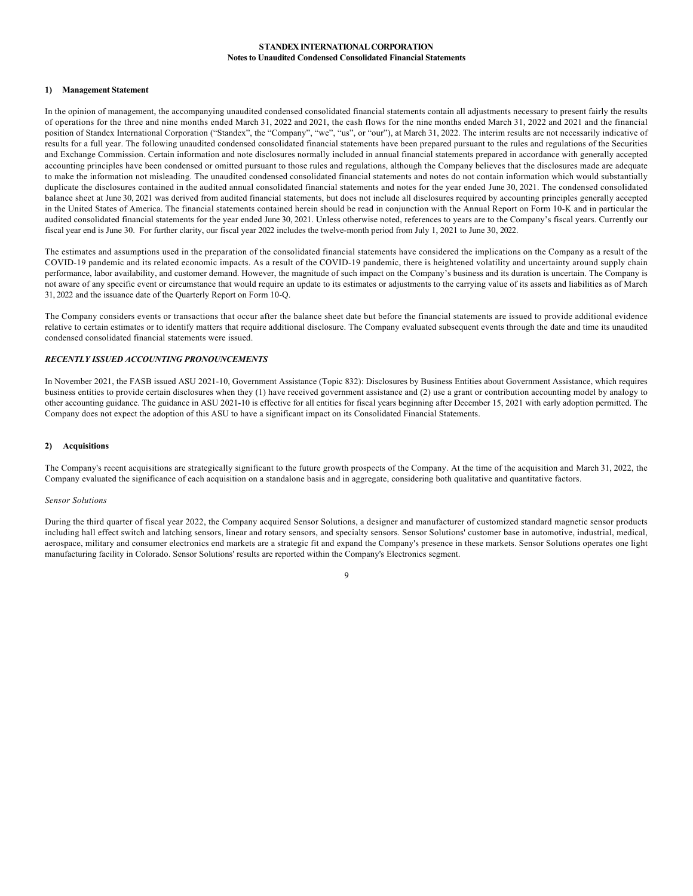## <span id="page-8-0"></span>**STANDEX INTERNATIONAL CORPORATION Notes to Unaudited Condensed Consolidated Financial Statements**

#### **1) Management Statement**

In the opinion of management, the accompanying unaudited condensed consolidated financial statements contain all adjustments necessary to present fairly the results of operations for the three and nine months ended March 31, 2022 and 2021, the cash flows for the nine months ended March 31, 2022 and 2021 and the financial position of Standex International Corporation ("Standex", the "Company", "we", "us", or "our"), at March 31, 2022. The interim results are not necessarily indicative of results for a full year. The following unaudited condensed consolidated financial statements have been prepared pursuant to the rules and regulations of the Securities and Exchange Commission. Certain information and note disclosures normally included in annual financial statements prepared in accordance with generally accepted accounting principles have been condensed or omitted pursuant to those rules and regulations, although the Company believes that the disclosures made are adequate to make the information not misleading. The unaudited condensed consolidated financial statements and notes do not contain information which would substantially duplicate the disclosures contained in the audited annual consolidated financial statements and notes for the year ended June 30, 2021. The condensed consolidated balance sheet at June 30, 2021 was derived from audited financial statements, but does not include all disclosures required by accounting principles generally accepted in the United States of America. The financial statements contained herein should be read in conjunction with the Annual Report on Form 10-K and in particular the audited consolidated financial statements for the year ended June 30, 2021. Unless otherwise noted, references to years are to the Company's fiscal years. Currently our fiscal year end is June 30. For further clarity, our fiscal year 2022 includes the twelve-month period from July 1, 2021 to June 30, 2022.

The estimates and assumptions used in the preparation of the consolidated financial statements have considered the implications on the Company as a result of the COVID-19 pandemic and its related economic impacts. As a result of the COVID-19 pandemic, there is heightened volatility and uncertainty around supply chain performance, labor availability, and customer demand. However, the magnitude of such impact on the Company's business and its duration is uncertain. The Company is not aware of any specific event or circumstance that would require an update to its estimates or adjustments to the carrying value of its assets and liabilities as of March 31, 2022 and the issuance date of the Quarterly Report on Form 10-Q.

The Company considers events or transactions that occur after the balance sheet date but before the financial statements are issued to provide additional evidence relative to certain estimates or to identify matters that require additional disclosure. The Company evaluated subsequent events through the date and time its unaudited condensed consolidated financial statements were issued.

#### *RECENTLY ISSUED ACCOUNTING PRONOUNCEMENTS*

In November 2021, the FASB issued ASU 2021-10, Government Assistance (Topic 832): Disclosures by Business Entities about Government Assistance, which requires business entities to provide certain disclosures when they (1) have received government assistance and (2) use a grant or contribution accounting model by analogy to other accounting guidance. The guidance in ASU 2021-10 is effective for all entities for fiscal years beginning after December 15, 2021 with early adoption permitted. The Company does not expect the adoption of this ASU to have a significant impact on its Consolidated Financial Statements.

#### **2) Acquisitions**

The Company's recent acquisitions are strategically significant to the future growth prospects of the Company. At the time of the acquisition and March 31, 2022, the Company evaluated the significance of each acquisition on a standalone basis and in aggregate, considering both qualitative and quantitative factors.

#### *Sensor Solutions*

During the third quarter of fiscal year 2022, the Company acquired Sensor Solutions, a designer and manufacturer of customized standard magnetic sensor products including hall effect switch and latching sensors, linear and rotary sensors, and specialty sensors. Sensor Solutions' customer base in automotive, industrial, medical, aerospace, military and consumer electronics end markets are a strategic fit and expand the Company's presence in these markets. Sensor Solutions operates one light manufacturing facility in Colorado. Sensor Solutions' results are reported within the Company's Electronics segment.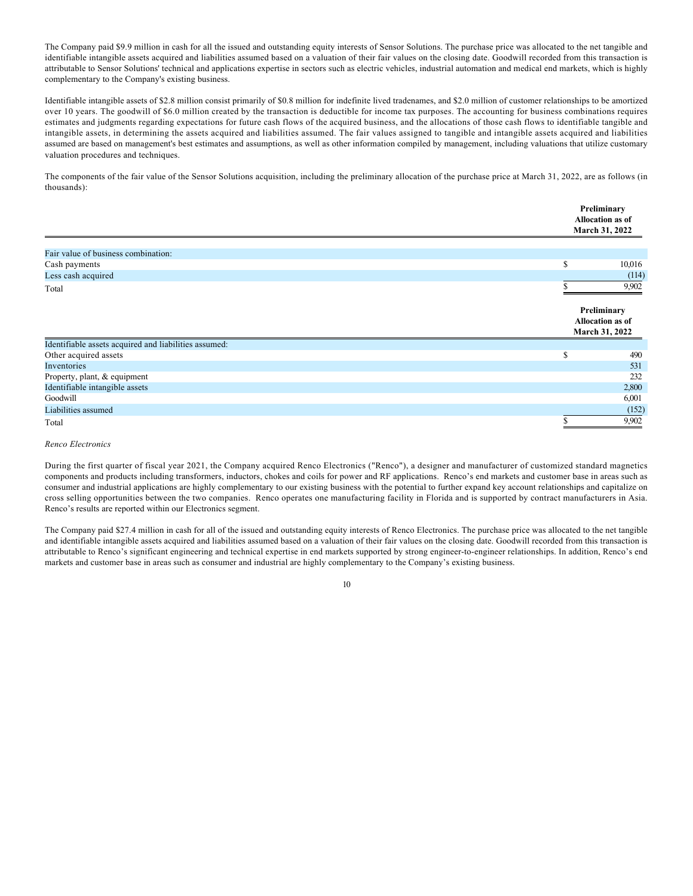The Company paid \$9.9 million in cash for all the issued and outstanding equity interests of Sensor Solutions. The purchase price was allocated to the net tangible and identifiable intangible assets acquired and liabilities assumed based on a valuation of their fair values on the closing date. Goodwill recorded from this transaction is attributable to Sensor Solutions' technical and applications expertise in sectors such as electric vehicles, industrial automation and medical end markets, which is highly complementary to the Company's existing business.

Identifiable intangible assets of \$2.8 million consist primarily of \$0.8 million for indefinite lived tradenames, and \$2.0 million of customer relationships to be amortized over 10 years. The goodwill of \$6.0 million created by the transaction is deductible for income tax purposes. The accounting for business combinations requires estimates and judgments regarding expectations for future cash flows of the acquired business, and the allocations of those cash flows to identifiable tangible and intangible assets, in determining the assets acquired and liabilities assumed. The fair values assigned to tangible and intangible assets acquired and liabilities assumed are based on management's best estimates and assumptions, as well as other information compiled by management, including valuations that utilize customary valuation procedures and techniques.

The components of the fair value of the Sensor Solutions acquisition, including the preliminary allocation of the purchase price at March 31, 2022, are as follows (in thousands):

|                                                       |               | Preliminary<br>Allocation as of<br>March 31, 2022        |
|-------------------------------------------------------|---------------|----------------------------------------------------------|
|                                                       |               |                                                          |
| Fair value of business combination:                   |               |                                                          |
| Cash payments                                         | \$            | 10,016                                                   |
| Less cash acquired                                    |               | (114)                                                    |
| Total                                                 |               | 9,902                                                    |
|                                                       |               | Preliminary<br><b>Allocation</b> as of<br>March 31, 2022 |
| Identifiable assets acquired and liabilities assumed: |               |                                                          |
| Other acquired assets                                 | <sup>\$</sup> | 490                                                      |
| Inventories                                           |               | 531                                                      |
| Property, plant, & equipment                          |               | 232                                                      |
| Identifiable intangible assets                        |               | 2,800                                                    |
| Goodwill                                              |               | 6,001                                                    |
| Liabilities assumed                                   |               | (152)                                                    |
| Total                                                 |               | 9,902                                                    |

*Renco Electronics*

During the first quarter of fiscal year 2021, the Company acquired Renco Electronics ("Renco"), a designer and manufacturer of customized standard magnetics components and products including transformers, inductors, chokes and coils for power and RF applications. Renco's end markets and customer base in areas such as consumer and industrial applications are highly complementary to our existing business with the potential to further expand key account relationships and capitalize on cross selling opportunities between the two companies. Renco operates one manufacturing facility in Florida and is supported by contract manufacturers in Asia. Renco's results are reported within our Electronics segment.

The Company paid \$27.4 million in cash for all of the issued and outstanding equity interests of Renco Electronics. The purchase price was allocated to the net tangible and identifiable intangible assets acquired and liabilities assumed based on a valuation of their fair values on the closing date. Goodwill recorded from this transaction is attributable to Renco's significant engineering and technical expertise in end markets supported by strong engineer-to-engineer relationships. In addition, Renco's end markets and customer base in areas such as consumer and industrial are highly complementary to the Company's existing business.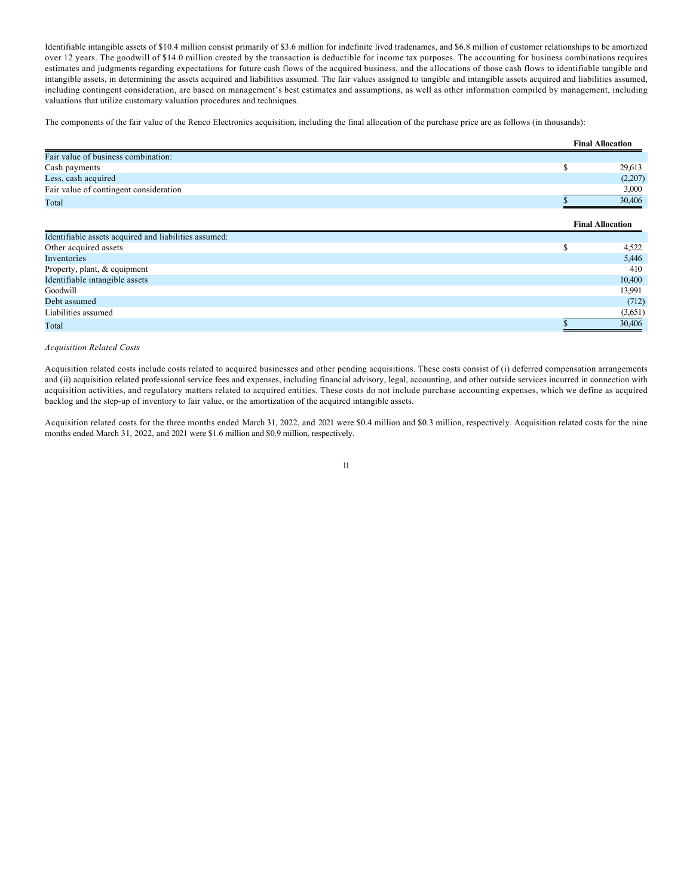Identifiable intangible assets of \$10.4 million consist primarily of \$3.6 million for indefinite lived tradenames, and \$6.8 million of customer relationships to be amortized over 12 years. The goodwill of \$14.0 million created by the transaction is deductible for income tax purposes. The accounting for business combinations requires estimates and judgments regarding expectations for future cash flows of the acquired business, and the allocations of those cash flows to identifiable tangible and intangible assets, in determining the assets acquired and liabilities assumed. The fair values assigned to tangible and intangible assets acquired and liabilities assumed, including contingent consideration, are based on management's best estimates and assumptions, as well as other information compiled by management, including valuations that utilize customary valuation procedures and techniques.

The components of the fair value of the Renco Electronics acquisition, including the final allocation of the purchase price are as follows (in thousands):

|                                        | <b>Final Allocation</b> |  |  |
|----------------------------------------|-------------------------|--|--|
| Fair value of business combination:    |                         |  |  |
| Cash payments                          | 29,613                  |  |  |
| Less, cash acquired                    | (2,207)                 |  |  |
| Fair value of contingent consideration | 3,000                   |  |  |
| Total                                  | 30,406                  |  |  |

|                                                       | <b>Final Allocation</b> |
|-------------------------------------------------------|-------------------------|
| Identifiable assets acquired and liabilities assumed: |                         |
| Other acquired assets                                 | 4,522                   |
| Inventories                                           | 5,446                   |
| Property, plant, & equipment                          | 410                     |
| Identifiable intangible assets                        | 10,400                  |
| Goodwill                                              | 13,991                  |
| Debt assumed                                          | (712)                   |
| Liabilities assumed                                   | (3,651)                 |
| Total                                                 | 30,406                  |

#### *Acquisition Related Costs*

Acquisition related costs include costs related to acquired businesses and other pending acquisitions. These costs consist of (i) deferred compensation arrangements and (ii) acquisition related professional service fees and expenses, including financial advisory, legal, accounting, and other outside services incurred in connection with acquisition activities, and regulatory matters related to acquired entities. These costs do not include purchase accounting expenses, which we define as acquired backlog and the step-up of inventory to fair value, or the amortization of the acquired intangible assets.

Acquisition related costs for the three months ended March 31, 2022, and 2021 were \$0.4 million and \$0.3 million, respectively. Acquisition related costs for the nine months ended March 31, 2022, and 2021 were \$1.6 million and \$0.9 million, respectively.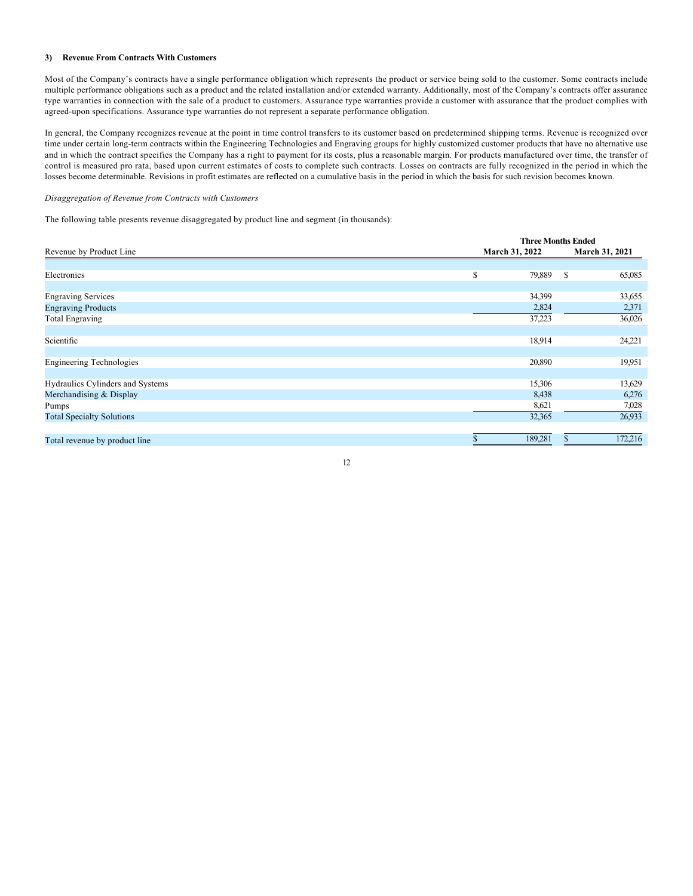#### **3) Revenue From Contracts With Customers**

Most of the Company's contracts have a single performance obligation which represents the product or service being sold to the customer. Some contracts include multiple performance obligations such as a product and the related installation and/or extended warranty. Additionally, most of the Company's contracts offer assurance type warranties in connection with the sale of a product to customers. Assurance type warranties provide a customer with assurance that the product complies with agreed-upon specifications. Assurance type warranties do not represent a separate performance obligation.

In general, the Company recognizes revenue at the point in time control transfers to its customer based on predetermined shipping terms. Revenue is recognized over time under certain long-term contracts within the Engineering Technologies and Engraving groups for highly customized customer products that have no alternative use and in which the contract specifies the Company has a right to payment for its costs, plus a reasonable margin. For products manufactured over time, the transfer of control is measured pro rata, based upon current estimates of costs to complete such contracts. Losses on contracts are fully recognized in the period in which the losses become determinable. Revisions in profit estimates are reflected on a cumulative basis in the period in which the basis for such revision becomes known.

## *Disaggregation of Revenue from Contracts with Customers*

The following table presents revenue disaggregated by product line and segment (in thousands):

|                                  |                | <b>Three Months Ended</b> |                       |  |
|----------------------------------|----------------|---------------------------|-----------------------|--|
| Revenue by Product Line          | March 31, 2022 |                           | <b>March 31, 2021</b> |  |
|                                  |                |                           |                       |  |
| Electronics                      | \$<br>79,889   | -S                        | 65,085                |  |
|                                  |                |                           |                       |  |
| <b>Engraving Services</b>        | 34,399         |                           | 33,655                |  |
| <b>Engraving Products</b>        | 2,824          |                           | 2,371                 |  |
| <b>Total Engraving</b>           | 37,223         |                           | 36,026                |  |
|                                  |                |                           |                       |  |
| Scientific                       | 18,914         |                           | 24,221                |  |
|                                  |                |                           |                       |  |
| <b>Engineering Technologies</b>  | 20,890         |                           | 19,951                |  |
|                                  |                |                           |                       |  |
| Hydraulics Cylinders and Systems | 15,306         |                           | 13,629                |  |
| Merchandising & Display          | 8,438          |                           | 6,276                 |  |
| Pumps                            | 8,621          |                           | 7,028                 |  |
| <b>Total Specialty Solutions</b> | 32,365         |                           | 26,933                |  |
|                                  |                |                           |                       |  |
| Total revenue by product line    | 189,281        |                           | 172,216               |  |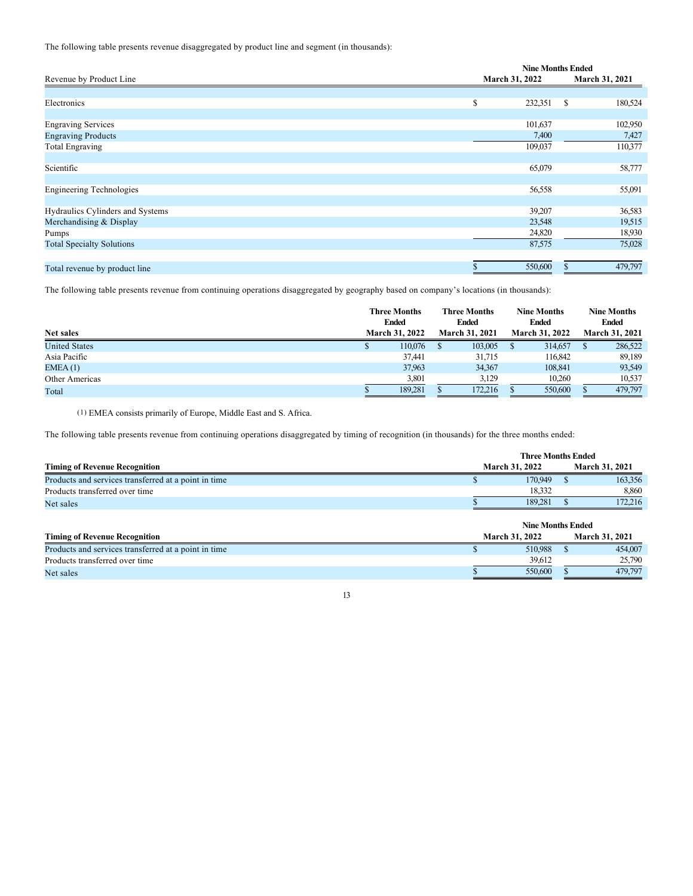The following table presents revenue disaggregated by product line and segment (in thousands):

|                                  |                | <b>Nine Months Ended</b> |
|----------------------------------|----------------|--------------------------|
| Revenue by Product Line          | March 31, 2022 | March 31, 2021           |
|                                  |                |                          |
| Electronics                      | \$<br>232,351  | <sup>\$</sup><br>180,524 |
|                                  |                |                          |
| <b>Engraving Services</b>        | 101,637        | 102,950                  |
| <b>Engraving Products</b>        |                | 7,427<br>7,400           |
| <b>Total Engraving</b>           | 109,037        | 110,377                  |
|                                  |                |                          |
| Scientific                       | 65,079         | 58,777                   |
|                                  |                |                          |
| <b>Engineering Technologies</b>  | 56,558         | 55,091                   |
|                                  |                |                          |
| Hydraulics Cylinders and Systems | 39,207         | 36,583                   |
| Merchandising & Display          | 23,548         | 19,515                   |
| Pumps                            | 24,820         | 18,930                   |
| <b>Total Specialty Solutions</b> | 87,575         | 75,028                   |
|                                  |                |                          |
| Total revenue by product line    | 550,600        | 479,797                  |

The following table presents revenue from continuing operations disaggregated by geography based on company's locations (in thousands):

|                      | <b>Three Months</b><br><b>Ended</b><br><b>March 31, 2022</b> |         | <b>Three Months</b><br><b>Ended</b> |   | <b>Nine Months</b><br><b>Ended</b> |   | <b>Nine Months</b><br><b>Ended</b> |
|----------------------|--------------------------------------------------------------|---------|-------------------------------------|---|------------------------------------|---|------------------------------------|
| <b>Net sales</b>     |                                                              |         | <b>March 31, 2021</b>               |   | <b>March 31, 2022</b>              |   | <b>March 31, 2021</b>              |
| <b>United States</b> |                                                              | 110,076 | 103,005                             | S | 314,657                            | S | 286,522                            |
| Asia Pacific         |                                                              | 37.441  | 31.715                              |   | 116,842                            |   | 89,189                             |
| EMEA(1)              |                                                              | 37,963  | 34,367                              |   | 108,841                            |   | 93,549                             |
| Other Americas       |                                                              | 3,801   | 3,129                               |   | 10.260                             |   | 10,537                             |
| Total                |                                                              | 189,281 | 172,216                             |   | 550,600                            |   | 479,797                            |

(1) EMEA consists primarily of Europe, Middle East and S. Africa.

The following table presents revenue from continuing operations disaggregated by timing of recognition (in thousands) for the three months ended:

|                                                      |                             | <b>Three Months Ended</b> |                       |  |  |  |  |  |  |  |
|------------------------------------------------------|-----------------------------|---------------------------|-----------------------|--|--|--|--|--|--|--|
| <b>Timing of Revenue Recognition</b>                 | <b>March 31, 2022</b>       |                           | <b>March 31, 2021</b> |  |  |  |  |  |  |  |
| Products and services transferred at a point in time |                             | 170,949                   | 163,356               |  |  |  |  |  |  |  |
| Products transferred over time                       |                             | 18.332                    | 8,860                 |  |  |  |  |  |  |  |
| Net sales                                            |                             | 189.281                   | 172.216               |  |  |  |  |  |  |  |
| $-$<br>$\mathbf{a}$<br>$\sim$<br>$\cdot \cdot$       | 1.21.0000<br>$\blacksquare$ | <b>Nine Months Ended</b>  | 35 1.04.004           |  |  |  |  |  |  |  |

| <b>Timing of Revenue Recognition</b>                 | <b>March 31, 2022</b> | <b>March 31, 2021</b> |         |
|------------------------------------------------------|-----------------------|-----------------------|---------|
| Products and services transferred at a point in time |                       | 510,988               | 454,007 |
| Products transferred over time                       |                       | 39,612                | 25.790  |
| Net sales                                            |                       | 550,600               | 479.797 |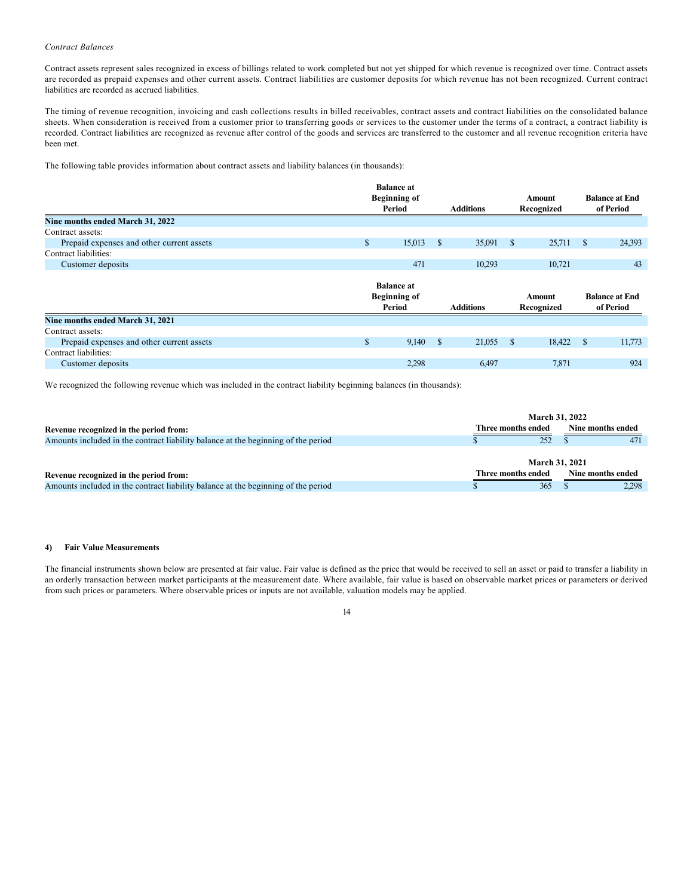#### *Contract Balances*

Contract assets represent sales recognized in excess of billings related to work completed but not yet shipped for which revenue is recognized over time. Contract assets are recorded as prepaid expenses and other current assets. Contract liabilities are customer deposits for which revenue has not been recognized. Current contract liabilities are recorded as accrued liabilities.

The timing of revenue recognition, invoicing and cash collections results in billed receivables, contract assets and contract liabilities on the consolidated balance sheets. When consideration is received from a customer prior to transferring goods or services to the customer under the terms of a contract, a contract liability is recorded. Contract liabilities are recognized as revenue after control of the goods and services are transferred to the customer and all revenue recognition criteria have been met.

The following table provides information about contract assets and liability balances (in thousands):

|                                           | <b>Balance at</b><br><b>Beginning of</b>           |               |                  |              | Amount               |            | <b>Balance at End</b>              |
|-------------------------------------------|----------------------------------------------------|---------------|------------------|--------------|----------------------|------------|------------------------------------|
|                                           | Period<br><b>Additions</b>                         |               |                  |              | Recognized           | of Period  |                                    |
| Nine months ended March 31, 2022          |                                                    |               |                  |              |                      |            |                                    |
| Contract assets:                          |                                                    |               |                  |              |                      |            |                                    |
| Prepaid expenses and other current assets | \$<br>15,013                                       | S             | 35,091           | <sup>S</sup> | 25,711               | $^{\circ}$ | 24,393                             |
| Contract liabilities:                     |                                                    |               |                  |              |                      |            |                                    |
| Customer deposits                         | 471                                                |               | 10.293           |              | 10,721               |            | 43                                 |
|                                           |                                                    |               |                  |              |                      |            |                                    |
|                                           | <b>Balance at</b><br><b>Beginning of</b><br>Period |               | <b>Additions</b> |              | Amount<br>Recognized |            | <b>Balance at End</b><br>of Period |
| Nine months ended March 31, 2021          |                                                    |               |                  |              |                      |            |                                    |
| Contract assets:                          |                                                    |               |                  |              |                      |            |                                    |
| Prepaid expenses and other current assets | \$<br>9,140                                        | <sup>\$</sup> | 21,055           | - \$         | 18,422               | - \$       | 11,773                             |
| Contract liabilities:                     |                                                    |               |                  |              |                      |            |                                    |

We recognized the following revenue which was included in the contract liability beginning balances (in thousands):

|                                                                                   |                    | <b>March 31, 2022</b> |  |  |
|-----------------------------------------------------------------------------------|--------------------|-----------------------|--|--|
| Revenue recognized in the period from:                                            | Three months ended | Nine months ended     |  |  |
| Amounts included in the contract liability balance at the beginning of the period | 252                | 471                   |  |  |
|                                                                                   |                    | <b>March 31, 2021</b> |  |  |
| Revenue recognized in the period from:                                            | Three months ended | Nine months ended     |  |  |
| Amounts included in the contract liability balance at the beginning of the period | 365                | 2.298                 |  |  |

#### **4) Fair Value Measurements**

The financial instruments shown below are presented at fair value. Fair value is defined as the price that would be received to sell an asset or paid to transfer a liability in an orderly transaction between market participants at the measurement date. Where available, fair value is based on observable market prices or parameters or derived from such prices or parameters. Where observable prices or inputs are not available, valuation models may be applied.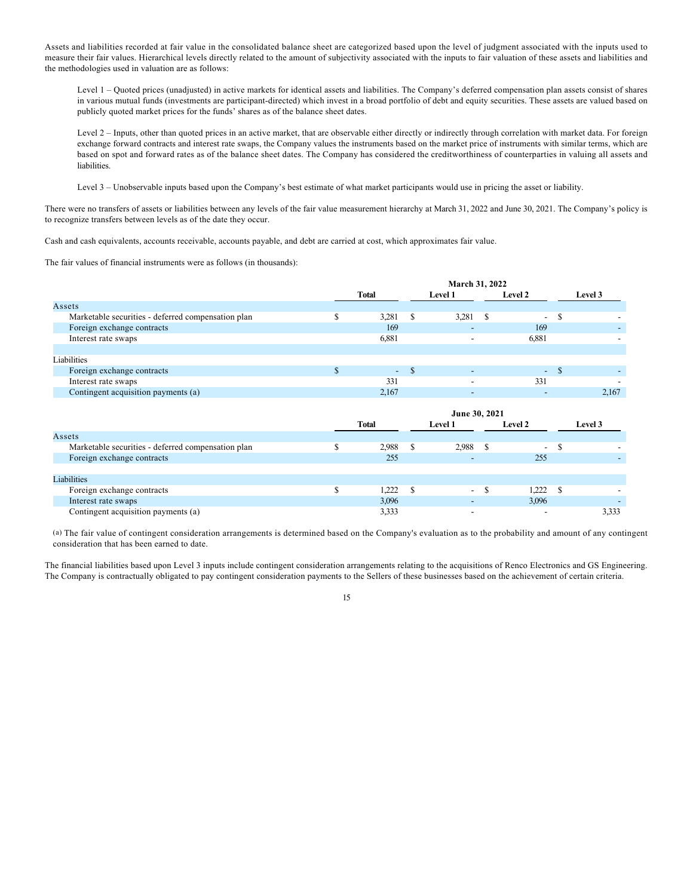Assets and liabilities recorded at fair value in the consolidated balance sheet are categorized based upon the level of judgment associated with the inputs used to measure their fair values. Hierarchical levels directly related to the amount of subjectivity associated with the inputs to fair valuation of these assets and liabilities and the methodologies used in valuation are as follows:

Level 1 – Quoted prices (unadjusted) in active markets for identical assets and liabilities. The Company's deferred compensation plan assets consist of shares in various mutual funds (investments are participant-directed) which invest in a broad portfolio of debt and equity securities. These assets are valued based on publicly quoted market prices for the funds' shares as of the balance sheet dates.

Level 2 – Inputs, other than quoted prices in an active market, that are observable either directly or indirectly through correlation with market data. For foreign exchange forward contracts and interest rate swaps, the Company values the instruments based on the market price of instruments with similar terms, which are based on spot and forward rates as of the balance sheet dates. The Company has considered the creditworthiness of counterparties in valuing all assets and liabilities.

Level 3 – Unobservable inputs based upon the Company's best estimate of what market participants would use in pricing the asset or liability.

There were no transfers of assets or liabilities between any levels of the fair value measurement hierarchy at March 31, 2022 and June 30, 2021. The Company's policy is to recognize transfers between levels as of the date they occur.

Cash and cash equivalents, accounts receivable, accounts payable, and debt are carried at cost, which approximates fair value.

The fair values of financial instruments were as follows (in thousands):

|                                                    | March 31, 2022 |              |    |                |    |                |    |                |  |
|----------------------------------------------------|----------------|--------------|----|----------------|----|----------------|----|----------------|--|
|                                                    |                | <b>Total</b> |    | <b>Level 1</b> |    | <b>Level 2</b> |    | <b>Level 3</b> |  |
| Assets                                             |                |              |    |                |    |                |    |                |  |
| Marketable securities - deferred compensation plan |                | 3.281        | S  | 3,281          | -8 | $\overline{a}$ | S  |                |  |
| Foreign exchange contracts                         |                | 169          |    |                |    | 169            |    |                |  |
| Interest rate swaps                                |                | 6,881        |    |                |    | 6,881          |    |                |  |
|                                                    |                |              |    |                |    |                |    |                |  |
| Liabilities                                        |                |              |    |                |    |                |    |                |  |
| Foreign exchange contracts                         |                | $\sim$       | -S |                |    | $\sim$ .       | -S |                |  |
| Interest rate swaps                                |                | 331          |    | -              |    | 331            |    |                |  |
| Contingent acquisition payments (a)                |                | 2,167        |    | ۰              |    | $\blacksquare$ |    | 2,167          |  |
|                                                    |                |              |    |                |    |                |    |                |  |

|                                                    | June 30, 2021 |              |  |                |  |                          |  |         |  |
|----------------------------------------------------|---------------|--------------|--|----------------|--|--------------------------|--|---------|--|
|                                                    |               | <b>Total</b> |  | <b>Level 1</b> |  | <b>Level 2</b>           |  | Level 3 |  |
| Assets                                             |               |              |  |                |  |                          |  |         |  |
| Marketable securities - deferred compensation plan |               | 2,988        |  | 2,988          |  | $\overline{\phantom{0}}$ |  |         |  |
| Foreign exchange contracts                         |               | 255          |  |                |  | 255                      |  |         |  |
|                                                    |               |              |  |                |  |                          |  |         |  |
| Liabilities                                        |               |              |  |                |  |                          |  |         |  |
| Foreign exchange contracts                         |               | 1.222        |  | $\sim$         |  | .222                     |  | -       |  |
| Interest rate swaps                                |               | 3,096        |  |                |  | 3,096                    |  |         |  |
| Contingent acquisition payments (a)                |               | 3,333        |  |                |  |                          |  | 3,333   |  |

(a) The fair value of contingent consideration arrangements is determined based on the Company's evaluation as to the probability and amount of any contingent consideration that has been earned to date.

The financial liabilities based upon Level 3 inputs include contingent consideration arrangements relating to the acquisitions of Renco Electronics and GS Engineering. The Company is contractually obligated to pay contingent consideration payments to the Sellers of these businesses based on the achievement of certain criteria.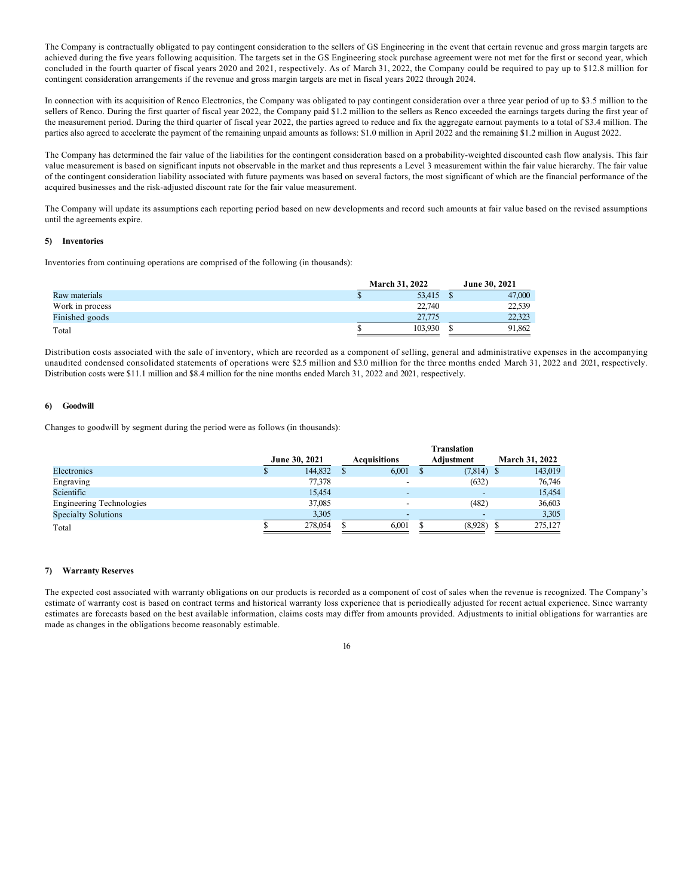The Company is contractually obligated to pay contingent consideration to the sellers of GS Engineering in the event that certain revenue and gross margin targets are achieved during the five years following acquisition. The targets set in the GS Engineering stock purchase agreement were not met for the first or second year, which concluded in the fourth quarter of fiscal years 2020 and 2021, respectively. As of March 31, 2022, the Company could be required to pay up to \$12.8 million for contingent consideration arrangements if the revenue and gross margin targets are met in fiscal years 2022 through 2024.

In connection with its acquisition of Renco Electronics, the Company was obligated to pay contingent consideration over a three year period of up to \$3.5 million to the sellers of Renco. During the first quarter of fiscal year 2022, the Company paid \$1.2 million to the sellers as Renco exceeded the earnings targets during the first year of the measurement period. During the third quarter of fiscal year 2022, the parties agreed to reduce and fix the aggregate earnout payments to a total of \$3.4 million. The parties also agreed to accelerate the payment of the remaining unpaid amounts as follows: \$1.0 million in April 2022 and the remaining \$1.2 million in August 2022.

The Company has determined the fair value of the liabilities for the contingent consideration based on a probability-weighted discounted cash flow analysis. This fair value measurement is based on significant inputs not observable in the market and thus represents a Level 3 measurement within the fair value hierarchy. The fair value of the contingent consideration liability associated with future payments was based on several factors, the most significant of which are the financial performance of the acquired businesses and the risk-adjusted discount rate for the fair value measurement.

The Company will update its assumptions each reporting period based on new developments and record such amounts at fair value based on the revised assumptions until the agreements expire.

#### **5) Inventories**

Inventories from continuing operations are comprised of the following (in thousands):

|                 | <b>March 31, 2022</b> | June 30, 2021 |
|-----------------|-----------------------|---------------|
| Raw materials   | 53,415                | 47,000        |
| Work in process | 22,740                | 22,539        |
| Finished goods  | 27,775                | 22,323        |
| Total           | 103.930               | 91.862        |

Distribution costs associated with the sale of inventory, which are recorded as a component of selling, general and administrative expenses in the accompanying unaudited condensed consolidated statements of operations were \$2.5 million and \$3.0 million for the three months ended March 31, 2022 and 2021, respectively. Distribution costs were \$11.1 million and \$8.4 million for the nine months ended March 31, 2022 and 2021, respectively.

#### **6) Goodwill**

Changes to goodwill by segment during the period were as follows (in thousands):

|                                 |                      |                     | <b>Translation</b> |                       |
|---------------------------------|----------------------|---------------------|--------------------|-----------------------|
|                                 | <b>June 30, 2021</b> | <b>Acquisitions</b> | <b>Adiustment</b>  | <b>March 31, 2022</b> |
| Electronics                     | 144,832              | 6,001               | $(7,814)$ \$       | 143,019               |
| Engraving                       | 77,378               |                     | (632)              | 76,746                |
| Scientific                      | 15,454               |                     |                    | 15,454                |
| <b>Engineering Technologies</b> | 37,085               |                     | (482)              | 36,603                |
| <b>Specialty Solutions</b>      | 3,305                |                     |                    | 3,305                 |
| Total                           | 278,054              | 6.001               | (8,928)            | 275,127               |

#### **7) Warranty Reserves**

The expected cost associated with warranty obligations on our products is recorded as a component of cost of sales when the revenue is recognized. The Company's estimate of warranty cost is based on contract terms and historical warranty loss experience that is periodically adjusted for recent actual experience. Since warranty estimates are forecasts based on the best available information, claims costs may differ from amounts provided. Adjustments to initial obligations for warranties are made as changes in the obligations become reasonably estimable.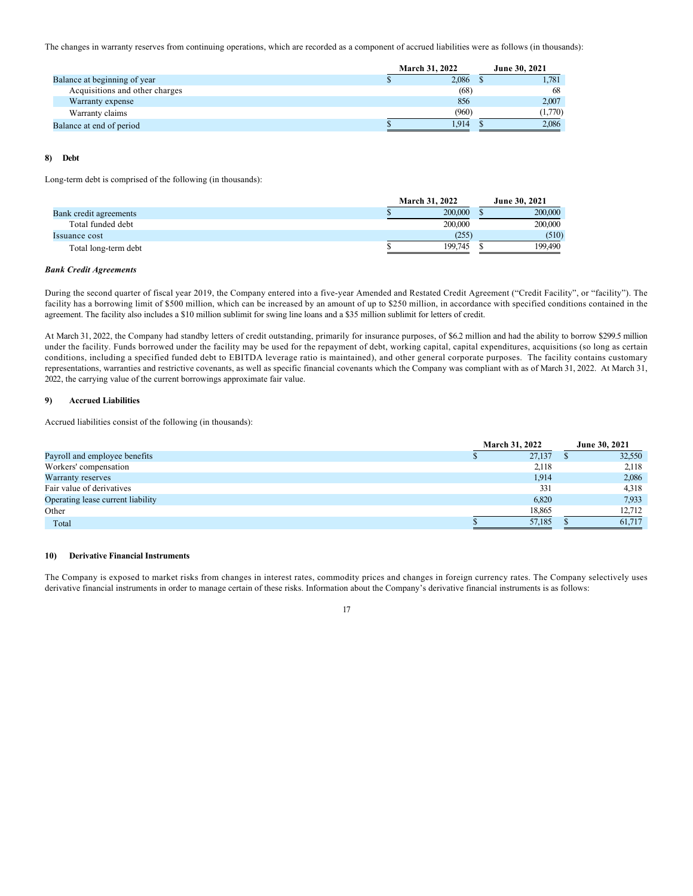The changes in warranty reserves from continuing operations, which are recorded as a component of accrued liabilities were as follows (in thousands):

|                                | <b>March 31, 2022</b> | June 30, 2021 |
|--------------------------------|-----------------------|---------------|
| Balance at beginning of year   | 2,086                 | 1,781         |
| Acquisitions and other charges | (68)                  | 68            |
| Warranty expense               | 856                   | 2,007         |
| Warranty claims                | (960)                 | (1,770)       |
| Balance at end of period       | 1.914                 | 2,086         |

#### **8) Debt**

Long-term debt is comprised of the following (in thousands):

|                        | <b>March 31, 2022</b> | June 30, 2021 |
|------------------------|-----------------------|---------------|
| Bank credit agreements | 200,000               | 200,000       |
| Total funded debt      | 200,000               | 200,000       |
| Issuance cost          | (255)                 | (510)         |
| Total long-term debt   | 199.745               | 199.490       |

#### *Bank Credit Agreements*

During the second quarter of fiscal year 2019, the Company entered into a five-year Amended and Restated Credit Agreement ("Credit Facility", or "facility"). The facility has a borrowing limit of \$500 million, which can be increased by an amount of up to \$250 million, in accordance with specified conditions contained in the agreement. The facility also includes a \$10 million sublimit for swing line loans and a \$35 million sublimit for letters of credit.

At March 31, 2022, the Company had standby letters of credit outstanding, primarily for insurance purposes, of \$6.2 million and had the ability to borrow \$299.5 million under the facility. Funds borrowed under the facility may be used for the repayment of debt, working capital, capital expenditures, acquisitions (so long as certain conditions, including a specified funded debt to EBITDA leverage ratio is maintained), and other general corporate purposes. The facility contains customary representations, warranties and restrictive covenants, as well as specific financial covenants which the Company was compliant with as of March 31, 2022. At March 31, 2022, the carrying value of the current borrowings approximate fair value.

#### **9) Accrued Liabilities**

Accrued liabilities consist of the following (in thousands):

|                                   | March 31, 2022 | June 30, 2021 |
|-----------------------------------|----------------|---------------|
| Payroll and employee benefits     | 27,137         | 32,550        |
| Workers' compensation             | 2,118          | 2,118         |
| Warranty reserves                 | 1.914          | 2,086         |
| Fair value of derivatives         | 331            | 4,318         |
| Operating lease current liability | 6,820          | 7,933         |
| Other                             | 18.865         | 12.712        |
| Total                             | 57,185         | 61,717        |

#### **10) Derivative Financial Instruments**

The Company is exposed to market risks from changes in interest rates, commodity prices and changes in foreign currency rates. The Company selectively uses derivative financial instruments in order to manage certain of these risks. Information about the Company's derivative financial instruments is as follows: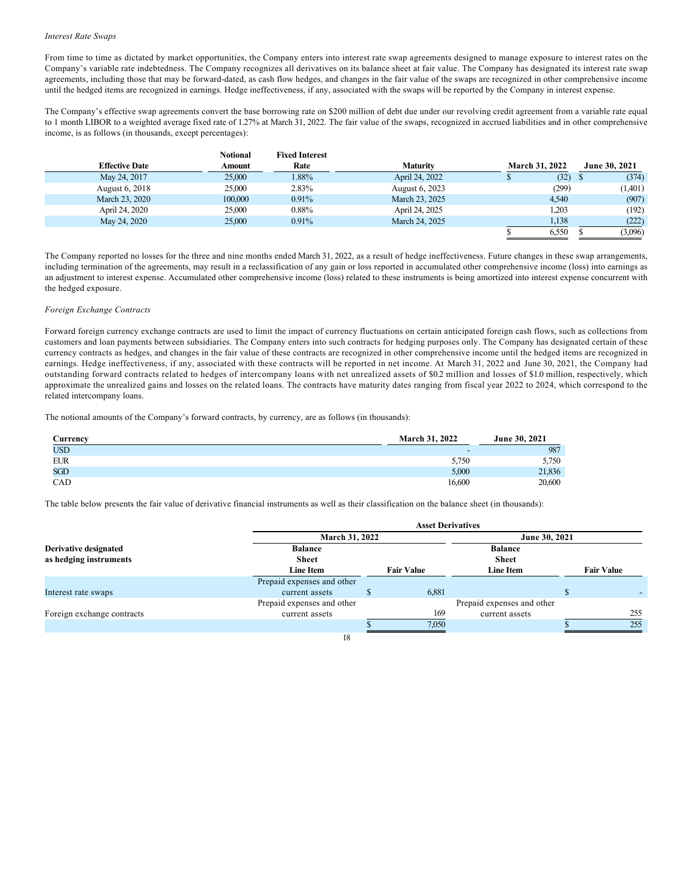## *Interest Rate Swaps*

From time to time as dictated by market opportunities, the Company enters into interest rate swap agreements designed to manage exposure to interest rates on the Company's variable rate indebtedness. The Company recognizes all derivatives on its balance sheet at fair value. The Company has designated its interest rate swap agreements, including those that may be forward-dated, as cash flow hedges, and changes in the fair value of the swaps are recognized in other comprehensive income until the hedged items are recognized in earnings. Hedge ineffectiveness, if any, associated with the swaps will be reported by the Company in interest expense.

The Company's effective swap agreements convert the base borrowing rate on \$200 million of debt due under our revolving credit agreement from a variable rate equal to 1 month LIBOR to a weighted average fixed rate of 1.27% at March 31, 2022. The fair value of the swaps, recognized in accrued liabilities and in other comprehensive income, is as follows (in thousands, except percentages):

| <b>Effective Date</b> | <b>Notional</b><br>Amount | <b>Fixed Interest</b><br>Rate | <b>Maturity</b> | <b>March 31, 2022</b> | June 30, 2021 |         |
|-----------------------|---------------------------|-------------------------------|-----------------|-----------------------|---------------|---------|
| May 24, 2017          | 25,000                    | 1.88%                         | April 24, 2022  | (32)                  |               | (374)   |
| August 6, 2018        | 25,000                    | 2.83%                         | August 6, 2023  | (299)                 |               | (1,401) |
| March 23, 2020        | 100,000                   | 0.91%                         | March 23, 2025  | 4.540                 |               | (907)   |
| April 24, 2020        | 25,000                    | 0.88%                         | April 24, 2025  | 1,203                 |               | (192)   |
| May 24, 2020          | 25,000                    | 0.91%                         | March 24, 2025  | 1,138                 |               | (222)   |
|                       |                           |                               |                 | 6,550                 |               | (3,096) |

The Company reported no losses for the three and nine months ended March 31, 2022, as a result of hedge ineffectiveness. Future changes in these swap arrangements, including termination of the agreements, may result in a reclassification of any gain or loss reported in accumulated other comprehensive income (loss) into earnings as an adjustment to interest expense. Accumulated other comprehensive income (loss) related to these instruments is being amortized into interest expense concurrent with the hedged exposure.

## *Foreign Exchange Contracts*

Forward foreign currency exchange contracts are used to limit the impact of currency fluctuations on certain anticipated foreign cash flows, such as collections from customers and loan payments between subsidiaries. The Company enters into such contracts for hedging purposes only. The Company has designated certain of these currency contracts as hedges, and changes in the fair value of these contracts are recognized in other comprehensive income until the hedged items are recognized in earnings. Hedge ineffectiveness, if any, associated with these contracts will be reported in net income. At March 31, 2022 and June 30, 2021, the Company had outstanding forward contracts related to hedges of intercompany loans with net unrealized assets of \$0.2 million and losses of \$1.0 million, respectively, which approximate the unrealized gains and losses on the related loans. The contracts have maturity dates ranging from fiscal year 2022 to 2024, which correspond to the related intercompany loans.

The notional amounts of the Company's forward contracts, by currency, are as follows (in thousands):

| Currency   | <b>March 31, 2022</b> | June 30, 2021 |
|------------|-----------------------|---------------|
| <b>USD</b> | -                     | 987           |
| EUR        | 5,750                 | 5,750         |
| <b>SGD</b> | 5,000                 | 21,836        |
| CAD        | 16,600                | 20,600        |

The table below presents the fair value of derivative financial instruments as well as their classification on the balance sheet (in thousands):

|                                                 |                                | <b>Asset Derivatives</b> |       |                                |  |                   |  |  |  |  |  |
|-------------------------------------------------|--------------------------------|--------------------------|-------|--------------------------------|--|-------------------|--|--|--|--|--|
|                                                 | March 31, 2022                 |                          |       | June 30, 2021                  |  |                   |  |  |  |  |  |
| Derivative designated<br>as hedging instruments | <b>Balance</b><br><b>Sheet</b> |                          |       | <b>Balance</b><br><b>Sheet</b> |  |                   |  |  |  |  |  |
|                                                 | <b>Line Item</b>               | <b>Fair Value</b>        |       | <b>Line Item</b>               |  | <b>Fair Value</b> |  |  |  |  |  |
|                                                 | Prepaid expenses and other     |                          |       |                                |  |                   |  |  |  |  |  |
| Interest rate swaps                             | current assets                 |                          | 6,881 |                                |  |                   |  |  |  |  |  |
|                                                 | Prepaid expenses and other     |                          |       | Prepaid expenses and other     |  |                   |  |  |  |  |  |
| Foreign exchange contracts                      | current assets                 |                          | 169   | current assets                 |  | 255               |  |  |  |  |  |
|                                                 |                                |                          | 7,050 |                                |  | 255               |  |  |  |  |  |
|                                                 | 18                             |                          |       |                                |  |                   |  |  |  |  |  |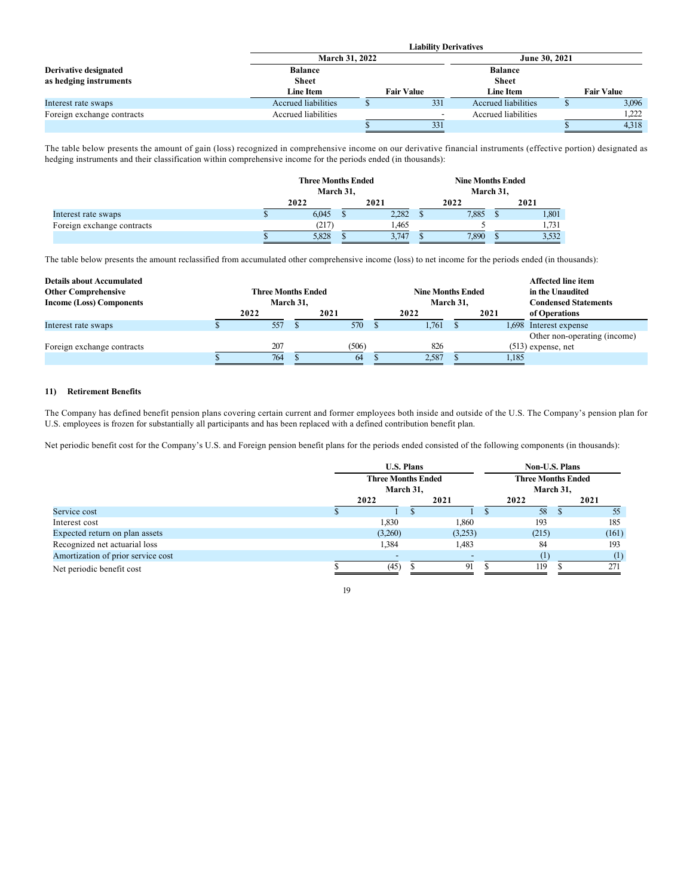|                                                 | <b>Liability Derivatives</b>   |  |                   |                                |               |                   |  |  |  |  |
|-------------------------------------------------|--------------------------------|--|-------------------|--------------------------------|---------------|-------------------|--|--|--|--|
|                                                 | March 31, 2022                 |  |                   |                                | June 30, 2021 |                   |  |  |  |  |
| Derivative designated<br>as hedging instruments | <b>Balance</b><br><b>Sheet</b> |  |                   | <b>Balance</b><br><b>Sheet</b> |               |                   |  |  |  |  |
|                                                 | <b>Line Item</b>               |  | <b>Fair Value</b> | <b>Line Item</b>               |               | <b>Fair Value</b> |  |  |  |  |
| Interest rate swaps                             | Accrued liabilities            |  | 331               | Accrued liabilities            |               | 3,096             |  |  |  |  |
| Foreign exchange contracts                      | Accrued liabilities            |  |                   | Accrued liabilities            |               | 1,222             |  |  |  |  |
|                                                 |                                |  | 331               |                                |               | 4,318             |  |  |  |  |

The table below presents the amount of gain (loss) recognized in comprehensive income on our derivative financial instruments (effective portion) designated as hedging instruments and their classification within comprehensive income for the periods ended (in thousands):

|                            |   | <b>Three Months Ended</b><br>March 31, | <b>Nine Months Ended</b><br>March 31, |  |       |  |       |
|----------------------------|---|----------------------------------------|---------------------------------------|--|-------|--|-------|
|                            |   | 2022                                   | 2021                                  |  | 2022  |  | 2021  |
| Interest rate swaps        | w | 6,045                                  | 2,282                                 |  | 7,885 |  | 1,801 |
| Foreign exchange contracts |   | (217)                                  | 1.465                                 |  |       |  | 1,731 |
|                            |   | 5,828                                  | 3,747                                 |  | 7,890 |  | 3,532 |

The table below presents the amount reclassified from accumulated other comprehensive income (loss) to net income for the periods ended (in thousands):

| <b>Details about Accumulated</b><br><b>Other Comprehensive</b><br><b>Income (Loss) Components</b> |      | <b>Three Months Ended</b><br>March 31, |       | <b>Nine Months Ended</b><br>March 31, |       | <b>Affected line item</b><br>in the Unaudited<br><b>Condensed Statements</b> |
|---------------------------------------------------------------------------------------------------|------|----------------------------------------|-------|---------------------------------------|-------|------------------------------------------------------------------------------|
|                                                                                                   | 2022 |                                        | 2021  | 2022                                  | 2021  | of Operations                                                                |
| Interest rate swaps                                                                               |      | 557                                    | 570   | 1.761                                 |       | 1,698 Interest expense                                                       |
| Foreign exchange contracts                                                                        |      | 207                                    | (506) | 826                                   |       | Other non-operating (income)<br>$(513)$ expense, net                         |
|                                                                                                   |      | 764                                    | 64    | 2,587                                 | 1,185 |                                                                              |

## **11) Retirement Benefits**

The Company has defined benefit pension plans covering certain current and former employees both inside and outside of the U.S. The Company's pension plan for U.S. employees is frozen for substantially all participants and has been replaced with a defined contribution benefit plan.

Net periodic benefit cost for the Company's U.S. and Foreign pension benefit plans for the periods ended consisted of the following components (in thousands):

|                                    | <b>U.S. Plans</b>                      |         |  |                                        |  | <b>Non-U.S. Plans</b> |  |  |  |
|------------------------------------|----------------------------------------|---------|--|----------------------------------------|--|-----------------------|--|--|--|
|                                    | <b>Three Months Ended</b><br>March 31, |         |  | <b>Three Months Ended</b><br>March 31, |  |                       |  |  |  |
|                                    | 2022                                   | 2021    |  | 2022                                   |  | 2021                  |  |  |  |
| Service cost                       |                                        |         |  | 58                                     |  | 55                    |  |  |  |
| Interest cost                      | 1,830                                  | 1,860   |  | 193                                    |  | 185                   |  |  |  |
| Expected return on plan assets     | (3,260)                                | (3,253) |  | (215)                                  |  | (161)                 |  |  |  |
| Recognized net actuarial loss      | 1,384                                  | 1,483   |  | 84                                     |  | 193                   |  |  |  |
| Amortization of prior service cost |                                        |         |  | ( l                                    |  | (1)                   |  |  |  |
| Net periodic benefit cost          | (45)                                   | 91      |  | 119                                    |  | 271                   |  |  |  |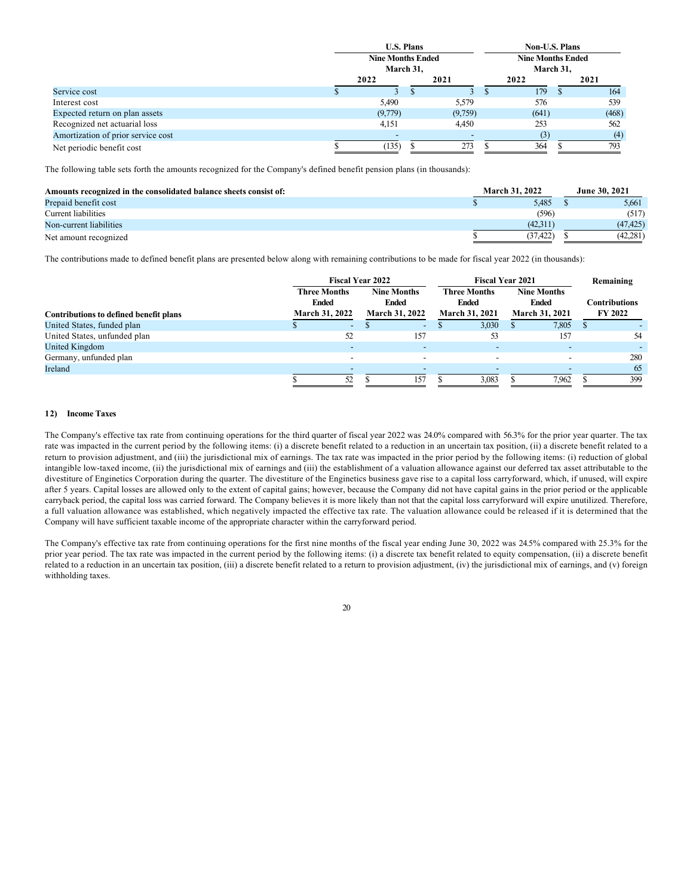|                                    | <b>U.S. Plans</b>        |         | <b>Non-U.S. Plans</b> |                                       |  |       |  |
|------------------------------------|--------------------------|---------|-----------------------|---------------------------------------|--|-------|--|
|                                    | <b>Nine Months Ended</b> |         |                       | <b>Nine Months Ended</b><br>March 31, |  |       |  |
|                                    | March 31,                |         |                       |                                       |  |       |  |
|                                    | 2022                     | 2021    |                       | 2022                                  |  | 2021  |  |
| Service cost                       |                          |         |                       | 179                                   |  | 164   |  |
| Interest cost                      | 5,490                    | 5,579   |                       | 576                                   |  | 539   |  |
| Expected return on plan assets     | (9,779)                  | (9,759) |                       | (641)                                 |  | (468) |  |
| Recognized net actuarial loss      | 4,151                    | 4,450   |                       | 253                                   |  | 562   |  |
| Amortization of prior service cost |                          |         |                       | (3)                                   |  | (4)   |  |
| Net periodic benefit cost          | (135)                    | 273     |                       | 364                                   |  | 793   |  |

The following table sets forth the amounts recognized for the Company's defined benefit pension plans (in thousands):

| Amounts recognized in the consolidated balance sheets consist of: | March 31, 2022 | June 30, 2021 |  |  |
|-------------------------------------------------------------------|----------------|---------------|--|--|
| Prepaid benefit cost                                              | 5.485          | 5,661         |  |  |
| Current liabilities                                               | (596)          | (517)         |  |  |
| Non-current liabilities                                           | (42.311)       | (47, 425)     |  |  |
| Net amount recognized                                             | (37, 422)      | (42, 281)     |  |  |

The contributions made to defined benefit plans are presented below along with remaining contributions to be made for fiscal year 2022 (in thousands):

|                                        |                          | <b>Fiscal Year 2022</b> | <b>Fiscal Year 2021</b>  | Remaining          |                |
|----------------------------------------|--------------------------|-------------------------|--------------------------|--------------------|----------------|
|                                        | <b>Three Months</b>      | <b>Nine Months</b>      | <b>Three Months</b>      | <b>Nine Months</b> |                |
|                                        | <b>Ended</b>             | <b>Ended</b>            | <b>Ended</b>             | <b>Ended</b>       | Contributions  |
| Contributions to defined benefit plans | <b>March 31, 2022</b>    | March 31, 2022          | <b>March 31, 2021</b>    | March 31, 2021     | <b>FY 2022</b> |
| United States, funded plan             | $\sim$                   | ٠                       | 3,030                    | 7,805              |                |
| United States, unfunded plan           | 52                       | 157                     | 53                       | 157                | 54             |
| United Kingdom                         | $\overline{\phantom{a}}$ | ۰                       | $\overline{\phantom{a}}$ | -                  |                |
| Germany, unfunded plan                 | $\overline{\phantom{a}}$ | $\sim$                  | $\overline{\phantom{0}}$ | -                  | 280            |
| Ireland                                | $\overline{\phantom{a}}$ | -                       |                          |                    | 65             |
|                                        | 52                       | 157                     | 3.083                    | 7.962              | 399            |

#### **12) Income Taxes**

The Company's effective tax rate from continuing operations for the third quarter of fiscal year 2022 was 24.0% compared with 56.3% for the prior year quarter. The tax rate was impacted in the current period by the following items: (i) a discrete benefit related to a reduction in an uncertain tax position, (ii) a discrete benefit related to a return to provision adjustment, and (iii) the jurisdictional mix of earnings. The tax rate was impacted in the prior period by the following items: (i) reduction of global intangible low-taxed income, (ii) the jurisdictional mix of earnings and (iii) the establishment of a valuation allowance against our deferred tax asset attributable to the divestiture of Enginetics Corporation during the quarter. The divestiture of the Enginetics business gave rise to a capital loss carryforward, which, if unused, will expire after 5 years. Capital losses are allowed only to the extent of capital gains; however, because the Company did not have capital gains in the prior period or the applicable carryback period, the capital loss was carried forward. The Company believes it is more likely than not that the capital loss carryforward will expire unutilized. Therefore, a full valuation allowance was established, which negatively impacted the effective tax rate. The valuation allowance could be released if it is determined that the Company will have sufficient taxable income of the appropriate character within the carryforward period.

The Company's effective tax rate from continuing operations for the first nine months of the fiscal year ending June 30, 2022 was 24.5% compared with 25.3% for the prior year period. The tax rate was impacted in the current period by the following items: (i) a discrete tax benefit related to equity compensation, (ii) a discrete benefit related to a reduction in an uncertain tax position, (iii) a discrete benefit related to a return to provision adjustment, (iv) the jurisdictional mix of earnings, and (v) foreign withholding taxes.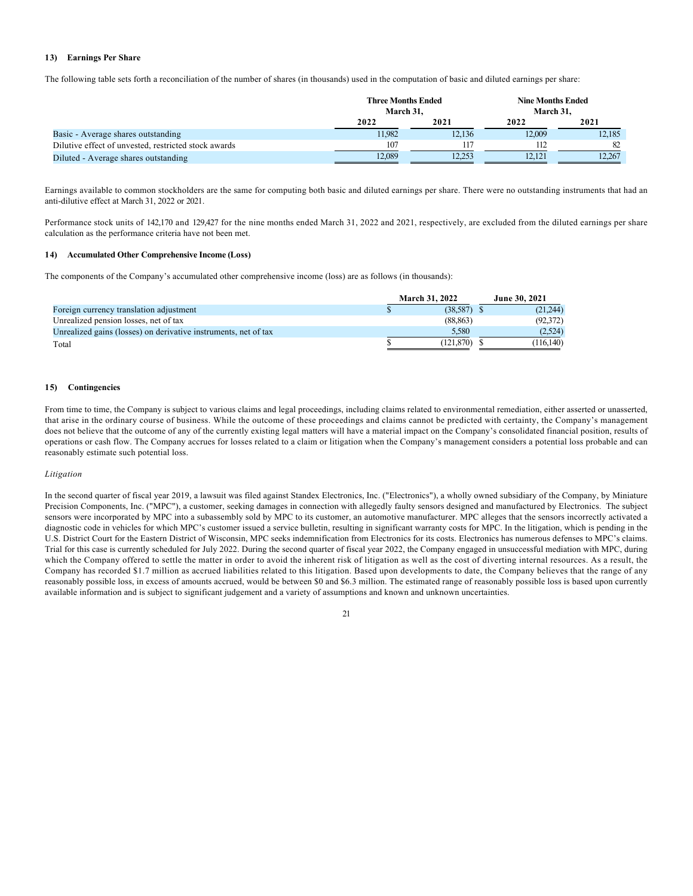#### **13) Earnings Per Share**

The following table sets forth a reconciliation of the number of shares (in thousands) used in the computation of basic and diluted earnings per share:

|                                                      | <b>Three Months Ended</b><br>March 31. |        | <b>Nine Months Ended</b><br>March 31. |        |
|------------------------------------------------------|----------------------------------------|--------|---------------------------------------|--------|
|                                                      | 2022                                   | 2021   | 2022                                  | 2021   |
| Basic - Average shares outstanding                   | 11.982                                 | 12.136 | 12.009                                | 12,185 |
| Dilutive effect of unvested, restricted stock awards | 107                                    | 117    | 112                                   | 82     |
| Diluted - Average shares outstanding                 | 12.089                                 | 12.253 | 12.121                                | 12.267 |

Earnings available to common stockholders are the same for computing both basic and diluted earnings per share. There were no outstanding instruments that had an anti-dilutive effect at March 31, 2022 or 2021.

Performance stock units of 142,170 and 129,427 for the nine months ended March 31, 2022 and 2021, respectively, are excluded from the diluted earnings per share calculation as the performance criteria have not been met.

#### **14) Accumulated Other Comprehensive Income (Loss)**

The components of the Company's accumulated other comprehensive income (loss) are as follows (in thousands):

|                                                                 | <b>March 31, 2022</b> | June 30, 2021 |
|-----------------------------------------------------------------|-----------------------|---------------|
| Foreign currency translation adjustment                         | $(38.587)$ \$         | (21.244)      |
| Unrealized pension losses, net of tax                           | (88, 863)             | (92,372)      |
| Unrealized gains (losses) on derivative instruments, net of tax | 5.580                 | (2,524)       |
| Total                                                           | $(121,870)$ \$        | (116, 140)    |

#### **15) Contingencies**

From time to time, the Company is subject to various claims and legal proceedings, including claims related to environmental remediation, either asserted or unasserted, that arise in the ordinary course of business. While the outcome of these proceedings and claims cannot be predicted with certainty, the Company's management does not believe that the outcome of any of the currently existing legal matters will have a material impact on the Company's consolidated financial position, results of operations or cash flow. The Company accrues for losses related to a claim or litigation when the Company's management considers a potential loss probable and can reasonably estimate such potential loss.

#### *Litigation*

In the second quarter of fiscal year 2019, a lawsuit was filed against Standex Electronics, Inc. ("Electronics"), a wholly owned subsidiary of the Company, by Miniature Precision Components, Inc. ("MPC"), a customer, seeking damages in connection with allegedly faulty sensors designed and manufactured by Electronics. The subject sensors were incorporated by MPC into a subassembly sold by MPC to its customer, an automotive manufacturer. MPC alleges that the sensors incorrectly activated a diagnostic code in vehicles for which MPC's customer issued a service bulletin, resulting in significant warranty costs for MPC. In the litigation, which is pending in the U.S. District Court for the Eastern District of Wisconsin, MPC seeks indemnification from Electronics for its costs. Electronics has numerous defenses to MPC's claims. Trial for this case is currently scheduled for July 2022. During the second quarter of fiscal year 2022, the Company engaged in unsuccessful mediation with MPC, during which the Company offered to settle the matter in order to avoid the inherent risk of litigation as well as the cost of diverting internal resources. As a result, the Company has recorded \$1.7 million as accrued liabilities related to this litigation. Based upon developments to date, the Company believes that the range of any reasonably possible loss, in excess of amounts accrued, would be between \$0 and \$6.3 million. The estimated range of reasonably possible loss is based upon currently available information and is subject to significant judgement and a variety of assumptions and known and unknown uncertainties.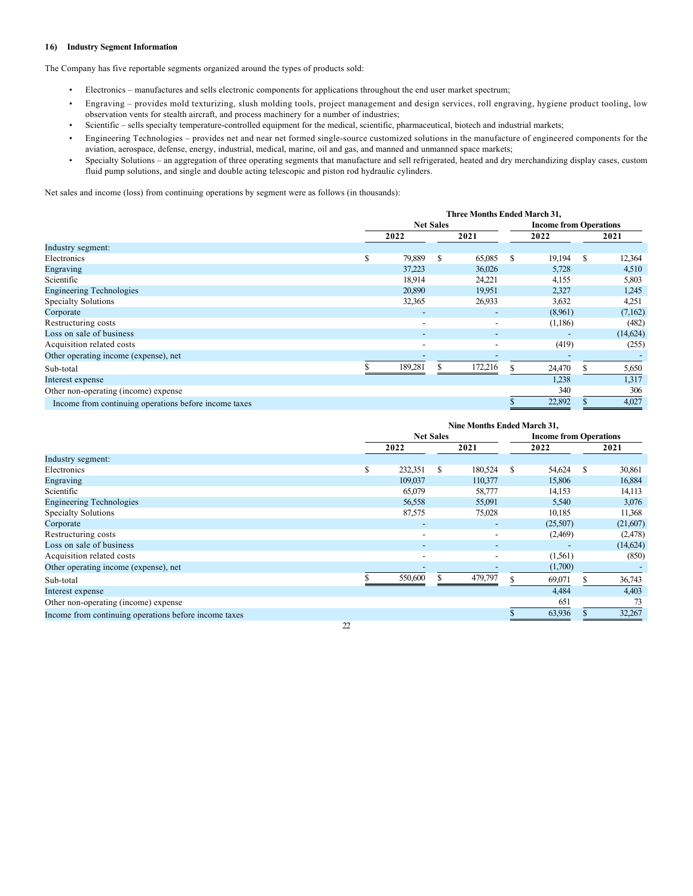#### **16) Industry Segment Information**

The Company has five reportable segments organized around the types of products sold:

- Electronics manufactures and sells electronic components for applications throughout the end user market spectrum;
- Engraving provides mold texturizing, slush molding tools, project management and design services, roll engraving, hygiene product tooling, low observation vents for stealth aircraft, and process machinery for a number of industries;
- Scientific sells specialty temperature-controlled equipment for the medical, scientific, pharmaceutical, biotech and industrial markets;
- Engineering Technologies provides net and near net formed single-source customized solutions in the manufacture of engineered components for the aviation, aerospace, defense, energy, industrial, medical, marine, oil and gas, and manned and unmanned space markets;
- Specialty Solutions an aggregation of three operating segments that manufacture and sell refrigerated, heated and dry merchandizing display cases, custom fluid pump solutions, and single and double acting telescopic and piston rod hydraulic cylinders.

Net sales and income (loss) from continuing operations by segment were as follows (in thousands):

|                                                       |                          |                  | <b>Three Months Ended March 31.</b> |    |                               |   |          |
|-------------------------------------------------------|--------------------------|------------------|-------------------------------------|----|-------------------------------|---|----------|
|                                                       |                          | <b>Net Sales</b> |                                     |    | <b>Income from Operations</b> |   |          |
|                                                       | 2022                     |                  | 2021                                |    | 2022                          |   | 2021     |
| Industry segment:                                     |                          |                  |                                     |    |                               |   |          |
| Electronics                                           | \$<br>79,889             | S                | 65,085                              | S  | 19,194                        | S | 12,364   |
| Engraving                                             | 37,223                   |                  | 36,026                              |    | 5,728                         |   | 4,510    |
| Scientific                                            | 18,914                   |                  | 24,221                              |    | 4,155                         |   | 5,803    |
| <b>Engineering Technologies</b>                       | 20,890                   |                  | 19.951                              |    | 2,327                         |   | 1,245    |
| <b>Specialty Solutions</b>                            | 32,365                   |                  | 26.933                              |    | 3,632                         |   | 4,251    |
| Corporate                                             | $\overline{\phantom{a}}$ |                  | $\overline{\phantom{0}}$            |    | (8,961)                       |   | (7,162)  |
| Restructuring costs                                   | $\overline{\phantom{a}}$ |                  |                                     |    | (1,186)                       |   | (482)    |
| Loss on sale of business                              | $\overline{\phantom{0}}$ |                  | $\overline{\phantom{a}}$            |    |                               |   | (14,624) |
| Acquisition related costs                             | $\overline{\phantom{a}}$ |                  | ۰.                                  |    | (419)                         |   | (255)    |
| Other operating income (expense), net                 |                          |                  | ٠                                   |    |                               |   |          |
| Sub-total                                             | 189,281                  |                  | 172,216                             | \$ | 24,470                        |   | 5,650    |
| Interest expense                                      |                          |                  |                                     |    | 1,238                         |   | 1,317    |
| Other non-operating (income) expense                  |                          |                  |                                     |    | 340                           |   | 306      |
| Income from continuing operations before income taxes |                          |                  |                                     |    | 22,892                        |   | 4,027    |

|                                                       |    |                          |                  | Nine Months Ended March 31, |   |                               |    |          |
|-------------------------------------------------------|----|--------------------------|------------------|-----------------------------|---|-------------------------------|----|----------|
|                                                       |    |                          | <b>Net Sales</b> |                             |   | <b>Income from Operations</b> |    |          |
|                                                       |    | 2022                     |                  | 2021                        |   | 2022                          |    | 2021     |
| Industry segment:                                     |    |                          |                  |                             |   |                               |    |          |
| Electronics                                           | \$ | 232,351                  | S                | 180,524                     | S | 54,624                        | S  | 30,861   |
| Engraving                                             |    | 109,037                  |                  | 110,377                     |   | 15,806                        |    | 16,884   |
| Scientific                                            |    | 65,079                   |                  | 58,777                      |   | 14,153                        |    | 14,113   |
| <b>Engineering Technologies</b>                       |    | 56,558                   |                  | 55,091                      |   | 5,540                         |    | 3,076    |
| Specialty Solutions                                   |    | 87,575                   |                  | 75,028                      |   | 10,185                        |    | 11,368   |
| Corporate                                             |    | $\overline{\phantom{0}}$ |                  | ٠                           |   | (25,507)                      |    | (21,607) |
| Restructuring costs                                   |    | ۰                        |                  | ٠                           |   | (2,469)                       |    | (2,478)  |
| Loss on sale of business                              |    | $\blacksquare$           |                  | $\overline{\phantom{a}}$    |   |                               |    | (14,624) |
| Acquisition related costs                             |    | ۰                        |                  | ٠                           |   | (1, 561)                      |    | (850)    |
| Other operating income (expense), net                 |    | ٠                        |                  |                             |   | (1,700)                       |    |          |
| Sub-total                                             |    | 550,600                  |                  | 479,797                     | S | 69,071                        | ъ. | 36,743   |
| Interest expense                                      |    |                          |                  |                             |   | 4,484                         |    | 4,403    |
| Other non-operating (income) expense                  |    |                          |                  |                             |   | 651                           |    | 73       |
| Income from continuing operations before income taxes |    |                          |                  |                             |   | 63,936                        |    | 32,267   |
|                                                       | 22 |                          |                  |                             |   |                               |    |          |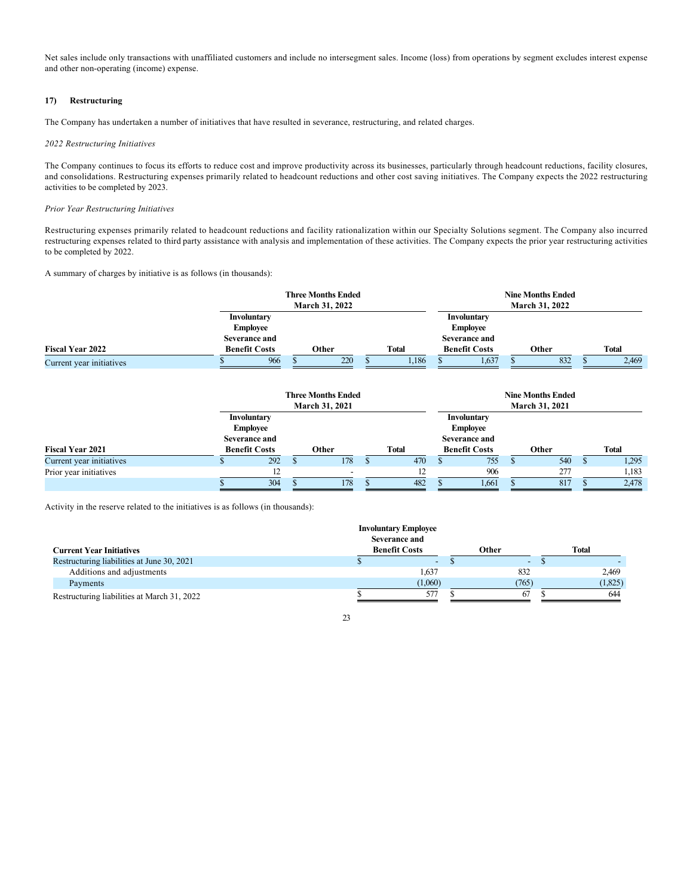Net sales include only transactions with unaffiliated customers and include no intersegment sales. Income (loss) from operations by segment excludes interest expense and other non-operating (income) expense.

#### **17) Restructuring**

The Company has undertaken a number of initiatives that have resulted in severance, restructuring, and related charges.

#### *2022 Restructuring Initiatives*

The Company continues to focus its efforts to reduce cost and improve productivity across its businesses, particularly through headcount reductions, facility closures, and consolidations. Restructuring expenses primarily related to headcount reductions and other cost saving initiatives. The Company expects the 2022 restructuring activities to be completed by 2023.

#### *Prior Year Restructuring Initiatives*

Restructuring expenses primarily related to headcount reductions and facility rationalization within our Specialty Solutions segment. The Company also incurred restructuring expenses related to third party assistance with analysis and implementation of these activities. The Company expects the prior year restructuring activities to be completed by 2022.

A summary of charges by initiative is as follows (in thousands):

|                          |                      | <b>Three Months Ended</b><br><b>March 31, 2022</b> |       |                      | <b>Nine Months Ended</b><br><b>March 31, 2022</b> |              |
|--------------------------|----------------------|----------------------------------------------------|-------|----------------------|---------------------------------------------------|--------------|
|                          | Involuntary          |                                                    |       | Involuntary          |                                                   |              |
|                          | <b>Employee</b>      |                                                    |       | <b>Employee</b>      |                                                   |              |
|                          | <b>Severance and</b> |                                                    |       | <b>Severance and</b> |                                                   |              |
| <b>Fiscal Year 2022</b>  | <b>Benefit Costs</b> | Other                                              | Total | <b>Benefit Costs</b> | Other                                             | <b>Total</b> |
| Current year initiatives | 966                  | 220                                                | 1,186 | 1,637                | 832                                               | 2,469        |

|                          |                                                        | <b>Three Months Ended</b><br><b>March 31, 2021</b> |       |                                                        | <b>Nine Months Ended</b><br><b>March 31, 2021</b> |       |
|--------------------------|--------------------------------------------------------|----------------------------------------------------|-------|--------------------------------------------------------|---------------------------------------------------|-------|
|                          | Involuntary<br><b>Employee</b><br><b>Severance and</b> |                                                    |       | Involuntary<br><b>Employee</b><br><b>Severance and</b> |                                                   |       |
| <b>Fiscal Year 2021</b>  | <b>Benefit Costs</b>                                   | Other                                              | Total | <b>Benefit Costs</b>                                   | Other                                             | Total |
| Current year initiatives | 292                                                    | 178                                                | 470   | 755                                                    | 540                                               | 1,295 |
| Prior year initiatives   |                                                        | $\overline{\phantom{0}}$                           |       | 906                                                    | 277                                               | 1,183 |
|                          | 304                                                    | 178                                                | 482   | 1,661                                                  | 817                                               | 2,478 |

Activity in the reserve related to the initiatives is as follows (in thousands):

| <b>Involuntary Employee</b>                 |  |                          |  |        |  |              |  |  |  |  |  |
|---------------------------------------------|--|--------------------------|--|--------|--|--------------|--|--|--|--|--|
|                                             |  | <b>Severance and</b>     |  |        |  |              |  |  |  |  |  |
| <b>Current Year Initiatives</b>             |  | <b>Benefit Costs</b>     |  | Other  |  | <b>Total</b> |  |  |  |  |  |
| Restructuring liabilities at June 30, 2021  |  | $\overline{\phantom{a}}$ |  | $\sim$ |  |              |  |  |  |  |  |
| Additions and adjustments                   |  | 1.637                    |  | 832    |  | 2,469        |  |  |  |  |  |
| Payments                                    |  | (1,060)                  |  | (765)  |  | (1,825)      |  |  |  |  |  |
| Restructuring liabilities at March 31, 2022 |  | 577                      |  | 67     |  | 644          |  |  |  |  |  |

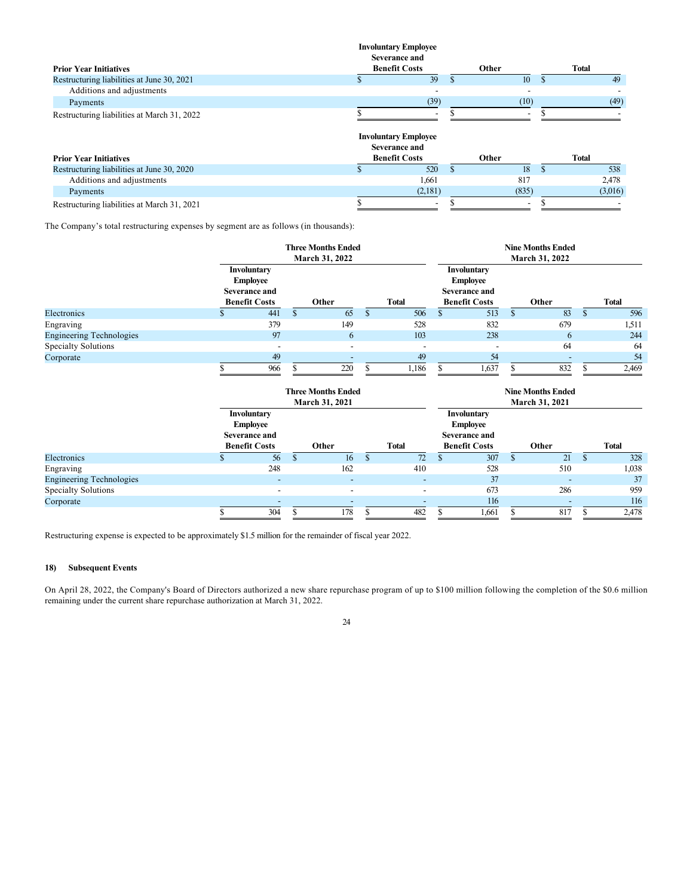|                                             | $\ldots$ , $\ldots$ , $\ldots$ , $\ldots$ , $\ldots$<br><b>Severance and</b> |         |   |       |              |
|---------------------------------------------|------------------------------------------------------------------------------|---------|---|-------|--------------|
| <b>Prior Year Initiatives</b>               | <b>Benefit Costs</b>                                                         |         |   | Other | <b>Total</b> |
| Restructuring liabilities at June 30, 2021  |                                                                              | 39      |   | 10    | 49           |
| Additions and adjustments                   |                                                                              |         |   |       |              |
| Payments                                    |                                                                              | (39)    |   | (10)  | (49)         |
| Restructuring liabilities at March 31, 2022 |                                                                              |         |   |       |              |
|                                             | <b>Involuntary Employee</b><br><b>Severance and</b>                          |         |   |       |              |
| <b>Prior Year Initiatives</b>               | <b>Benefit Costs</b>                                                         |         |   | Other | <b>Total</b> |
| Restructuring liabilities at June 30, 2020  |                                                                              | 520     | S | 18    | 538          |
| Additions and adjustments                   |                                                                              | 1,661   |   | 817   | 2,478        |
|                                             |                                                                              |         |   |       |              |
| Payments                                    |                                                                              | (2,181) |   | (835) | (3,016)      |

**Involuntary Employee**

The Company's total restructuring expenses by segment are as follows (in thousands):

|                                 |                                                        |     | <b>Three Months Ended</b><br><b>March 31, 2022</b> |                          |                                                        |   | <b>Nine Months Ended</b><br>March 31, 2022 |   |       |
|---------------------------------|--------------------------------------------------------|-----|----------------------------------------------------|--------------------------|--------------------------------------------------------|---|--------------------------------------------|---|-------|
|                                 | Involuntary<br><b>Employee</b><br><b>Severance and</b> |     |                                                    |                          | Involuntary<br><b>Employee</b><br><b>Severance and</b> |   |                                            |   |       |
|                                 | <b>Benefit Costs</b>                                   |     | Other                                              | <b>Total</b>             | <b>Benefit Costs</b>                                   |   | Other                                      |   | Total |
| Electronics                     |                                                        | 441 | 65                                                 | 506                      | 513                                                    | ъ | 83                                         | л | 596   |
| Engraving                       |                                                        | 379 | 149                                                | 528                      | 832                                                    |   | 679                                        |   | 1,511 |
| <b>Engineering Technologies</b> |                                                        | 97  | 6                                                  | 103                      | 238                                                    |   | 6                                          |   | 244   |
| Specialty Solutions             |                                                        | ۰   | $\overline{\phantom{a}}$                           | $\overline{\phantom{a}}$ | $\overline{\phantom{a}}$                               |   | 64                                         |   | 64    |
| Corporate                       |                                                        | 49  | $\overline{\phantom{a}}$                           | 49                       | 54                                                     |   |                                            |   | 54    |
|                                 |                                                        | 966 | 220                                                | 1,186                    | 1,637                                                  |   | 832                                        |   | 2,469 |

|                                 |                                                        |   | <b>Three Months Ended</b><br>March 31, 2021 |               |                          |   |                                                        | <b>Nine Months Ended</b><br>March 31, 2021 |              |              |
|---------------------------------|--------------------------------------------------------|---|---------------------------------------------|---------------|--------------------------|---|--------------------------------------------------------|--------------------------------------------|--------------|--------------|
|                                 | Involuntary<br><b>Employee</b><br><b>Severance and</b> |   |                                             |               |                          |   | Involuntary<br><b>Employee</b><br><b>Severance and</b> |                                            |              |              |
|                                 | <b>Benefit Costs</b>                                   |   | Other                                       |               | Total                    |   | <b>Benefit Costs</b>                                   | Other                                      |              | <b>Total</b> |
| Electronics                     | 56                                                     | ъ | 16                                          | <sup>\$</sup> | $72^{\circ}$             | D | 307                                                    | 21                                         | <sup>S</sup> | 328          |
| Engraving                       | 248                                                    |   | 162                                         |               | 410                      |   | 528                                                    | 510                                        |              | 1,038        |
| <b>Engineering Technologies</b> | -                                                      |   | $\overline{\phantom{a}}$                    |               | $\overline{\phantom{a}}$ |   | 37                                                     | $\overline{\phantom{0}}$                   |              | 37           |
| Specialty Solutions             | $\overline{\phantom{a}}$                               |   | $\overline{\phantom{a}}$                    |               | $\overline{\phantom{a}}$ |   | 673                                                    | 286                                        |              | 959          |
| Corporate                       | $\overline{\phantom{a}}$                               |   | $\overline{\phantom{a}}$                    |               | ۰                        |   | 116                                                    | $\overline{\phantom{0}}$                   |              | 116          |
|                                 | 304                                                    |   | 178                                         |               | 482                      |   | 1,661                                                  | 817                                        |              | 2,478        |

Restructuring expense is expected to be approximately \$1.5 million for the remainder of fiscal year 2022.

## **18) Subsequent Events**

On April 28, 2022, the Company's Board of Directors authorized a new share repurchase program of up to \$100 million following the completion of the \$0.6 million remaining under the current share repurchase authorization at March 31, 2022.

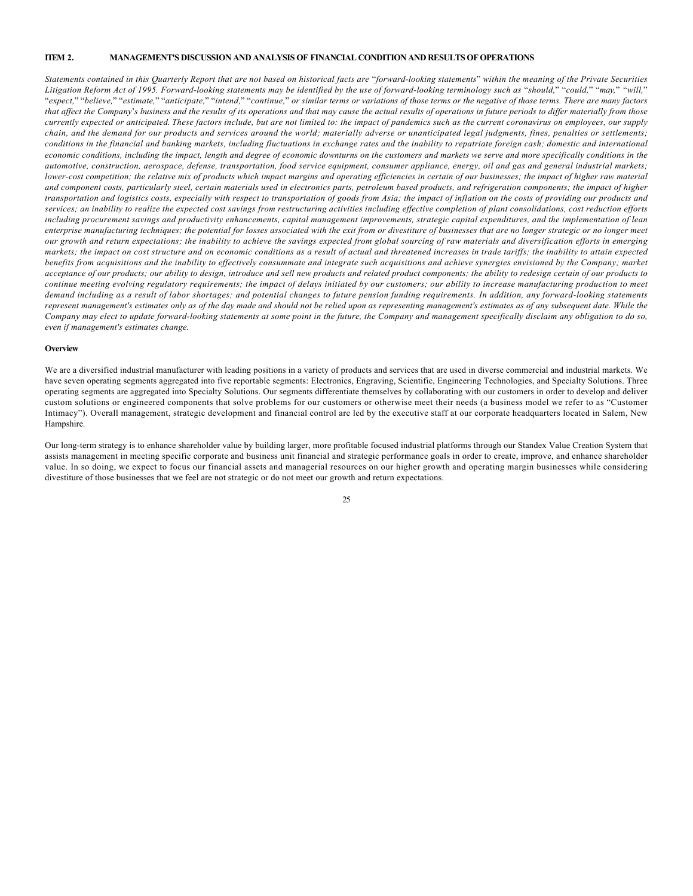#### <span id="page-24-0"></span>**ITEM 2. MANAGEMENT'S DISCUSSION AND ANALYSIS OF FINANCIAL CONDITION AND RESULTS OF OPERATIONS**

*Statements contained in this Quarterly Report that are not based on historical facts are* "*forward-looking statements*" *within the meaning of the Private Securities Litigation Reform Act of 1995. Forward-looking statements may be identified by the use of forward-looking terminology such as* "*should,*" "*could,*" "*may,*" "*will,*" "*expect,*" "*believe,*" "*estimate,*" "*anticipate,*" "*intend,*" "*continue,*" *or similar terms or variations of those terms or the negative of those terms. There are many factors that affect the Company*'*s business and the results of its operations and that may cause the actual results of operations in future periods to differ materially from those currently expected or anticipated. These factors include, but are not limited to: the impact of pandemics such as the current coronavirus on employees, our supply chain, and the demand for our products and services around the world; materially adverse or unanticipated legal judgments, fines, penalties or settlements; conditions in the financial and banking markets, including fluctuations in exchange rates and the inability to repatriate foreign cash; domestic and international economic conditions, including the impact, length and degree of economic downturns on the customers and markets we serve and more specifically conditions in the automotive, construction, aerospace, defense, transportation, food service equipment, consumer appliance, energy, oil and gas and general industrial markets; lower-cost competition; the relative mix of products which impact margins and operating efficiencies in certain of our businesses; the impact of higher raw material and component costs, particularly steel, certain materials used in electronics parts, petroleum based products, and refrigeration components; the impact of higher transportation and logistics costs, especially with respect to transportation of goods from Asia; the impact of inflation on the costs of providing our products and services; an inability to realize the expected cost savings from restructuring activities including effective completion of plant consolidations, cost reduction efforts including procurement savings and productivity enhancements, capital management improvements, strategic capital expenditures, and the implementation of lean enterprise manufacturing techniques; the potential for losses associated with the exit from or divestiture of businesses that are no longer strategic or no longer meet our growth and return expectations; the inability to achieve the savings expected from global sourcing of raw materials and diversification efforts in emerging markets; the impact on cost structure and on economic conditions as a result of actual and threatened increases in trade tariffs; the inability to attain expected benefits from acquisitions and the inability to effectively consummate and integrate such acquisitions and achieve synergies envisioned by the Company; market acceptance of our products; our ability to design, introduce and sell new products and related product components; the ability to redesign certain of our products to continue meeting evolving regulatory requirements; the impact of delays initiated by our customers; our ability to increase manufacturing production to meet demand including as a result of labor shortages; and potential changes to future pension funding requirements. In addition, any forward-looking statements represent management's estimates only as of the day made and should not be relied upon as representing management's estimates as of any subsequent date. While the Company may elect to update forward-looking statements at some point in the future, the Company and management specifically disclaim any obligation to do so, even if management's estimates change.*

#### **Overview**

We are a diversified industrial manufacturer with leading positions in a variety of products and services that are used in diverse commercial and industrial markets. We have seven operating segments aggregated into five reportable segments: Electronics, Engraving, Scientific, Engineering Technologies, and Specialty Solutions. Three operating segments are aggregated into Specialty Solutions. Our segments differentiate themselves by collaborating with our customers in order to develop and deliver custom solutions or engineered components that solve problems for our customers or otherwise meet their needs (a business model we refer to as "Customer Intimacy"). Overall management, strategic development and financial control are led by the executive staff at our corporate headquarters located in Salem, New Hampshire.

Our long-term strategy is to enhance shareholder value by building larger, more profitable focused industrial platforms through our Standex Value Creation System that assists management in meeting specific corporate and business unit financial and strategic performance goals in order to create, improve, and enhance shareholder value. In so doing, we expect to focus our financial assets and managerial resources on our higher growth and operating margin businesses while considering divestiture of those businesses that we feel are not strategic or do not meet our growth and return expectations.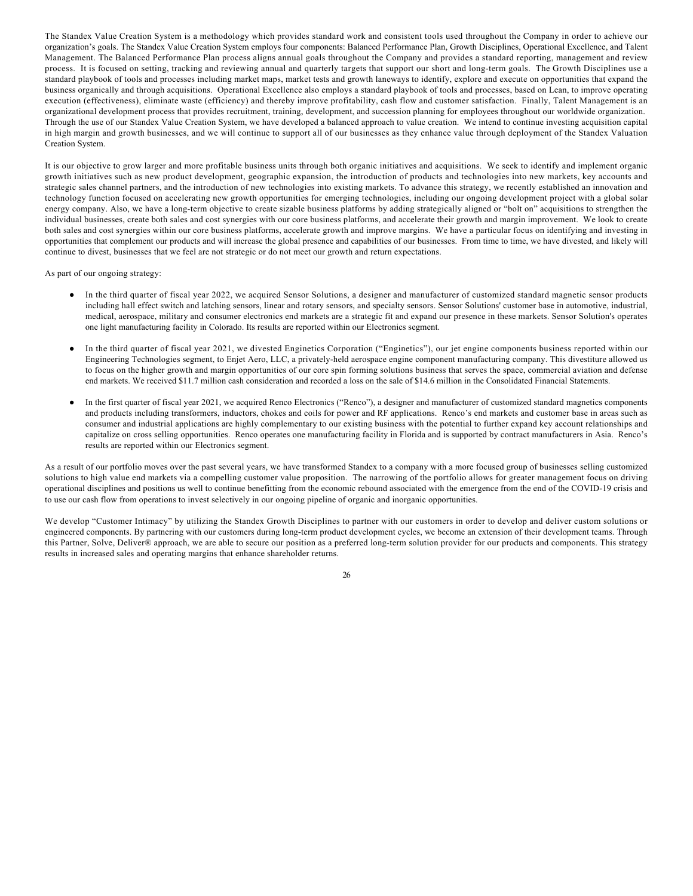The Standex Value Creation System is a methodology which provides standard work and consistent tools used throughout the Company in order to achieve our organization's goals. The Standex Value Creation System employs four components: Balanced Performance Plan, Growth Disciplines, Operational Excellence, and Talent Management. The Balanced Performance Plan process aligns annual goals throughout the Company and provides a standard reporting, management and review process. It is focused on setting, tracking and reviewing annual and quarterly targets that support our short and long-term goals. The Growth Disciplines use a standard playbook of tools and processes including market maps, market tests and growth laneways to identify, explore and execute on opportunities that expand the business organically and through acquisitions. Operational Excellence also employs a standard playbook of tools and processes, based on Lean, to improve operating execution (effectiveness), eliminate waste (efficiency) and thereby improve profitability, cash flow and customer satisfaction. Finally, Talent Management is an organizational development process that provides recruitment, training, development, and succession planning for employees throughout our worldwide organization. Through the use of our Standex Value Creation System, we have developed a balanced approach to value creation. We intend to continue investing acquisition capital in high margin and growth businesses, and we will continue to support all of our businesses as they enhance value through deployment of the Standex Valuation Creation System.

It is our objective to grow larger and more profitable business units through both organic initiatives and acquisitions. We seek to identify and implement organic growth initiatives such as new product development, geographic expansion, the introduction of products and technologies into new markets, key accounts and strategic sales channel partners, and the introduction of new technologies into existing markets. To advance this strategy, we recently established an innovation and technology function focused on accelerating new growth opportunities for emerging technologies, including our ongoing development project with a global solar energy company. Also, we have a long-term objective to create sizable business platforms by adding strategically aligned or "bolt on" acquisitions to strengthen the individual businesses, create both sales and cost synergies with our core business platforms, and accelerate their growth and margin improvement. We look to create both sales and cost synergies within our core business platforms, accelerate growth and improve margins. We have a particular focus on identifying and investing in opportunities that complement our products and will increase the global presence and capabilities of our businesses. From time to time, we have divested, and likely will continue to divest, businesses that we feel are not strategic or do not meet our growth and return expectations.

As part of our ongoing strategy:

- In the third quarter of fiscal year 2022, we acquired Sensor Solutions, a designer and manufacturer of customized standard magnetic sensor products including hall effect switch and latching sensors, linear and rotary sensors, and specialty sensors. Sensor Solutions' customer base in automotive, industrial, medical, aerospace, military and consumer electronics end markets are a strategic fit and expand our presence in these markets. Sensor Solution's operates one light manufacturing facility in Colorado. Its results are reported within our Electronics segment.
- In the third quarter of fiscal year 2021, we divested Enginetics Corporation ("Enginetics"), our jet engine components business reported within our Engineering Technologies segment, to Enjet Aero, LLC, a privately-held aerospace engine component manufacturing company. This divestiture allowed us to focus on the higher growth and margin opportunities of our core spin forming solutions business that serves the space, commercial aviation and defense end markets. We received \$11.7 million cash consideration and recorded a loss on the sale of \$14.6 million in the Consolidated Financial Statements.
- In the first quarter of fiscal year 2021, we acquired Renco Electronics ("Renco"), a designer and manufacturer of customized standard magnetics components and products including transformers, inductors, chokes and coils for power and RF applications. Renco's end markets and customer base in areas such as consumer and industrial applications are highly complementary to our existing business with the potential to further expand key account relationships and capitalize on cross selling opportunities. Renco operates one manufacturing facility in Florida and is supported by contract manufacturers in Asia. Renco's results are reported within our Electronics segment.

As a result of our portfolio moves over the past several years, we have transformed Standex to a company with a more focused group of businesses selling customized solutions to high value end markets via a compelling customer value proposition. The narrowing of the portfolio allows for greater management focus on driving operational disciplines and positions us well to continue benefitting from the economic rebound associated with the emergence from the end of the COVID-19 crisis and to use our cash flow from operations to invest selectively in our ongoing pipeline of organic and inorganic opportunities.

We develop "Customer Intimacy" by utilizing the Standex Growth Disciplines to partner with our customers in order to develop and deliver custom solutions or engineered components. By partnering with our customers during long-term product development cycles, we become an extension of their development teams. Through this Partner, Solve, Deliver® approach, we are able to secure our position as a preferred long-term solution provider for our products and components. This strategy results in increased sales and operating margins that enhance shareholder returns.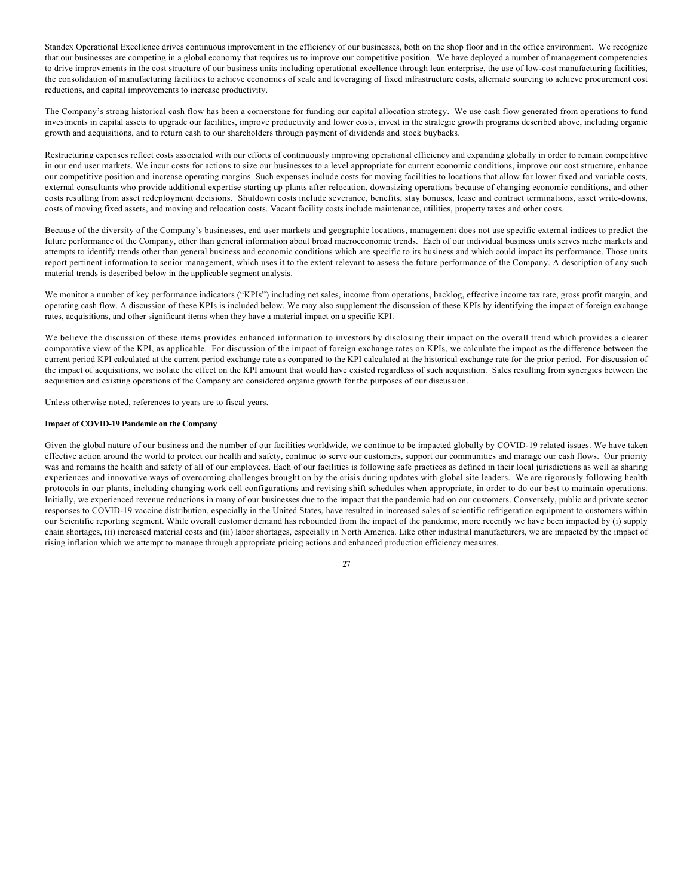Standex Operational Excellence drives continuous improvement in the efficiency of our businesses, both on the shop floor and in the office environment. We recognize that our businesses are competing in a global economy that requires us to improve our competitive position. We have deployed a number of management competencies to drive improvements in the cost structure of our business units including operational excellence through lean enterprise, the use of low-cost manufacturing facilities, the consolidation of manufacturing facilities to achieve economies of scale and leveraging of fixed infrastructure costs, alternate sourcing to achieve procurement cost reductions, and capital improvements to increase productivity.

The Company's strong historical cash flow has been a cornerstone for funding our capital allocation strategy. We use cash flow generated from operations to fund investments in capital assets to upgrade our facilities, improve productivity and lower costs, invest in the strategic growth programs described above, including organic growth and acquisitions, and to return cash to our shareholders through payment of dividends and stock buybacks.

Restructuring expenses reflect costs associated with our efforts of continuously improving operational efficiency and expanding globally in order to remain competitive in our end user markets. We incur costs for actions to size our businesses to a level appropriate for current economic conditions, improve our cost structure, enhance our competitive position and increase operating margins. Such expenses include costs for moving facilities to locations that allow for lower fixed and variable costs, external consultants who provide additional expertise starting up plants after relocation, downsizing operations because of changing economic conditions, and other costs resulting from asset redeployment decisions. Shutdown costs include severance, benefits, stay bonuses, lease and contract terminations, asset write-downs, costs of moving fixed assets, and moving and relocation costs. Vacant facility costs include maintenance, utilities, property taxes and other costs.

Because of the diversity of the Company's businesses, end user markets and geographic locations, management does not use specific external indices to predict the future performance of the Company, other than general information about broad macroeconomic trends. Each of our individual business units serves niche markets and attempts to identify trends other than general business and economic conditions which are specific to its business and which could impact its performance. Those units report pertinent information to senior management, which uses it to the extent relevant to assess the future performance of the Company. A description of any such material trends is described below in the applicable segment analysis.

We monitor a number of key performance indicators ("KPIs") including net sales, income from operations, backlog, effective income tax rate, gross profit margin, and operating cash flow. A discussion of these KPIs is included below. We may also supplement the discussion of these KPIs by identifying the impact of foreign exchange rates, acquisitions, and other significant items when they have a material impact on a specific KPI.

We believe the discussion of these items provides enhanced information to investors by disclosing their impact on the overall trend which provides a clearer comparative view of the KPI, as applicable. For discussion of the impact of foreign exchange rates on KPIs, we calculate the impact as the difference between the current period KPI calculated at the current period exchange rate as compared to the KPI calculated at the historical exchange rate for the prior period. For discussion of the impact of acquisitions, we isolate the effect on the KPI amount that would have existed regardless of such acquisition. Sales resulting from synergies between the acquisition and existing operations of the Company are considered organic growth for the purposes of our discussion.

Unless otherwise noted, references to years are to fiscal years.

#### **Impact of COVID-19 Pandemic on the Company**

Given the global nature of our business and the number of our facilities worldwide, we continue to be impacted globally by COVID-19 related issues. We have taken effective action around the world to protect our health and safety, continue to serve our customers, support our communities and manage our cash flows. Our priority was and remains the health and safety of all of our employees. Each of our facilities is following safe practices as defined in their local jurisdictions as well as sharing experiences and innovative ways of overcoming challenges brought on by the crisis during updates with global site leaders. We are rigorously following health protocols in our plants, including changing work cell configurations and revising shift schedules when appropriate, in order to do our best to maintain operations. Initially, we experienced revenue reductions in many of our businesses due to the impact that the pandemic had on our customers. Conversely, public and private sector responses to COVID-19 vaccine distribution, especially in the United States, have resulted in increased sales of scientific refrigeration equipment to customers within our Scientific reporting segment. While overall customer demand has rebounded from the impact of the pandemic, more recently we have been impacted by (i) supply chain shortages, (ii) increased material costs and (iii) labor shortages, especially in North America. Like other industrial manufacturers, we are impacted by the impact of rising inflation which we attempt to manage through appropriate pricing actions and enhanced production efficiency measures.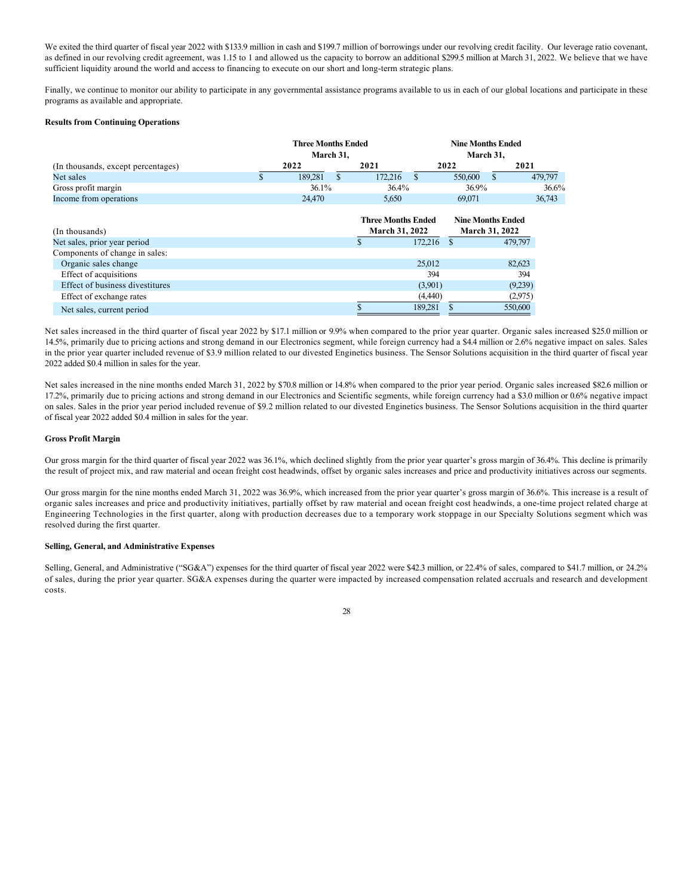We exited the third quarter of fiscal year 2022 with \$133.9 million in cash and \$199.7 million of borrowings under our revolving credit facility. Our leverage ratio covenant, as defined in our revolving credit agreement, was 1.15 to 1 and allowed us the capacity to borrow an additional \$299.5 million at March 31, 2022. We believe that we have sufficient liquidity around the world and access to financing to execute on our short and long-term strategic plans.

Finally, we continue to monitor our ability to participate in any governmental assistance programs available to us in each of our global locations and participate in these programs as available and appropriate.

#### **Results from Continuing Operations**

|                                    |   | <b>Three Months Ended</b><br>March 31, |                    | <b>Nine Months Ended</b> | March 31, |         |
|------------------------------------|---|----------------------------------------|--------------------|--------------------------|-----------|---------|
| (In thousands, except percentages) |   | 2022                                   | 2021               | 2022                     |           | 2021    |
| Net sales                          | S | 189.281                                | 172.216            | 550,600                  |           | 479,797 |
| Gross profit margin                |   | 36.1%                                  | 36.4%              | 36.9%                    |           | 36.6%   |
| Income from operations             |   | 24.470                                 | 5,650              | 69,071                   |           | 36,743  |
|                                    |   |                                        | Three Months Ended | Ning Monthe Ended        |           |         |

| (In thousands)                  | писе вниша глиси<br><b>March 31, 2022</b> |         | гине гионию енцец<br><b>March 31, 2022</b> |
|---------------------------------|-------------------------------------------|---------|--------------------------------------------|
| Net sales, prior year period    |                                           | 172.216 | 479,797                                    |
| Components of change in sales:  |                                           |         |                                            |
| Organic sales change            |                                           | 25,012  | 82,623                                     |
| Effect of acquisitions          |                                           | 394     | 394                                        |
| Effect of business divestitures |                                           | (3,901) | (9.239)                                    |
| Effect of exchange rates        |                                           | (4,440) | (2,975)                                    |
| Net sales, current period       |                                           | 189,281 | 550,600                                    |

Net sales increased in the third quarter of fiscal year 2022 by \$17.1 million or 9.9% when compared to the prior year quarter. Organic sales increased \$25.0 million or 14.5%, primarily due to pricing actions and strong demand in our Electronics segment, while foreign currency had a \$4.4 million or 2.6% negative impact on sales. Sales in the prior year quarter included revenue of \$3.9 million related to our divested Enginetics business. The Sensor Solutions acquisition in the third quarter of fiscal year 2022 added \$0.4 million in sales for the year.

Net sales increased in the nine months ended March 31, 2022 by \$70.8 million or 14.8% when compared to the prior year period. Organic sales increased \$82.6 million or 17.2%, primarily due to pricing actions and strong demand in our Electronics and Scientific segments, while foreign currency had a \$3.0 million or 0.6% negative impact on sales. Sales in the prior year period included revenue of \$9.2 million related to our divested Enginetics business. The Sensor Solutions acquisition in the third quarter of fiscal year 2022 added \$0.4 million in sales for the year.

#### **Gross Profit Margin**

Our gross margin for the third quarter of fiscal year 2022 was 36.1%, which declined slightly from the prior year quarter's gross margin of 36.4%. This decline is primarily the result of project mix, and raw material and ocean freight cost headwinds, offset by organic sales increases and price and productivity initiatives across our segments.

Our gross margin for the nine months ended March 31, 2022 was 36.9%, which increased from the prior year quarter's gross margin of 36.6%. This increase is a result of organic sales increases and price and productivity initiatives, partially offset by raw material and ocean freight cost headwinds, a one-time project related charge at Engineering Technologies in the first quarter, along with production decreases due to a temporary work stoppage in our Specialty Solutions segment which was resolved during the first quarter.

#### **Selling, General, and Administrative Expenses**

Selling, General, and Administrative ("SG&A") expenses for the third quarter of fiscal year 2022 were \$42.3 million, or 22.4% of sales, compared to \$41.7 million, or 24.2% of sales, during the prior year quarter. SG&A expenses during the quarter were impacted by increased compensation related accruals and research and development costs.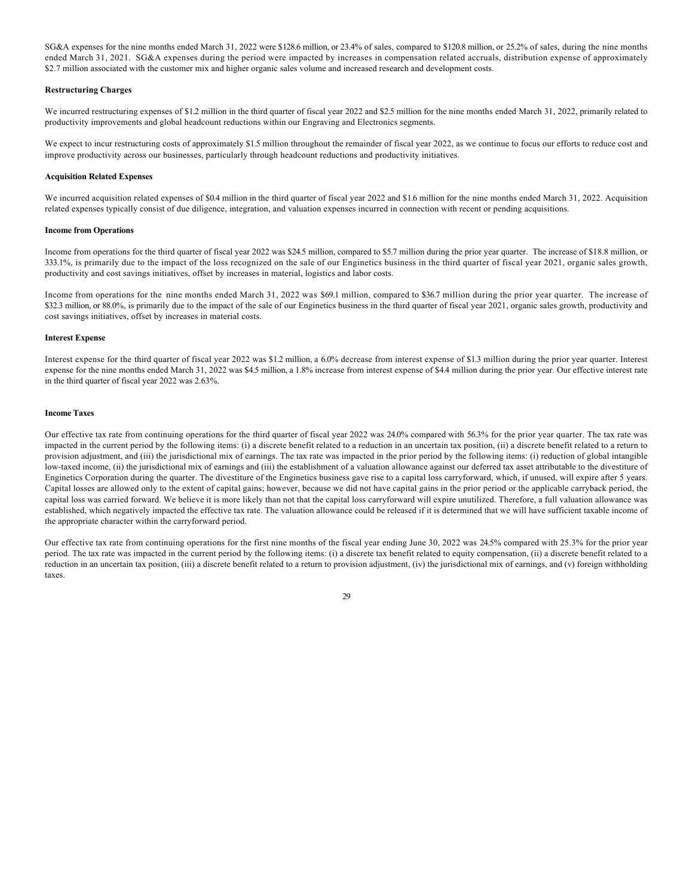SG&A expenses for the nine months ended March 31, 2022 were \$128.6 million, or 23.4% of sales, compared to \$120.8 million, or 25.2% of sales, during the nine months ended March 31, 2021. SG&A expenses during the period were impacted by increases in compensation related accruals, distribution expense of approximately \$2.7 million associated with the customer mix and higher organic sales volume and increased research and development costs.

#### **Restructuring Charges**

We incurred restructuring expenses of \$1.2 million in the third quarter of fiscal year 2022 and \$2.5 million for the nine months ended March 31, 2022, primarily related to productivity improvements and global headcount reductions within our Engraving and Electronics segments.

We expect to incur restructuring costs of approximately \$1.5 million throughout the remainder of fiscal year 2022, as we continue to focus our efforts to reduce cost and improve productivity across our businesses, particularly through headcount reductions and productivity initiatives.

#### **Acquisition Related Expenses**

We incurred acquisition related expenses of \$0.4 million in the third quarter of fiscal year 2022 and \$1.6 million for the nine months ended March 31, 2022. Acquisition related expenses typically consist of due diligence, integration, and valuation expenses incurred in connection with recent or pending acquisitions.

#### **Income from Operations**

Income from operations for the third quarter of fiscal year 2022 was \$24.5 million, compared to \$5.7 million during the prior year quarter. The increase of \$18.8 million, or 333.1%, is primarily due to the impact of the loss recognized on the sale of our Enginetics business in the third quarter of fiscal year 2021, organic sales growth, productivity and cost savings initiatives, offset by increases in material, logistics and labor costs.

Income from operations for the nine months ended March 31, 2022 was \$69.1 million, compared to \$36.7 million during the prior year quarter. The increase of \$32.3 million, or 88.0%, is primarily due to the impact of the sale of our Enginetics business in the third quarter of fiscal year 2021, organic sales growth, productivity and cost savings initiatives, offset by increases in material costs.

#### **Interest Expense**

Interest expense for the third quarter of fiscal year 2022 was \$1.2 million, a 6.0% decrease from interest expense of \$1.3 million during the prior year quarter. Interest expense for the nine months ended March 31, 2022 was \$4.5 million, a 1.8% increase from interest expense of \$4.4 million during the prior year. Our effective interest rate in the third quarter of fiscal year 2022 was 2.63%.

#### **Income Taxes**

Our effective tax rate from continuing operations for the third quarter of fiscal year 2022 was 24.0% compared with 56.3% for the prior year quarter. The tax rate was impacted in the current period by the following items: (i) a discrete benefit related to a reduction in an uncertain tax position, (ii) a discrete benefit related to a return to provision adjustment, and (iii) the jurisdictional mix of earnings. The tax rate was impacted in the prior period by the following items: (i) reduction of global intangible low-taxed income, (ii) the jurisdictional mix of earnings and (iii) the establishment of a valuation allowance against our deferred tax asset attributable to the divestiture of Enginetics Corporation during the quarter. The divestiture of the Enginetics business gave rise to a capital loss carryforward, which, if unused, will expire after 5 years. Capital losses are allowed only to the extent of capital gains; however, because we did not have capital gains in the prior period or the applicable carryback period, the capital loss was carried forward. We believe it is more likely than not that the capital loss carryforward will expire unutilized. Therefore, a full valuation allowance was established, which negatively impacted the effective tax rate. The valuation allowance could be released if it is determined that we will have sufficient taxable income of the appropriate character within the carryforward period.

Our effective tax rate from continuing operations for the first nine months of the fiscal year ending June 30, 2022 was 24.5% compared with 25.3% for the prior year period. The tax rate was impacted in the current period by the following items: (i) a discrete tax benefit related to equity compensation, (ii) a discrete benefit related to a reduction in an uncertain tax position, (iii) a discrete benefit related to a return to provision adjustment, (iv) the jurisdictional mix of earnings, and (v) foreign withholding taxes.

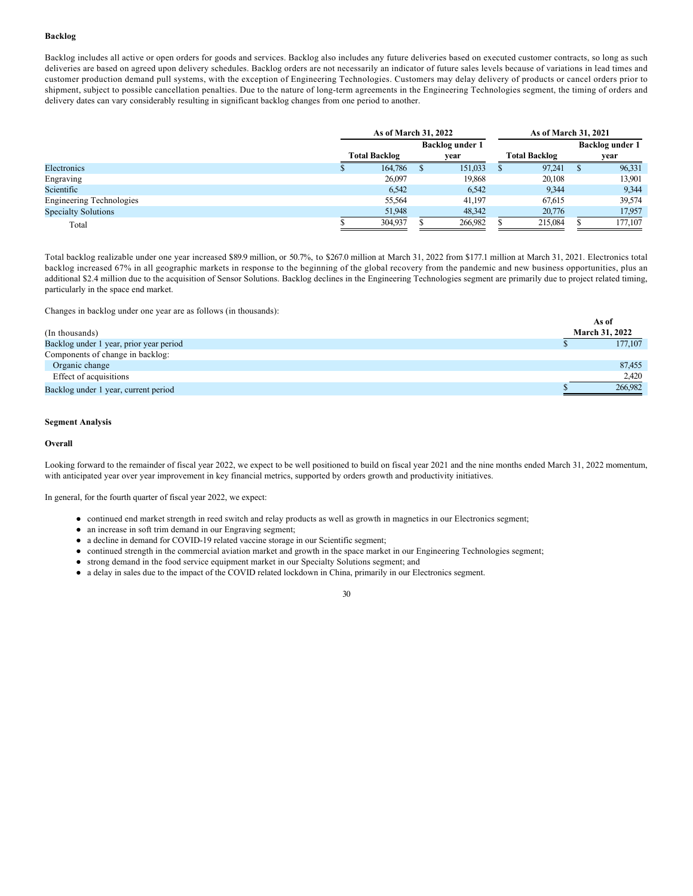#### **Backlog**

Backlog includes all active or open orders for goods and services. Backlog also includes any future deliveries based on executed customer contracts, so long as such deliveries are based on agreed upon delivery schedules. Backlog orders are not necessarily an indicator of future sales levels because of variations in lead times and customer production demand pull systems, with the exception of Engineering Technologies. Customers may delay delivery of products or cancel orders prior to shipment, subject to possible cancellation penalties. Due to the nature of long-term agreements in the Engineering Technologies segment, the timing of orders and delivery dates can vary considerably resulting in significant backlog changes from one period to another.

|                            | As of March 31, 2022 |  |                 |  | As of March 31, 2021 |                 |         |  |
|----------------------------|----------------------|--|-----------------|--|----------------------|-----------------|---------|--|
|                            |                      |  | Backlog under 1 |  |                      | Backlog under 1 |         |  |
|                            | <b>Total Backlog</b> |  | vear            |  | <b>Total Backlog</b> |                 | year    |  |
| Electronics                | 164,786              |  | 151,033         |  | 97.241               |                 | 96,331  |  |
| Engraving                  | 26,097               |  | 19,868          |  | 20,108               |                 | 13,901  |  |
| Scientific                 | 6,542                |  | 6,542           |  | 9,344                |                 | 9,344   |  |
| Engineering Technologies   | 55.564               |  | 41.197          |  | 67.615               |                 | 39,574  |  |
| <b>Specialty Solutions</b> | 51,948               |  | 48,342          |  | 20,776               |                 | 17,957  |  |
| Total                      | 304,937              |  | 266,982         |  | 215,084              |                 | 177,107 |  |

Total backlog realizable under one year increased \$89.9 million, or 50.7%, to \$267.0 million at March 31, 2022 from \$177.1 million at March 31, 2021. Electronics total backlog increased 67% in all geographic markets in response to the beginning of the global recovery from the pandemic and new business opportunities, plus an additional \$2.4 million due to the acquisition of Sensor Solutions. Backlog declines in the Engineering Technologies segment are primarily due to project related timing, particularly in the space end market.

Changes in backlog under one year are as follows (in thousands):

|                                         | As of          |
|-----------------------------------------|----------------|
| (In thousands)                          | March 31, 2022 |
| Backlog under 1 year, prior year period | 177,107        |
| Components of change in backlog:        |                |
| Organic change                          | 87,455         |
| Effect of acquisitions                  | 2,420          |
| Backlog under 1 year, current period    | 266,982        |

#### **Segment Analysis**

#### **Overall**

Looking forward to the remainder of fiscal year 2022, we expect to be well positioned to build on fiscal year 2021 and the nine months ended March 31, 2022 momentum, with anticipated year over year improvement in key financial metrics, supported by orders growth and productivity initiatives.

In general, for the fourth quarter of fiscal year 2022, we expect:

- continued end market strength in reed switch and relay products as well as growth in magnetics in our Electronics segment;
- an increase in soft trim demand in our Engraving segment;
- a decline in demand for COVID-19 related vaccine storage in our Scientific segment;
- continued strength in the commercial aviation market and growth in the space market in our Engineering Technologies segment;
- strong demand in the food service equipment market in our Specialty Solutions segment; and
- a delay in sales due to the impact of the COVID related lockdown in China, primarily in our Electronics segment.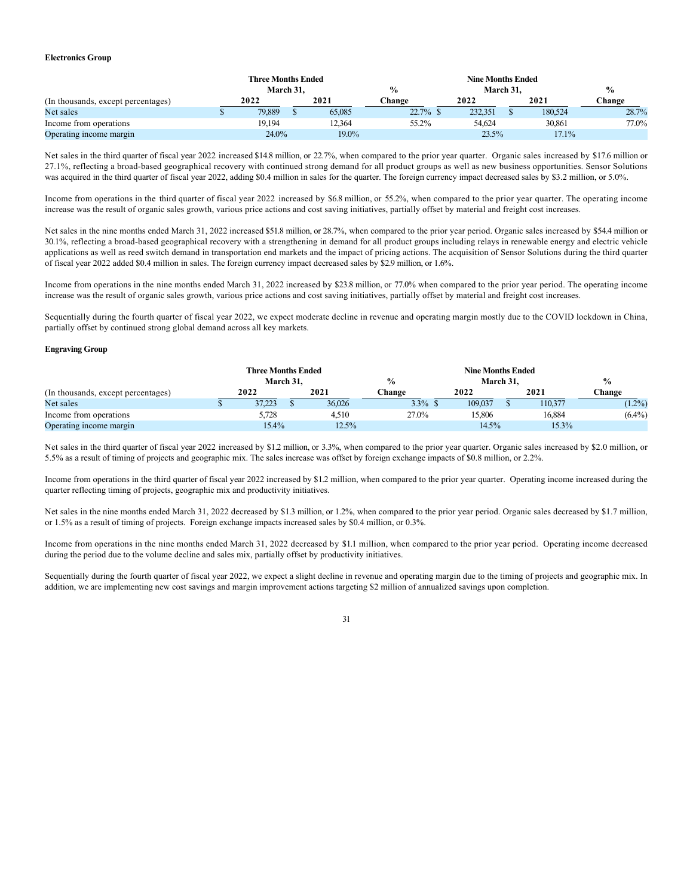#### **Electronics Group**

|                                    | <b>Three Months Ended</b> |        |               | <b>Nine Months Ended</b> |         |               |  |  |  |  |
|------------------------------------|---------------------------|--------|---------------|--------------------------|---------|---------------|--|--|--|--|
|                                    | March 31.                 |        | $\frac{0}{0}$ | March 31.                |         | $\frac{0}{0}$ |  |  |  |  |
| (In thousands, except percentages) | 2022                      | 2021   | <b>Change</b> | 2022                     | 2021    | <b>Change</b> |  |  |  |  |
| Net sales                          | 79,889                    | 65,085 | $22.7\%$ \$   | 232.351                  | 180.524 | 28.7%         |  |  |  |  |
| Income from operations             | 19.194                    | 12.364 | 55.2%         | 54.624                   | 30.861  | 77.0%         |  |  |  |  |
| Operating income margin            | 24.0%                     | 19.0%  |               | 23.5%                    | 17.1%   |               |  |  |  |  |

Net sales in the third quarter of fiscal year 2022 increased \$14.8 million, or 22.7%, when compared to the prior year quarter. Organic sales increased by \$17.6 million or 27.1%, reflecting a broad-based geographical recovery with continued strong demand for all product groups as well as new business opportunities. Sensor Solutions was acquired in the third quarter of fiscal year 2022, adding \$0.4 million in sales for the quarter. The foreign currency impact decreased sales by \$3.2 million, or 5.0%.

Income from operations in the third quarter of fiscal year 2022 increased by \$6.8 million, or 55.2%, when compared to the prior year quarter. The operating income increase was the result of organic sales growth, various price actions and cost saving initiatives, partially offset by material and freight cost increases.

Net sales in the nine months ended March 31, 2022 increased \$51.8 million, or 28.7%, when compared to the prior year period. Organic sales increased by \$54.4 million or 30.1%, reflecting a broad-based geographical recovery with a strengthening in demand for all product groups including relays in renewable energy and electric vehicle applications as well as reed switch demand in transportation end markets and the impact of pricing actions. The acquisition of Sensor Solutions during the third quarter of fiscal year 2022 added \$0.4 million in sales. The foreign currency impact decreased sales by \$2.9 million, or 1.6%.

Income from operations in the nine months ended March 31, 2022 increased by \$23.8 million, or 77.0% when compared to the prior year period. The operating income increase was the result of organic sales growth, various price actions and cost saving initiatives, partially offset by material and freight cost increases.

Sequentially during the fourth quarter of fiscal year 2022, we expect moderate decline in revenue and operating margin mostly due to the COVID lockdown in China, partially offset by continued strong global demand across all key markets.

#### **Engraving Group**

|                                    | <b>Three Months Ended</b> |           |  |          |               | <b>Nine Months Ended</b> |         |               |
|------------------------------------|---------------------------|-----------|--|----------|---------------|--------------------------|---------|---------------|
|                                    |                           | March 31. |  |          | $\frac{0}{0}$ | March 31.                |         | $\frac{0}{0}$ |
| (In thousands, except percentages) |                           | 2022      |  | 2021     | Change        | 2022                     | 2021    | ∑hange        |
| Net sales                          |                           | 37.223    |  | 36,026   | $3.3\%$ \$    | 109,037                  | 110,377 | $(1.2\%)$     |
| Income from operations             |                           | 5.728     |  | 4.510    | 27.0%         | 15,806                   | 16,884  | $(6.4\%)$     |
| Operating income margin            |                           | $15.4\%$  |  | $12.5\%$ |               | 14.5%                    | 15.3%   |               |

Net sales in the third quarter of fiscal year 2022 increased by \$1.2 million, or 3.3%, when compared to the prior year quarter. Organic sales increased by \$2.0 million, or 5.5% as a result of timing of projects and geographic mix. The sales increase was offset by foreign exchange impacts of \$0.8 million, or 2.2%.

Income from operations in the third quarter of fiscal year 2022 increased by \$1.2 million, when compared to the prior year quarter. Operating income increased during the quarter reflecting timing of projects, geographic mix and productivity initiatives.

Net sales in the nine months ended March 31, 2022 decreased by \$1.3 million, or 1.2%, when compared to the prior year period. Organic sales decreased by \$1.7 million, or 1.5% as a result of timing of projects. Foreign exchange impacts increased sales by \$0.4 million, or 0.3%.

Income from operations in the nine months ended March 31, 2022 decreased by \$1.1 million, when compared to the prior year period. Operating income decreased during the period due to the volume decline and sales mix, partially offset by productivity initiatives.

Sequentially during the fourth quarter of fiscal year 2022, we expect a slight decline in revenue and operating margin due to the timing of projects and geographic mix. In addition, we are implementing new cost savings and margin improvement actions targeting \$2 million of annualized savings upon completion.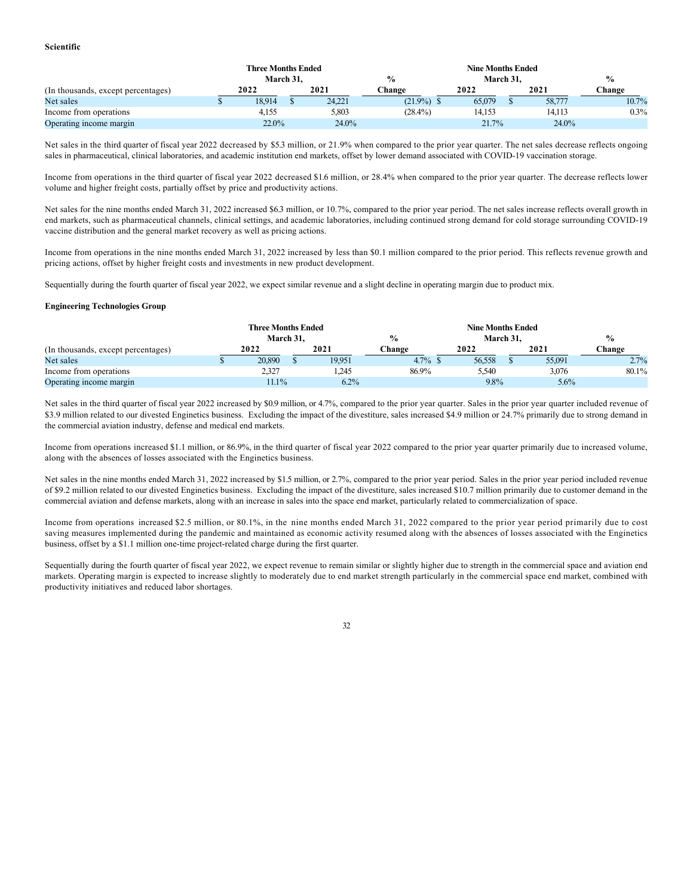#### **Scientific**

|                                    | <b>Three Months Ended</b> |        | <b>Nine Months Ended</b> |           |  |        |               |  |
|------------------------------------|---------------------------|--------|--------------------------|-----------|--|--------|---------------|--|
|                                    | March 31.                 |        | $\frac{0}{0}$            | March 31. |  |        | $\frac{0}{0}$ |  |
| (In thousands, except percentages) | 2022                      | 2021   | ⊡hange                   | 2022      |  | 2021   | <b>Change</b> |  |
| Net sales                          | 18.914                    | 24.221 | $(21.9\%)$ \$            | 65,079    |  | 58,777 | 10.7%         |  |
| Income from operations             | 4.155                     | 5,803  | $(28.4\%)$               | 14.153    |  | 14.113 | $0.3\%$       |  |
| Operating income margin            | 22.0%                     | 24.0%  |                          | 21.7%     |  | 24.0%  |               |  |

Net sales in the third quarter of fiscal year 2022 decreased by \$5.3 million, or 21.9% when compared to the prior year quarter. The net sales decrease reflects ongoing sales in pharmaceutical, clinical laboratories, and academic institution end markets, offset by lower demand associated with COVID-19 vaccination storage.

Income from operations in the third quarter of fiscal year 2022 decreased \$1.6 million, or 28.4% when compared to the prior year quarter. The decrease reflects lower volume and higher freight costs, partially offset by price and productivity actions.

Net sales for the nine months ended March 31, 2022 increased \$6.3 million, or 10.7%, compared to the prior year period. The net sales increase reflects overall growth in end markets, such as pharmaceutical channels, clinical settings, and academic laboratories, including continued strong demand for cold storage surrounding COVID-19 vaccine distribution and the general market recovery as well as pricing actions.

Income from operations in the nine months ended March 31, 2022 increased by less than \$0.1 million compared to the prior period. This reflects revenue growth and pricing actions, offset by higher freight costs and investments in new product development.

Sequentially during the fourth quarter of fiscal year 2022, we expect similar revenue and a slight decline in operating margin due to product mix.

#### **Engineering Technologies Group**

|                                    | <b>Three Months Ended</b> |        |                                |                   |         |                                |
|------------------------------------|---------------------------|--------|--------------------------------|-------------------|---------|--------------------------------|
| (In thousands, except percentages) | March 31.<br>2022         | 2021   | $\frac{0}{0}$<br><b>Change</b> | March 31.<br>2022 | 2021    | $\frac{0}{0}$<br><b>Change</b> |
| Net sales                          | 20,890                    | 19.951 | $4.7\%$ \$                     | 56,558            | 55,091  | 2.7%                           |
| Income from operations             | 2.327                     | 1.245  | 86.9%                          | 5,540             | 3,076   | 80.1%                          |
| Operating income margin            | 11.1%                     | 6.2%   |                                | 9.8%              | $5.6\%$ |                                |

Net sales in the third quarter of fiscal year 2022 increased by \$0.9 million, or 4.7%, compared to the prior year quarter. Sales in the prior year quarter included revenue of \$3.9 million related to our divested Enginetics business. Excluding the impact of the divestiture, sales increased \$4.9 million or 24.7% primarily due to strong demand in the commercial aviation industry, defense and medical end markets.

Income from operations increased \$1.1 million, or 86.9%, in the third quarter of fiscal year 2022 compared to the prior year quarter primarily due to increased volume, along with the absences of losses associated with the Enginetics business.

Net sales in the nine months ended March 31, 2022 increased by \$1.5 million, or 2.7%, compared to the prior year period. Sales in the prior year period included revenue of \$9.2 million related to our divested Enginetics business. Excluding the impact of the divestiture, sales increased \$10.7 million primarily due to customer demand in the commercial aviation and defense markets, along with an increase in sales into the space end market, particularly related to commercialization of space.

Income from operations increased \$2.5 million, or 80.1%, in the nine months ended March 31, 2022 compared to the prior year period primarily due to cost saving measures implemented during the pandemic and maintained as economic activity resumed along with the absences of losses associated with the Enginetics business, offset by a \$1.1 million one-time project-related charge during the first quarter.

Sequentially during the fourth quarter of fiscal year 2022, we expect revenue to remain similar or slightly higher due to strength in the commercial space and aviation end markets. Operating margin is expected to increase slightly to moderately due to end market strength particularly in the commercial space end market, combined with productivity initiatives and reduced labor shortages.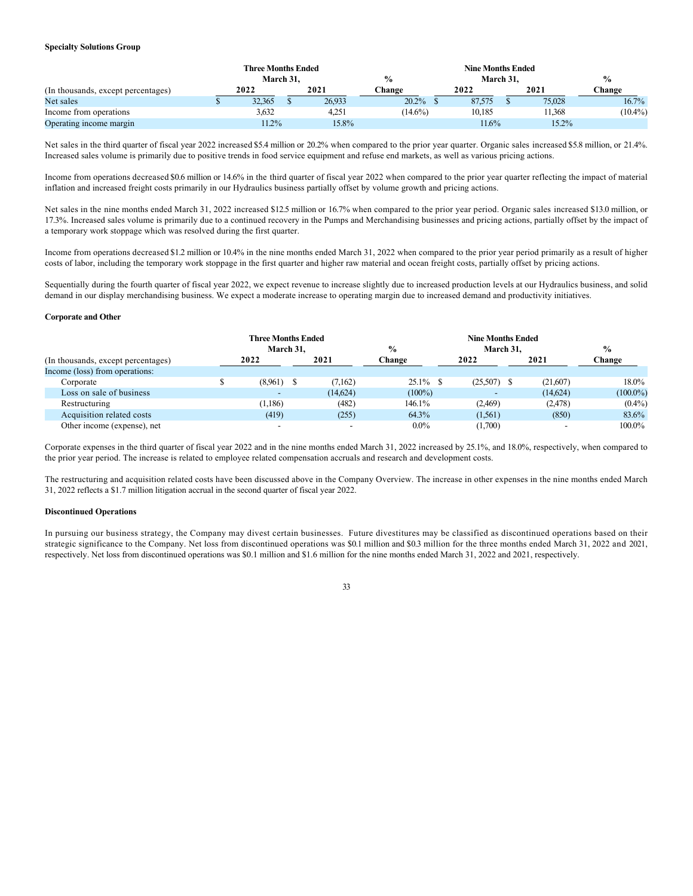#### **Specialty Solutions Group**

|                                    | <b>Three Months Ended</b> |           |  |        | <b>Nine Months Ended</b> |  |           |  |        |               |
|------------------------------------|---------------------------|-----------|--|--------|--------------------------|--|-----------|--|--------|---------------|
|                                    |                           | March 31. |  |        | $\frac{0}{0}$            |  | March 31. |  |        | $\frac{0}{0}$ |
| (In thousands, except percentages) |                           | 2022      |  | 2021   | Change                   |  | 2022      |  | 2021   | ™hange        |
| Net sales                          |                           | 32.365    |  | 26.933 | 20.2%                    |  | 87,575    |  | 75,028 | $16.7\%$      |
| Income from operations             |                           | 3.632     |  | 4.251  | $(14.6\%)$               |  | 10.185    |  | 11.368 | $(10.4\%)$    |
| Operating income margin            |                           | 11.2%     |  | 15.8%  |                          |  | 11.6%     |  | 15.2%  |               |

Net sales in the third quarter of fiscal year 2022 increased \$5.4 million or 20.2% when compared to the prior year quarter. Organic sales increased \$5.8 million, or 21.4%. Increased sales volume is primarily due to positive trends in food service equipment and refuse end markets, as well as various pricing actions.

Income from operations decreased \$0.6 million or 14.6% in the third quarter of fiscal year 2022 when compared to the prior year quarter reflecting the impact of material inflation and increased freight costs primarily in our Hydraulics business partially offset by volume growth and pricing actions.

Net sales in the nine months ended March 31, 2022 increased \$12.5 million or 16.7% when compared to the prior year period. Organic sales increased \$13.0 million, or 17.3%. Increased sales volume is primarily due to a continued recovery in the Pumps and Merchandising businesses and pricing actions, partially offset by the impact of a temporary work stoppage which was resolved during the first quarter.

Income from operations decreased \$1.2 million or 10.4% in the nine months ended March 31, 2022 when compared to the prior year period primarily as a result of higher costs of labor, including the temporary work stoppage in the first quarter and higher raw material and ocean freight costs, partially offset by pricing actions.

Sequentially during the fourth quarter of fiscal year 2022, we expect revenue to increase slightly due to increased production levels at our Hydraulics business, and solid demand in our display merchandising business. We expect a moderate increase to operating margin due to increased demand and productivity initiatives.

#### **Corporate and Other**

|                                    | <b>Three Months Ended</b><br>March 31, |          | $\frac{0}{0}$ | <b>Nine Months Ended</b><br>March 31, |               |  |          | $\frac{0}{0}$ |  |  |
|------------------------------------|----------------------------------------|----------|---------------|---------------------------------------|---------------|--|----------|---------------|--|--|
| (In thousands, except percentages) | 2022                                   | 2021     | Change        |                                       | 2022          |  | 2021     | Change        |  |  |
| Income (loss) from operations:     |                                        |          |               |                                       |               |  |          |               |  |  |
| Corporate                          | (8.961)                                | (7,162)  | $25.1\%$ \$   |                                       | $(25,507)$ \$ |  | (21,607) | 18.0%         |  |  |
| Loss on sale of business           | -                                      | (14,624) | $(100\%)$     |                                       | $\sim$        |  | (14,624) | $(100.0\%)$   |  |  |
| Restructuring                      | (1,186)                                | (482)    | 146.1%        |                                       | (2,469)       |  | (2, 478) | $(0.4\%)$     |  |  |
| Acquisition related costs          | (419)                                  | (255)    | 64.3%         |                                       | (1,561)       |  | (850)    | 83.6%         |  |  |
| Other income (expense), net        |                                        |          | $0.0\%$       |                                       | (1,700)       |  |          | 100.0%        |  |  |

Corporate expenses in the third quarter of fiscal year 2022 and in the nine months ended March 31, 2022 increased by 25.1%, and 18.0%, respectively, when compared to the prior year period. The increase is related to employee related compensation accruals and research and development costs.

The restructuring and acquisition related costs have been discussed above in the Company Overview. The increase in other expenses in the nine months ended March 31, 2022 reflects a \$1.7 million litigation accrual in the second quarter of fiscal year 2022.

#### **Discontinued Operations**

In pursuing our business strategy, the Company may divest certain businesses. Future divestitures may be classified as discontinued operations based on their strategic significance to the Company. Net loss from discontinued operations was \$0.1 million and \$0.3 million for the three months ended March 31, 2022 and 2021, respectively. Net loss from discontinued operations was \$0.1 million and \$1.6 million for the nine months ended March 31, 2022 and 2021, respectively.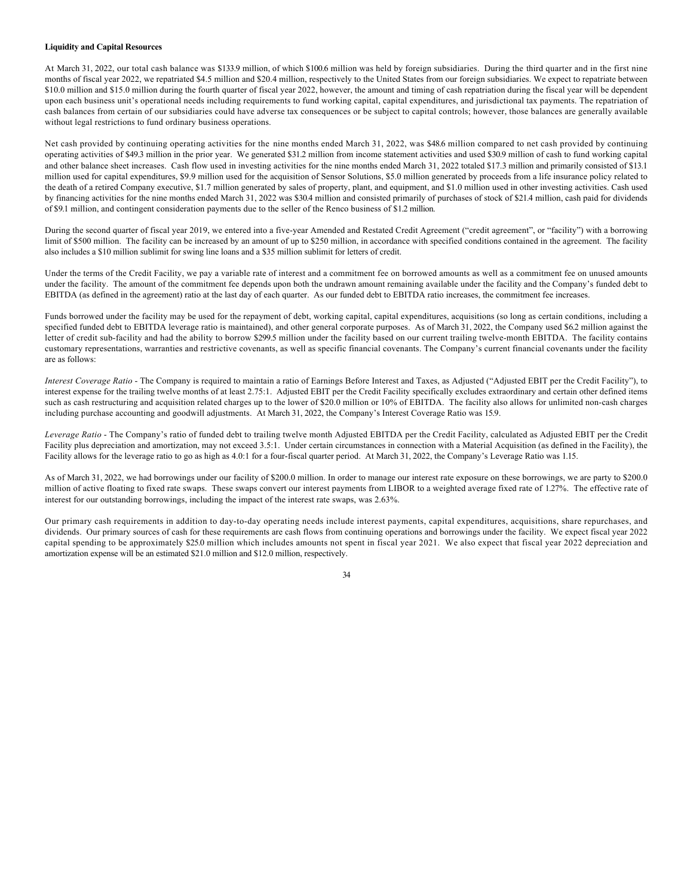#### **Liquidity and Capital Resources**

At March 31, 2022, our total cash balance was \$133.9 million, of which \$100.6 million was held by foreign subsidiaries. During the third quarter and in the first nine months of fiscal year 2022, we repatriated \$4.5 million and \$20.4 million, respectively to the United States from our foreign subsidiaries. We expect to repatriate between \$10.0 million and \$15.0 million during the fourth quarter of fiscal year 2022, however, the amount and timing of cash repatriation during the fiscal year will be dependent upon each business unit's operational needs including requirements to fund working capital, capital expenditures, and jurisdictional tax payments. The repatriation of cash balances from certain of our subsidiaries could have adverse tax consequences or be subject to capital controls; however, those balances are generally available without legal restrictions to fund ordinary business operations.

Net cash provided by continuing operating activities for the nine months ended March 31, 2022, was \$48.6 million compared to net cash provided by continuing operating activities of \$49.3 million in the prior year. We generated \$31.2 million from income statement activities and used \$30.9 million of cash to fund working capital and other balance sheet increases. Cash flow used in investing activities for the nine months ended March 31, 2022 totaled \$17.3 million and primarily consisted of \$13.1 million used for capital expenditures, \$9.9 million used for the acquisition of Sensor Solutions, \$5.0 million generated by proceeds from a life insurance policy related to the death of a retired Company executive, \$1.7 million generated by sales of property, plant, and equipment, and \$1.0 million used in other investing activities. Cash used by financing activities for the nine months ended March 31, 2022 was \$30.4 million and consisted primarily of purchases of stock of \$21.4 million, cash paid for dividends of \$9.1 million, and contingent consideration payments due to the seller of the Renco business of \$1.2 million.

During the second quarter of fiscal year 2019, we entered into a five-year Amended and Restated Credit Agreement ("credit agreement", or "facility") with a borrowing limit of \$500 million. The facility can be increased by an amount of up to \$250 million, in accordance with specified conditions contained in the agreement. The facility also includes a \$10 million sublimit for swing line loans and a \$35 million sublimit for letters of credit.

Under the terms of the Credit Facility, we pay a variable rate of interest and a commitment fee on borrowed amounts as well as a commitment fee on unused amounts under the facility. The amount of the commitment fee depends upon both the undrawn amount remaining available under the facility and the Company's funded debt to EBITDA (as defined in the agreement) ratio at the last day of each quarter. As our funded debt to EBITDA ratio increases, the commitment fee increases.

Funds borrowed under the facility may be used for the repayment of debt, working capital, capital expenditures, acquisitions (so long as certain conditions, including a specified funded debt to EBITDA leverage ratio is maintained), and other general corporate purposes. As of March 31, 2022, the Company used \$6.2 million against the letter of credit sub-facility and had the ability to borrow \$299.5 million under the facility based on our current trailing twelve-month EBITDA. The facility contains customary representations, warranties and restrictive covenants, as well as specific financial covenants. The Company's current financial covenants under the facility are as follows:

*Interest Coverage Ratio* - The Company is required to maintain a ratio of Earnings Before Interest and Taxes, as Adjusted ("Adjusted EBIT per the Credit Facility"), to interest expense for the trailing twelve months of at least 2.75:1. Adjusted EBIT per the Credit Facility specifically excludes extraordinary and certain other defined items such as cash restructuring and acquisition related charges up to the lower of \$20.0 million or 10% of EBITDA. The facility also allows for unlimited non-cash charges including purchase accounting and goodwill adjustments. At March 31, 2022, the Company's Interest Coverage Ratio was 15.9.

*Leverage Ratio* - The Company's ratio of funded debt to trailing twelve month Adjusted EBITDA per the Credit Facility, calculated as Adjusted EBIT per the Credit Facility plus depreciation and amortization, may not exceed 3.5:1. Under certain circumstances in connection with a Material Acquisition (as defined in the Facility), the Facility allows for the leverage ratio to go as high as 4.0:1 for a four-fiscal quarter period. At March 31, 2022, the Company's Leverage Ratio was 1.15.

As of March 31, 2022, we had borrowings under our facility of \$200.0 million. In order to manage our interest rate exposure on these borrowings, we are party to \$200.0 million of active floating to fixed rate swaps. These swaps convert our interest payments from LIBOR to a weighted average fixed rate of 1.27%. The effective rate of interest for our outstanding borrowings, including the impact of the interest rate swaps, was 2.63%.

Our primary cash requirements in addition to day-to-day operating needs include interest payments, capital expenditures, acquisitions, share repurchases, and dividends. Our primary sources of cash for these requirements are cash flows from continuing operations and borrowings under the facility. We expect fiscal year 2022 capital spending to be approximately \$25.0 million which includes amounts not spent in fiscal year 2021. We also expect that fiscal year 2022 depreciation and amortization expense will be an estimated \$21.0 million and \$12.0 million, respectively.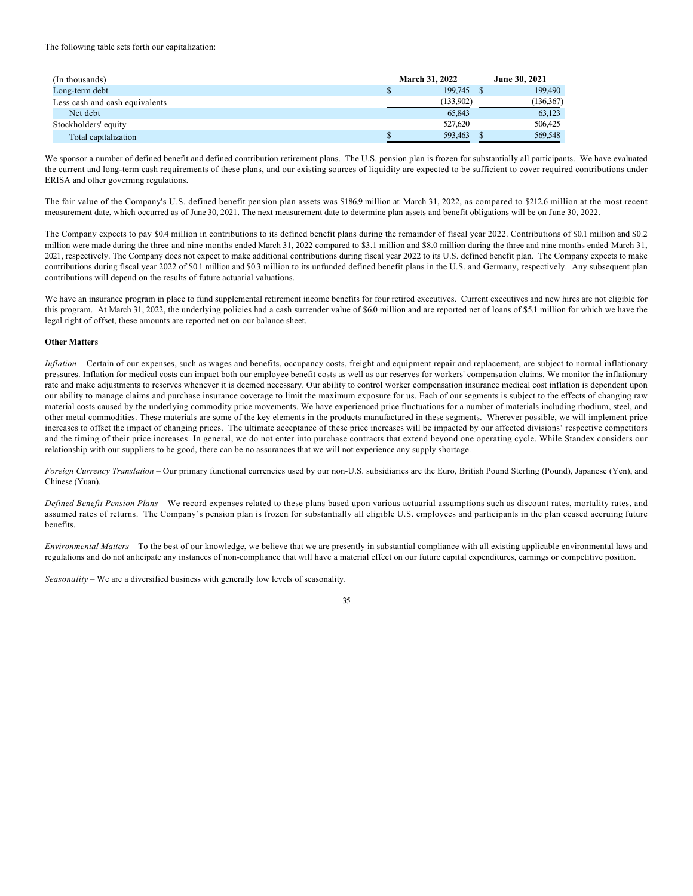The following table sets forth our capitalization:

| (In thousands)                 | <b>March 31, 2022</b> | June 30, 2021 |
|--------------------------------|-----------------------|---------------|
| Long-term debt                 | 199,745               | 199,490       |
| Less cash and cash equivalents | (133.902)             | (136, 367)    |
| Net debt                       | 65.843                | 63,123        |
| Stockholders' equity           | 527,620               | 506,425       |
| Total capitalization           | 593,463               | 569,548       |

We sponsor a number of defined benefit and defined contribution retirement plans. The U.S. pension plan is frozen for substantially all participants. We have evaluated the current and long-term cash requirements of these plans, and our existing sources of liquidity are expected to be sufficient to cover required contributions under ERISA and other governing regulations.

The fair value of the Company's U.S. defined benefit pension plan assets was \$186.9 million at March 31, 2022, as compared to \$212.6 million at the most recent measurement date, which occurred as of June 30, 2021. The next measurement date to determine plan assets and benefit obligations will be on June 30, 2022.

The Company expects to pay \$0.4 million in contributions to its defined benefit plans during the remainder of fiscal year 2022. Contributions of \$0.1 million and \$0.2 million were made during the three and nine months ended March 31, 2022 compared to \$3.1 million and \$8.0 million during the three and nine months ended March 31, 2021, respectively. The Company does not expect to make additional contributions during fiscal year 2022 to its U.S. defined benefit plan. The Company expects to make contributions during fiscal year 2022 of \$0.1 million and \$0.3 million to its unfunded defined benefit plans in the U.S. and Germany, respectively. Any subsequent plan contributions will depend on the results of future actuarial valuations.

We have an insurance program in place to fund supplemental retirement income benefits for four retired executives. Current executives and new hires are not eligible for this program. At March 31, 2022, the underlying policies had a cash surrender value of \$6.0 million and are reported net of loans of \$5.1 million for which we have the legal right of offset, these amounts are reported net on our balance sheet.

#### **Other Matters**

*Inflation –* Certain of our expenses, such as wages and benefits, occupancy costs, freight and equipment repair and replacement, are subject to normal inflationary pressures. Inflation for medical costs can impact both our employee benefit costs as well as our reserves for workers' compensation claims. We monitor the inflationary rate and make adjustments to reserves whenever it is deemed necessary. Our ability to control worker compensation insurance medical cost inflation is dependent upon our ability to manage claims and purchase insurance coverage to limit the maximum exposure for us. Each of our segments is subject to the effects of changing raw material costs caused by the underlying commodity price movements. We have experienced price fluctuations for a number of materials including rhodium, steel, and other metal commodities. These materials are some of the key elements in the products manufactured in these segments. Wherever possible, we will implement price increases to offset the impact of changing prices. The ultimate acceptance of these price increases will be impacted by our affected divisions' respective competitors and the timing of their price increases. In general, we do not enter into purchase contracts that extend beyond one operating cycle. While Standex considers our relationship with our suppliers to be good, there can be no assurances that we will not experience any supply shortage.

*Foreign Currency Translation* – Our primary functional currencies used by our non-U.S. subsidiaries are the Euro, British Pound Sterling (Pound), Japanese (Yen), and Chinese (Yuan).

*Defined Benefit Pension Plans* – We record expenses related to these plans based upon various actuarial assumptions such as discount rates, mortality rates, and assumed rates of returns. The Company's pension plan is frozen for substantially all eligible U.S. employees and participants in the plan ceased accruing future benefits.

*Environmental Matters* – To the best of our knowledge, we believe that we are presently in substantial compliance with all existing applicable environmental laws and regulations and do not anticipate any instances of non-compliance that will have a material effect on our future capital expenditures, earnings or competitive position.

*Seasonality* – We are a diversified business with generally low levels of seasonality.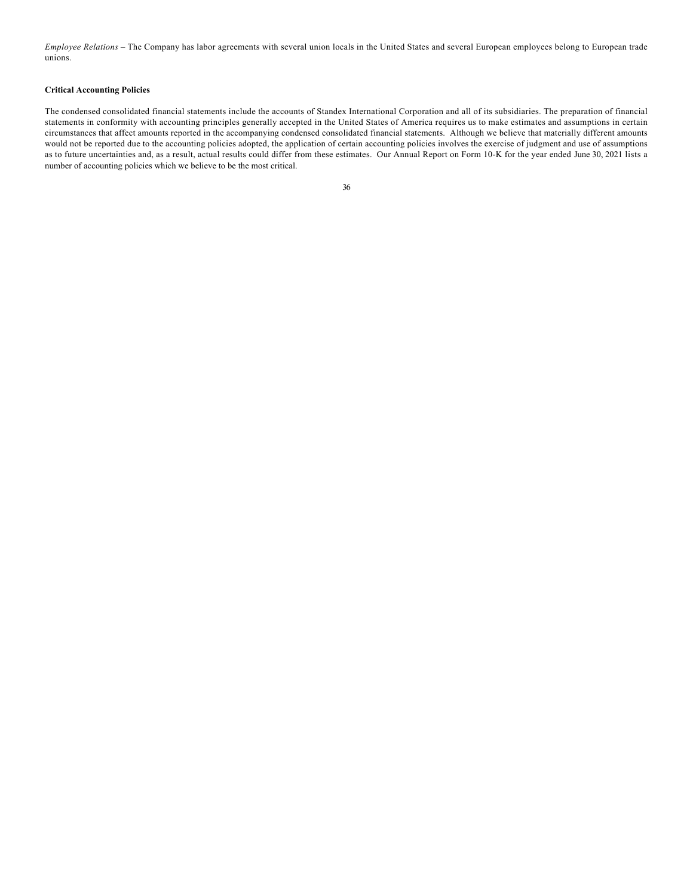*Employee Relations* – The Company has labor agreements with several union locals in the United States and several European employees belong to European trade unions.

## **Critical Accounting Policies**

The condensed consolidated financial statements include the accounts of Standex International Corporation and all of its subsidiaries. The preparation of financial statements in conformity with accounting principles generally accepted in the United States of America requires us to make estimates and assumptions in certain circumstances that affect amounts reported in the accompanying condensed consolidated financial statements. Although we believe that materially different amounts would not be reported due to the accounting policies adopted, the application of certain accounting policies involves the exercise of judgment and use of assumptions as to future uncertainties and, as a result, actual results could differ from these estimates. Our Annual Report on Form 10-K for the year ended June 30, 2021 lists a number of accounting policies which we believe to be the most critical.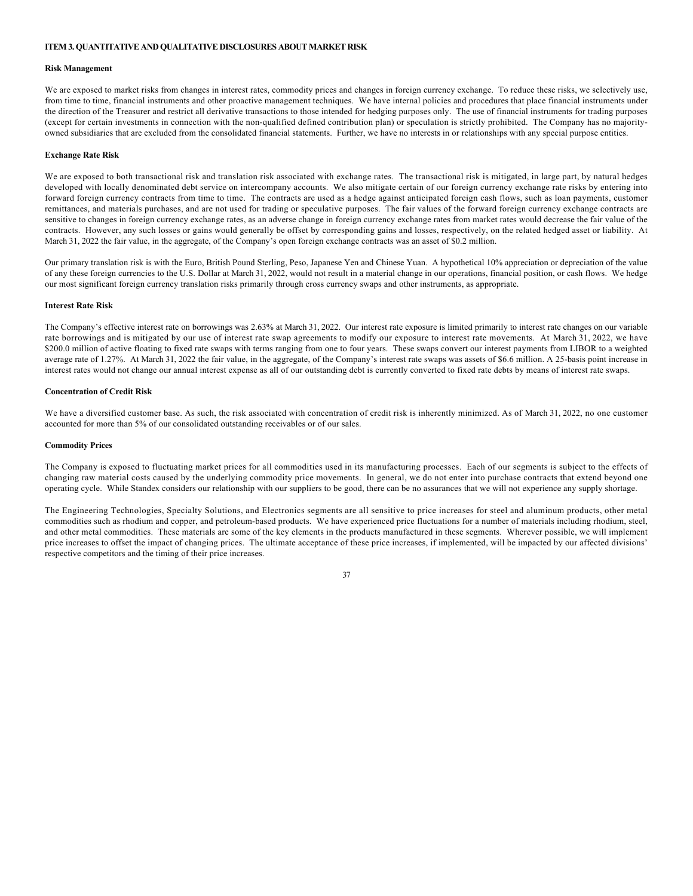#### <span id="page-36-0"></span>**ITEM 3. QUANTITATIVE AND QUALITATIVE DISCLOSURES ABOUT MARKET RISK**

#### **Risk Management**

We are exposed to market risks from changes in interest rates, commodity prices and changes in foreign currency exchange. To reduce these risks, we selectively use, from time to time, financial instruments and other proactive management techniques. We have internal policies and procedures that place financial instruments under the direction of the Treasurer and restrict all derivative transactions to those intended for hedging purposes only. The use of financial instruments for trading purposes (except for certain investments in connection with the non-qualified defined contribution plan) or speculation is strictly prohibited. The Company has no majorityowned subsidiaries that are excluded from the consolidated financial statements. Further, we have no interests in or relationships with any special purpose entities.

#### **Exchange Rate Risk**

We are exposed to both transactional risk and translation risk associated with exchange rates. The transactional risk is mitigated, in large part, by natural hedges developed with locally denominated debt service on intercompany accounts. We also mitigate certain of our foreign currency exchange rate risks by entering into forward foreign currency contracts from time to time. The contracts are used as a hedge against anticipated foreign cash flows, such as loan payments, customer remittances, and materials purchases, and are not used for trading or speculative purposes. The fair values of the forward foreign currency exchange contracts are sensitive to changes in foreign currency exchange rates, as an adverse change in foreign currency exchange rates from market rates would decrease the fair value of the contracts. However, any such losses or gains would generally be offset by corresponding gains and losses, respectively, on the related hedged asset or liability. At March 31, 2022 the fair value, in the aggregate, of the Company's open foreign exchange contracts was an asset of \$0.2 million.

Our primary translation risk is with the Euro, British Pound Sterling, Peso, Japanese Yen and Chinese Yuan. A hypothetical 10% appreciation or depreciation of the value of any these foreign currencies to the U.S. Dollar at March 31, 2022, would not result in a material change in our operations, financial position, or cash flows. We hedge our most significant foreign currency translation risks primarily through cross currency swaps and other instruments, as appropriate.

#### **Interest Rate Risk**

The Company's effective interest rate on borrowings was 2.63% at March 31, 2022. Our interest rate exposure is limited primarily to interest rate changes on our variable rate borrowings and is mitigated by our use of interest rate swap agreements to modify our exposure to interest rate movements. At March 31, 2022, we have \$200.0 million of active floating to fixed rate swaps with terms ranging from one to four years. These swaps convert our interest payments from LIBOR to a weighted average rate of 1.27%. At March 31, 2022 the fair value, in the aggregate, of the Company's interest rate swaps was assets of \$6.6 million. A 25-basis point increase in interest rates would not change our annual interest expense as all of our outstanding debt is currently converted to fixed rate debts by means of interest rate swaps.

#### **Concentration of Credit Risk**

We have a diversified customer base. As such, the risk associated with concentration of credit risk is inherently minimized. As of March 31, 2022, no one customer accounted for more than 5% of our consolidated outstanding receivables or of our sales.

#### **Commodity Prices**

The Company is exposed to fluctuating market prices for all commodities used in its manufacturing processes. Each of our segments is subject to the effects of changing raw material costs caused by the underlying commodity price movements. In general, we do not enter into purchase contracts that extend beyond one operating cycle. While Standex considers our relationship with our suppliers to be good, there can be no assurances that we will not experience any supply shortage.

The Engineering Technologies, Specialty Solutions, and Electronics segments are all sensitive to price increases for steel and aluminum products, other metal commodities such as rhodium and copper, and petroleum-based products. We have experienced price fluctuations for a number of materials including rhodium, steel, and other metal commodities. These materials are some of the key elements in the products manufactured in these segments. Wherever possible, we will implement price increases to offset the impact of changing prices. The ultimate acceptance of these price increases, if implemented, will be impacted by our affected divisions' respective competitors and the timing of their price increases.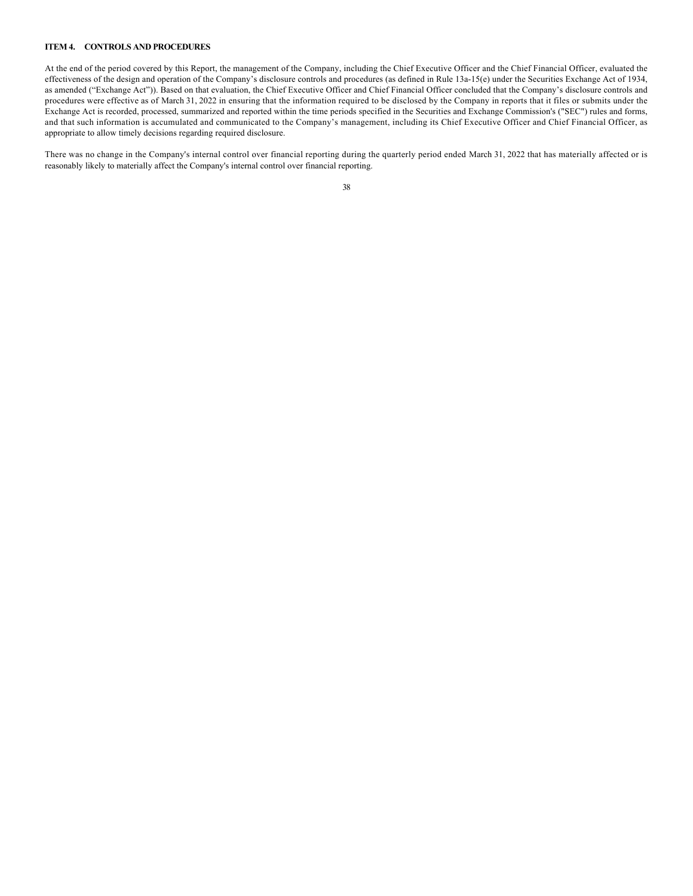#### <span id="page-37-0"></span>**ITEM 4. CONTROLS AND PROCEDURES**

At the end of the period covered by this Report, the management of the Company, including the Chief Executive Officer and the Chief Financial Officer, evaluated the effectiveness of the design and operation of the Company's disclosure controls and procedures (as defined in Rule 13a-15(e) under the Securities Exchange Act of 1934, as amended ("Exchange Act")). Based on that evaluation, the Chief Executive Officer and Chief Financial Officer concluded that the Company's disclosure controls and procedures were effective as of March 31, 2022 in ensuring that the information required to be disclosed by the Company in reports that it files or submits under the Exchange Act is recorded, processed, summarized and reported within the time periods specified in the Securities and Exchange Commission's ("SEC") rules and forms, and that such information is accumulated and communicated to the Company's management, including its Chief Executive Officer and Chief Financial Officer, as appropriate to allow timely decisions regarding required disclosure.

There was no change in the Company's internal control over financial reporting during the quarterly period ended March 31, 2022 that has materially affected or is reasonably likely to materially affect the Company's internal control over financial reporting.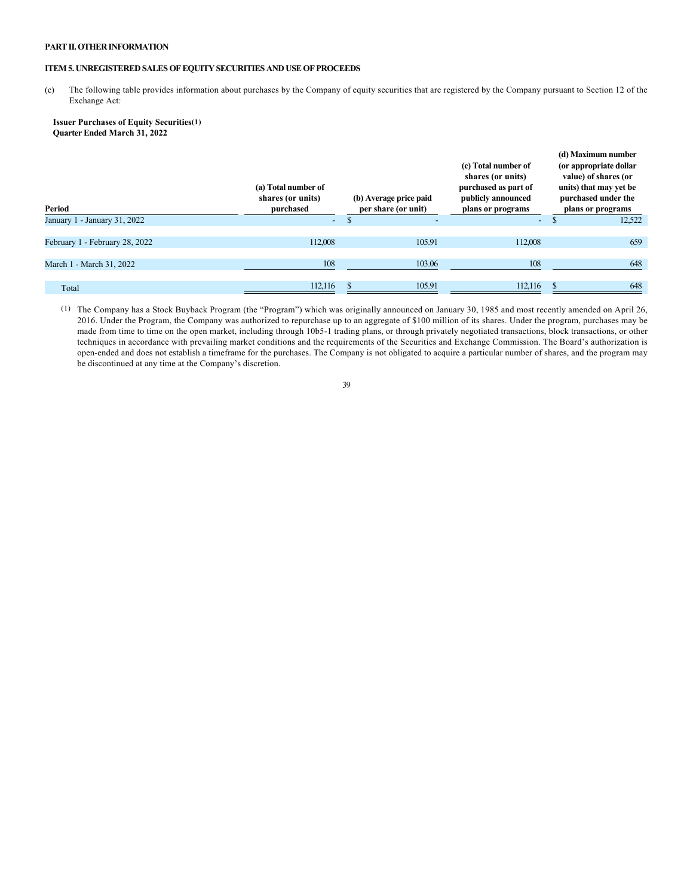#### **PART II. OTHER INFORMATION**

## <span id="page-38-0"></span>**ITEM 5. UNREGISTERED SALES OF EQUITY SECURITIES AND USE OF PROCEEDS**

(c) The following table provides information about purchases by the Company of equity securities that are registered by the Company pursuant to Section 12 of the Exchange Act:

#### **Issuer Purchases of Equity Securities(1) Quarter Ended March 31, 2022**

| Period                         | (a) Total number of<br>shares (or units)<br>purchased | (b) Average price paid<br>per share (or unit) | (c) Total number of<br>shares (or units)<br>purchased as part of<br>publicly announced<br>plans or programs | (d) Maximum number<br>(or appropriate dollar<br>value) of shares (or<br>units) that may yet be<br>purchased under the<br>plans or programs |  |  |
|--------------------------------|-------------------------------------------------------|-----------------------------------------------|-------------------------------------------------------------------------------------------------------------|--------------------------------------------------------------------------------------------------------------------------------------------|--|--|
| January 1 - January 31, 2022   | $\sim$                                                |                                               | $\overline{\phantom{0}}$                                                                                    | 12,522                                                                                                                                     |  |  |
|                                |                                                       |                                               |                                                                                                             |                                                                                                                                            |  |  |
| February 1 - February 28, 2022 | 112,008                                               | 105.91                                        | 112,008                                                                                                     | 659                                                                                                                                        |  |  |
|                                |                                                       |                                               |                                                                                                             |                                                                                                                                            |  |  |
| March 1 - March 31, 2022       | 108                                                   | 103.06                                        | 108                                                                                                         | 648                                                                                                                                        |  |  |
|                                |                                                       |                                               |                                                                                                             |                                                                                                                                            |  |  |
| Total                          | 112.116                                               | 105.91                                        | 112.116                                                                                                     | 648                                                                                                                                        |  |  |
|                                |                                                       |                                               |                                                                                                             |                                                                                                                                            |  |  |

(1) The Company has a Stock Buyback Program (the "Program") which was originally announced on January 30, 1985 and most recently amended on April 26, 2016. Under the Program, the Company was authorized to repurchase up to an aggregate of \$100 million of its shares. Under the program, purchases may be made from time to time on the open market, including through 10b5-1 trading plans, or through privately negotiated transactions, block transactions, or other techniques in accordance with prevailing market conditions and the requirements of the Securities and Exchange Commission. The Board's authorization is open-ended and does not establish a timeframe for the purchases. The Company is not obligated to acquire a particular number of shares, and the program may be discontinued at any time at the Company's discretion.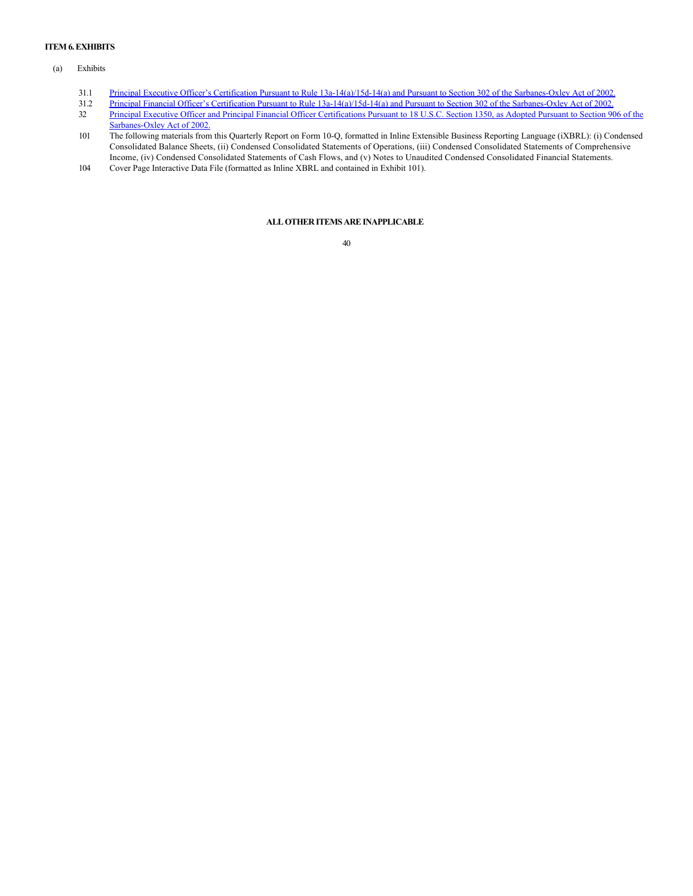## <span id="page-39-0"></span>**ITEM 6. EXHIBITS**

- (a) Exhibits
	- 31.1 [Principal Executive Officer's Certification Pursuant to Rule 13a-14\(a\)/15d-14\(a\) and Pursuant to Section 302 of the Sarbanes-Oxley Act of 2002.](ex_336901.htm)
	- 31.2 [Principal Financial Officer's Certification Pursuant to Rule 13a-14\(a\)/15d-14\(a\) and Pursuant to Section 302 of the Sarbanes-Oxley Act of 2002.](ex_336902.htm)
	- 32 [Principal Executive Officer and Principal Financial Officer Certifications Pursuant to 18 U.S.C. Section 1350, as Adopted Pursuant to Section 906 of the](ex_336903.htm) Sarbanes-Oxley Act of 2002.
	- 101 The following materials from this Quarterly Report on Form 10-Q, formatted in Inline Extensible Business Reporting Language (iXBRL): (i) Condensed Consolidated Balance Sheets, (ii) Condensed Consolidated Statements of Operations, (iii) Condensed Consolidated Statements of Comprehensive Income, (iv) Condensed Consolidated Statements of Cash Flows, and (v) Notes to Unaudited Condensed Consolidated Financial Statements.
	- 104 Cover Page Interactive Data File (formatted as Inline XBRL and contained in Exhibit 101).

## **ALL OTHER ITEMS ARE INAPPLICABLE**